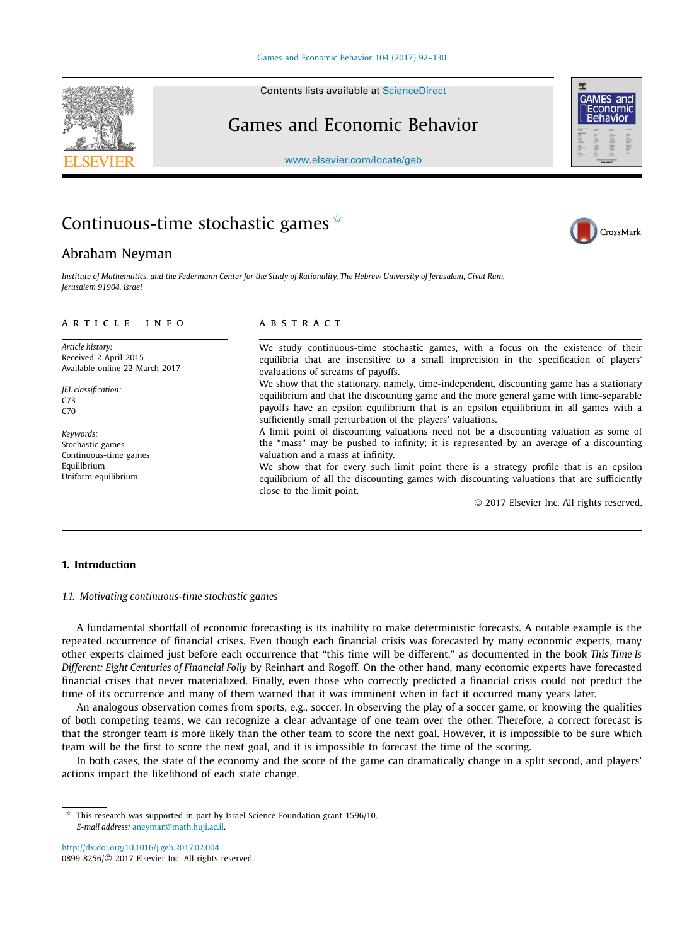Contents lists available at [ScienceDirect](http://www.ScienceDirect.com/)

## Games and Economic Behavior

[www.elsevier.com/locate/geb](http://www.elsevier.com/locate/geb)

# Continuous-time stochastic games  $*$

### Abraham Neyman

Institute of Mathematics, and the Federmann Center for the Study of Rationality. The Hebrew University of Ierusalem, Givat Ram. *Jerusalem 91904, Israel*

#### A R T I C L E I N F O A B S T R A C T

*Article history:* Received 2 April 2015 Available online 22 March 2017

*JEL classification:*  $C73$ C70

*Keywords:* Stochastic games Continuous-time games Equilibrium Uniform equilibrium

We study continuous-time stochastic games, with a focus on the existence of their equilibria that are insensitive to a small imprecision in the specification of players' evaluations of streams of payoffs.

We show that the stationary, namely, time-independent, discounting game has a stationary equilibrium and that the discounting game and the more general game with time-separable payoffs have an epsilon equilibrium that is an epsilon equilibrium in all games with a sufficiently small perturbation of the players' valuations.

A limit point of discounting valuations need not be a discounting valuation as some of the "mass" may be pushed to infinity; it is represented by an average of a discounting valuation and a mass at infinity.

We show that for every such limit point there is a strategy profile that is an epsilon equilibrium of all the discounting games with discounting valuations that are sufficiently close to the limit point.

© 2017 Elsevier Inc. All rights reserved.

### **1. Introduction**

*1.1. Motivating continuous-time stochastic games*

A fundamental shortfall of economic forecasting is its inability to make deterministic forecasts. A notable example is the repeated occurrence of financial crises. Even though each financial crisis was forecasted by many economic experts, many other experts claimed just before each occurrence that "this time will be different," as documented in the book *This Time Is Different: Eight Centuries of Financial Folly* by Reinhart and Rogoff. On the other hand, many economic experts have forecasted financial crises that never materialized. Finally, even those who correctly predicted a financial crisis could not predict the time of its occurrence and many of them warned that it was imminent when in fact it occurred many years later.

An analogous observation comes from sports, e.g., soccer. In observing the play of a soccer game, or knowing the qualities of both competing teams, we can recognize a clear advantage of one team over the other. Therefore, a correct forecast is that the stronger team is more likely than the other team to score the next goal. However, it is impossible to be sure which team will be the first to score the next goal, and it is impossible to forecast the time of the scoring.

In both cases, the state of the economy and the score of the game can dramatically change in a split second, and players' actions impact the likelihood of each state change.

<http://dx.doi.org/10.1016/j.geb.2017.02.004> 0899-8256/© 2017 Elsevier Inc. All rights reserved.







This research was supported in part by Israel Science Foundation grant 1596/10. *E-mail address:* [aneyman@math.huji.ac.il](mailto:aneyman@math.huji.ac.il).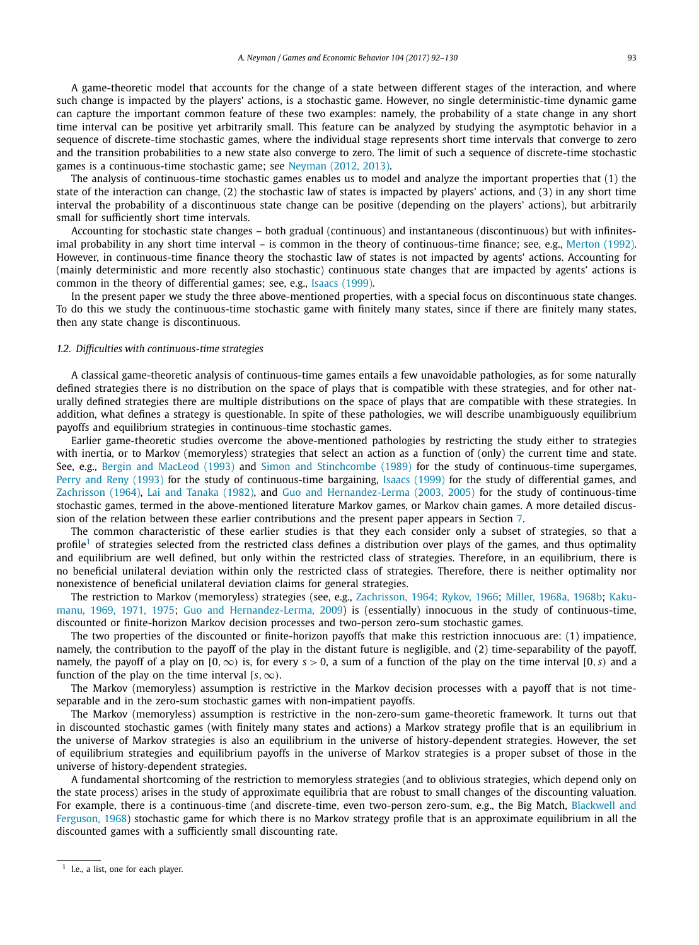A game-theoretic model that accounts for the change of a state between different stages of the interaction, and where such change is impacted by the players' actions, is a stochastic game. However, no single deterministic-time dynamic game can capture the important common feature of these two examples: namely, the probability of a state change in any short time interval can be positive yet arbitrarily small. This feature can be analyzed by studying the asymptotic behavior in a sequence of discrete-time stochastic games, where the individual stage represents short time intervals that converge to zero and the transition probabilities to a new state also converge to zero. The limit of such a sequence of discrete-time stochastic games is a continuous-time stochastic game; see [Neyman](#page-38-0) (2012, 2013).

The analysis of continuous-time stochastic games enables us to model and analyze the important properties that (1) the state of the interaction can change, (2) the stochastic law of states is impacted by players' actions, and (3) in any short time interval the probability of a discontinuous state change can be positive (depending on the players' actions), but arbitrarily small for sufficiently short time intervals.

Accounting for stochastic state changes – both gradual (continuous) and instantaneous (discontinuous) but with infinitesimal probability in any short time interval – is common in the theory of continuous-time finance; see, e.g., [Merton \(1992\).](#page-38-0) However, in continuous-time finance theory the stochastic law of states is not impacted by agents' actions. Accounting for (mainly deterministic and more recently also stochastic) continuous state changes that are impacted by agents' actions is common in the theory of differential games; see, e.g., [Isaacs \(1999\).](#page-38-0)

In the present paper we study the three above-mentioned properties, with a special focus on discontinuous state changes. To do this we study the continuous-time stochastic game with finitely many states, since if there are finitely many states, then any state change is discontinuous.

#### *1.2. Difficulties with continuous-time strategies*

A classical game-theoretic analysis of continuous-time games entails a few unavoidable pathologies, as for some naturally defined strategies there is no distribution on the space of plays that is compatible with these strategies, and for other naturally defined strategies there are multiple distributions on the space of plays that are compatible with these strategies. In addition, what defines a strategy is questionable. In spite of these pathologies, we will describe unambiguously equilibrium payoffs and equilibrium strategies in continuous-time stochastic games.

Earlier game-theoretic studies overcome the above-mentioned pathologies by restricting the study either to strategies with inertia, or to Markov (memoryless) strategies that select an action as a function of (only) the current time and state. See, e.g., Bergin and [MacLeod \(1993\)](#page-38-0) and Simon and [Stinchcombe \(1989\)](#page-38-0) for the study of continuous-time supergames, Perry and [Reny \(1993\)](#page-38-0) for the study of continuous-time bargaining, [Isaacs \(1999\)](#page-38-0) for the study of differential games, and [Zachrisson \(1964\),](#page-38-0) Lai and [Tanaka \(1982\),](#page-38-0) and Guo and [Hernandez-Lerma](#page-38-0) (2003, 2005) for the study of continuous-time stochastic games, termed in the above-mentioned literature Markov games, or Markov chain games. A more detailed discussion of the relation between these earlier contributions and the present paper appears in Section [7.](#page-37-0)

The common characteristic of these earlier studies is that they each consider only a subset of strategies, so that a profile<sup>1</sup> of strategies selected from the restricted class defines a distribution over plays of the games, and thus optimality and equilibrium are well defined, but only within the restricted class of strategies. Therefore, in an equilibrium, there is no beneficial unilateral deviation within only the restricted class of strategies. Therefore, there is neither optimality nor nonexistence of beneficial unilateral deviation claims for general strategies.

The restriction to Markov (memoryless) strategies (see, e.g., Zachrisson, [1964; Rykov,](#page-38-0) 1966; Miller, [1968a,](#page-38-0) 1968b; [Kaku](#page-38-0)[manu,](#page-38-0) 1969, 1971, 1975; Guo and [Hernandez-Lerma,](#page-38-0) 2009) is (essentially) innocuous in the study of continuous-time, discounted or finite-horizon Markov decision processes and two-person zero-sum stochastic games.

The two properties of the discounted or finite-horizon payoffs that make this restriction innocuous are: (1) impatience, namely, the contribution to the payoff of the play in the distant future is negligible, and (2) time-separability of the payoff, namely, the payoff of a play on  $[0, \infty)$  is, for every  $s > 0$ , a sum of a function of the play on the time interval  $[0, s)$  and a function of the play on the time interval  $[s, \infty)$ .

The Markov (memoryless) assumption is restrictive in the Markov decision processes with a payoff that is not timeseparable and in the zero-sum stochastic games with non-impatient payoffs.

The Markov (memoryless) assumption is restrictive in the non-zero-sum game-theoretic framework. It turns out that in discounted stochastic games (with finitely many states and actions) a Markov strategy profile that is an equilibrium in the universe of Markov strategies is also an equilibrium in the universe of history-dependent strategies. However, the set of equilibrium strategies and equilibrium payoffs in the universe of Markov strategies is a proper subset of those in the universe of history-dependent strategies.

A fundamental shortcoming of the restriction to memoryless strategies (and to oblivious strategies, which depend only on the state process) arises in the study of approximate equilibria that are robust to small changes of the discounting valuation. For example, there is a continuous-time (and discrete-time, even two-person zero-sum, e.g., the Big Match, [Blackwell](#page-38-0) and [Ferguson,](#page-38-0) 1968) stochastic game for which there is no Markov strategy profile that is an approximate equilibrium in all the discounted games with a sufficiently small discounting rate.

<sup>&</sup>lt;sup>1</sup> I.e., a list, one for each player.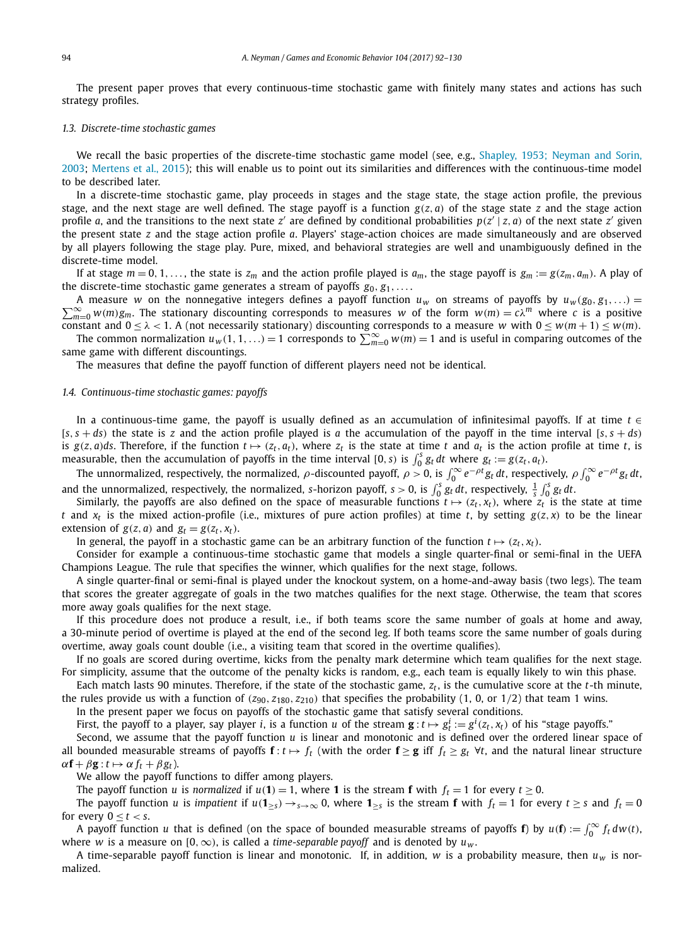The present paper proves that every continuous-time stochastic game with finitely many states and actions has such strategy profiles.

#### *1.3. Discrete-time stochastic games*

We recall the basic properties of the discrete-time stochastic game model (see, e.g., Shapley, [1953; Neyman](#page-38-0) and Sorin, [2003;](#page-38-0) [Mertens](#page-38-0) et al., 2015); this will enable us to point out its similarities and differences with the continuous-time model to be described later.

In a discrete-time stochastic game, play proceeds in stages and the stage state, the stage action profile, the previous stage, and the next stage are well defined. The stage payoff is a function  $g(z, a)$  of the stage state  $z$  and the stage action profile *a*, and the transitions to the next state *z'* are defined by conditional probabilities  $p(z' | z, a)$  of the next state *z'* given the present state *z* and the stage action profile *a*. Players' stage-action choices are made simultaneously and are observed by all players following the stage play. Pure, mixed, and behavioral strategies are well and unambiguously defined in the discrete-time model.

If at stage  $m = 0, 1, \ldots$ , the state is  $z_m$  and the action profile played is  $a_m$ , the stage payoff is  $g_m := g(z_m, a_m)$ . A play of the discrete-time stochastic game generates a stream of payoffs  $g_0, g_1, \ldots$ 

 $\sum_{m=0}^{\infty} w(m)g_m$ . The stationary discounting corresponds to measures *w* of the form  $w(m) = c\lambda^m$  where *c* is a positive A measure *w* on the nonnegative integers defines a payoff function  $u_w$  on streams of payoffs by  $u_w(g_0, g_1, \ldots) =$ constant and  $0 \le \lambda < 1$ . A (not necessarily stationary) discounting corresponds to a measure *w* with  $0 \le w(m + 1) \le w(m)$ .

The common normalization  $u_w(1,1,...)=1$  corresponds to  $\sum_{m=0}^{\infty} w(m)=1$  and is useful in comparing outcomes of the same game with different discountings.

The measures that define the payoff function of different players need not be identical.

#### *1.4. Continuous-time stochastic games: payoffs*

In a continuous-time game, the payoff is usually defined as an accumulation of infinitesimal payoffs. If at time *t* ∈  $[s, s + ds)$  the state is *z* and the action profile played is *a* the accumulation of the payoff in the time interval  $[s, s + ds)$ is  $g(z, a)$ ds. Therefore, if the function  $t \mapsto (z_t, a_t)$ , where  $z_t$  is the state at time t and  $a_t$  is the action profile at time t, is measurable, then the accumulation of payoffs in the time interval [0, *s*) is  $\int_0^s g_t dt$  where  $g_t := g(z_t, a_t)$ .

The unnormalized, respectively, the normalized,  $\rho$ -discounted payoff,  $\rho > 0$ , is  $\int_0^\infty e^{-\rho t} g_t dt$ , respectively,  $\rho \int_0^\infty e^{-\rho t} g_t dt$ and the unnormalized, respectively, the normalized, *s*-horizon payoff,  $s > 0$ , is  $\int_0^s g_t dt$ , respectively,  $\frac{1}{s} \int_0^s g_t dt$ .

Similarly, the payoffs are also defined on the space of measurable functions  $t \mapsto (z_t, x_t)$ , where  $z_t$  is the state at time *t* and  $x_t$  is the mixed action-profile (i.e., mixtures of pure action profiles) at time *t*, by setting  $g(z, x)$  to be the linear extension of  $g(z, a)$  and  $g_t = g(z_t, x_t)$ .

In general, the payoff in a stochastic game can be an arbitrary function of the function  $t \mapsto (z_t, x_t)$ .

Consider for example a continuous-time stochastic game that models a single quarter-final or semi-final in the UEFA Champions League. The rule that specifies the winner, which qualifies for the next stage, follows.

A single quarter-final or semi-final is played under the knockout system, on a home-and-away basis (two legs). The team that scores the greater aggregate of goals in the two matches qualifies for the next stage. Otherwise, the team that scores more away goals qualifies for the next stage.

If this procedure does not produce a result, i.e., if both teams score the same number of goals at home and away, a 30-minute period of overtime is played at the end of the second leg. If both teams score the same number of goals during overtime, away goals count double (i.e., a visiting team that scored in the overtime qualifies).

If no goals are scored during overtime, kicks from the penalty mark determine which team qualifies for the next stage. For simplicity, assume that the outcome of the penalty kicks is random, e.g., each team is equally likely to win this phase.

Each match lasts 90 minutes. Therefore, if the state of the stochastic game,  $z_t$ , is the cumulative score at the *t*-th minute, the rules provide us with a function of  $(z_{90}, z_{180}, z_{210})$  that specifies the probability  $(1, 0,$  or  $1/2)$  that team 1 wins.

In the present paper we focus on payoffs of the stochastic game that satisfy several conditions.

First, the payoff to a player, say player *i*, is a function *u* of the stream  $\mathbf{g}:t\mapsto g_t^i:=g^i(z_t,x_t)$  of his "stage payoffs."

Second, we assume that the payoff function *u* is linear and monotonic and is defined over the ordered linear space of all bounded measurable streams of payoffs  $f : t \mapsto f_t$  (with the order  $f \ge g$  iff  $f_t \ge g_t$   $\forall t$ , and the natural linear structure  $\alpha$ **f** +  $\beta$ **g**:  $t \mapsto \alpha f_t + \beta g_t$ ).

We allow the payoff functions to differ among players.

The payoff function *u* is *normalized* if  $u(1) = 1$ , where **1** is the stream **f** with  $f_t = 1$  for every  $t \ge 0$ .

The payoff function *u* is *impatient* if  $u(1_{\geq s}) \to_{s \to \infty} 0$ , where  $1_{\geq s}$  is the stream **f** with  $f_t = 1$  for every  $t \geq s$  and  $f_t = 0$ for every  $0 \le t \le s$ .

A payoff function *u* that is defined (on the space of bounded measurable streams of payoffs **f**) by  $u(\mathbf{f}) := \int_0^\infty f_t d w(t)$ , where *w* is a measure on [0,  $\infty$ ), is called a *time-separable payoff* and is denoted by  $u_w$ .

A time-separable payoff function is linear and monotonic. If, in addition,  $w$  is a probability measure, then  $u_w$  is normalized.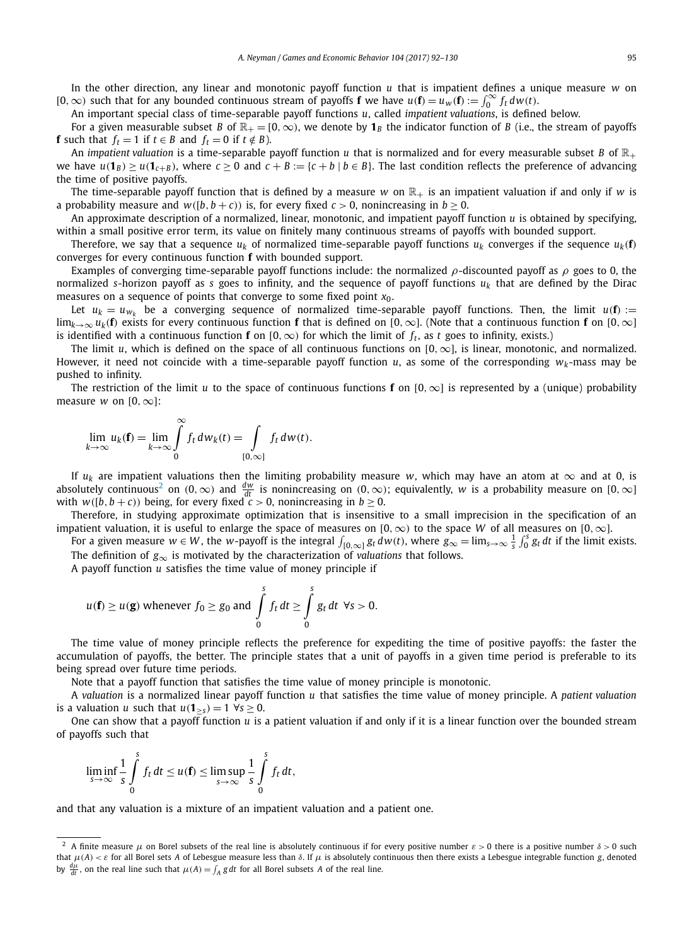In the other direction, any linear and monotonic payoff function *u* that is impatient defines a unique measure *w* on  $[0, ∞)$  such that for any bounded continuous stream of payoffs **f** we have  $u$ (**f**) =  $u_w$ (**f**) :=  $\int_0^\infty f_t dw(t)$ .

An important special class of time-separable payoff functions *u*, called *impatient valuations*, is defined below.

For a given measurable subset *B* of  $\mathbb{R}_+ = [0, \infty)$ , we denote by  $\mathbf{1}_B$  the indicator function of *B* (i.e., the stream of payoffs **f** such that  $f_t = 1$  if  $t \in B$  and  $f_t = 0$  if  $t \notin B$ ).

An *impatient* valuation is a time-separable payoff function  $u$  that is normalized and for every measurable subset  $B$  of  $\mathbb{R}_+$ we have  $u(\mathbf{1}_B) \geq u(\mathbf{1}_{c+B})$ , where  $c \geq 0$  and  $c + B := \{c + b \mid b \in B\}$ . The last condition reflects the preference of advancing the time of positive payoffs.

The time-separable payoff function that is defined by a measure *w* on  $\mathbb{R}_+$  is an impatient valuation if and only if *w* is a probability measure and  $w([b, b + c))$  is, for every fixed  $c > 0$ , nonincreasing in  $b \ge 0$ .

An approximate description of a normalized, linear, monotonic, and impatient payoff function *u* is obtained by specifying, within a small positive error term, its value on finitely many continuous streams of payoffs with bounded support.

Therefore, we say that a sequence  $u_k$  of normalized time-separable payoff functions  $u_k$  converges if the sequence  $u_k(f)$ converges for every continuous function **f** with bounded support.

Examples of converging time-separable payoff functions include: the normalized *ρ*-discounted payoff as *ρ* goes to 0, the normalized *s*-horizon payoff as *s* goes to infinity, and the sequence of payoff functions *uk* that are defined by the Dirac measures on a sequence of points that converge to some fixed point  $x_0$ .

Let  $u_k = u_{w_k}$  be a converging sequence of normalized time-separable payoff functions. Then, the limit  $u(\mathbf{f}) :=$ lim*k*→∞ *uk(***f***)* exists for every continuous function **f** that is defined on [0*,*∞]. (Note that a continuous function **f** on [0*,*∞] is identified with a continuous function **f** on  $[0, \infty)$  for which the limit of  $f_t$ , as *t* goes to infinity, exists.)

The limit *u*, which is defined on the space of all continuous functions on  $[0, \infty]$ , is linear, monotonic, and normalized. However, it need not coincide with a time-separable payoff function  $u$ , as some of the corresponding  $w_k$ -mass may be pushed to infinity.

The restriction of the limit *u* to the space of continuous functions **f** on [0,  $\infty$ ] is represented by a (unique) probability measure *w* on  $[0, \infty]$ :

$$
\lim_{k\to\infty}u_k(\mathbf{f})=\lim_{k\to\infty}\int\limits_0^\infty f_t\,dw_k(t)=\int\limits_{[0,\infty]}f_t\,dw(t).
$$

If  $u_k$  are impatient valuations then the limiting probability measure *w*, which may have an atom at  $\infty$  and at 0, is absolutely continuous<sup>2</sup> on  $(0, \infty)$  and  $\frac{dw}{dt}$  is nonincreasing on  $(0, \infty)$ ; equivalently, *w* is a probability measure on  $[0, \infty]$ with  $w([b, b + c))$  being, for every fixed  $c > 0$ , nonincreasing in  $b \ge 0$ .

Therefore, in studying approximate optimization that is insensitive to a small imprecision in the specification of an impatient valuation, it is useful to enlarge the space of measures on [0*,*∞*)* to the space *W* of all measures on [0*,*∞].

For a given measure  $w \in W$ , the w-payoff is the integral  $\int_{[0,\infty]} g_t dw(t)$ , where  $g_\infty = \lim_{s \to \infty} \frac{1}{s} \int_0^s g_t dt$  if the limit exists. The definition of  $g_{\infty}$  is motivated by the characterization of *valuations* that follows.

A payoff function *u* satisfies the time value of money principle if

$$
u(\mathbf{f}) \ge u(\mathbf{g})
$$
 whenever  $f_0 \ge g_0$  and  $\int_0^s f_t dt \ge \int_0^s g_t dt \ \forall s > 0$ .

The time value of money principle reflects the preference for expediting the time of positive payoffs: the faster the accumulation of payoffs, the better. The principle states that a unit of payoffs in a given time period is preferable to its being spread over future time periods.

Note that a payoff function that satisfies the time value of money principle is monotonic.

A *valuation* is a normalized linear payoff function *u* that satisfies the time value of money principle. A *patient valuation* is a valuation *u* such that  $u(1_{>s}) = 1 \ \forall s > 0$ .

One can show that a payoff function *u* is a patient valuation if and only if it is a linear function over the bounded stream of payoffs such that

$$
\liminf_{s\to\infty}\frac{1}{s}\int_{0}^{s}f_t dt\leq u(\mathbf{f})\leq \limsup_{s\to\infty}\frac{1}{s}\int_{0}^{s}f_t dt,
$$

and that any valuation is a mixture of an impatient valuation and a patient one.

<sup>2</sup> A finite measure *μ* on Borel subsets of the real line is absolutely continuous if for every positive number *ε >* 0 there is a positive number *δ >* 0 such that  $μ(A) < ε$  for all Borel sets *A* of Lebesgue measure less than  $δ$ . If  $μ$  is absolutely continuous then there exists a Lebesgue integrable function *g*, denoted by  $\frac{d\mu}{dt}$ , on the real line such that  $\mu(A) = \int_A g dt$  for all Borel subsets *A* of the real line.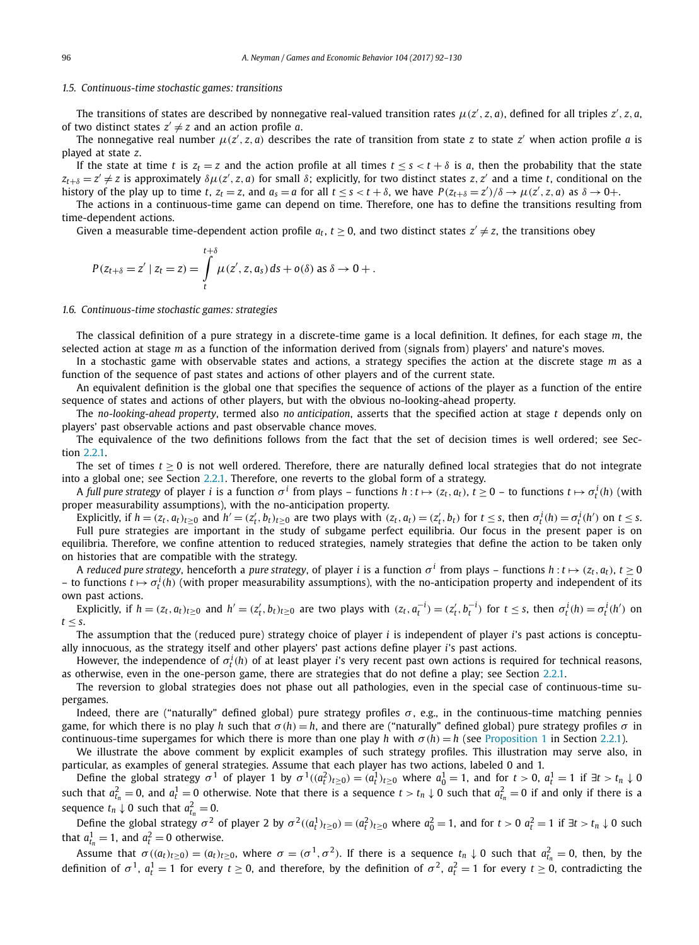#### *1.5. Continuous-time stochastic games: transitions*

The transitions of states are described by nonnegative real-valued transition rates  $\mu(z', z, a)$ , defined for all triples  $z', z, a$ , of two distinct states  $z' \neq z$  and an action profile *a*.

The nonnegative real number  $\mu(z', z, a)$  describes the rate of transition from state *z* to state *z'* when action profile *a* is played at state *z*.

If the state at time *t* is  $z_t = z$  and the action profile at all times  $t < s < t + \delta$  is *a*, then the probability that the state  $z_{t+\delta}=z'\neq z$  is approximately  $\delta\mu(z',z,a)$  for small  $\delta$ ; explicitly, for two distinct states  $z,z'$  and a time t, conditional on the history of the play up to time t,  $z_t = z$ , and  $a_s = a$  for all  $t \le s < t + \delta$ , we have  $P(z_{t+\delta} = z')/\delta \to \mu(z', z, a)$  as  $\delta \to 0+$ .

The actions in a continuous-time game can depend on time. Therefore, one has to define the transitions resulting from time-dependent actions.

Given a measurable time-dependent action profile  $a_t$ ,  $t \ge 0$ , and two distinct states  $z' \ne z$ , the transitions obey

$$
P(z_{t+\delta}=z' | z_t = z) = \int\limits_t^{t+\delta} \mu(z', z, a_s) \, ds + o(\delta) \text{ as } \delta \to 0 + .
$$

#### *1.6. Continuous-time stochastic games: strategies*

The classical definition of a pure strategy in a discrete-time game is a local definition. It defines, for each stage *m*, the selected action at stage *m* as a function of the information derived from (signals from) players' and nature's moves.

In a stochastic game with observable states and actions, a strategy specifies the action at the discrete stage *m* as a function of the sequence of past states and actions of other players and of the current state.

An equivalent definition is the global one that specifies the sequence of actions of the player as a function of the entire sequence of states and actions of other players, but with the obvious no-looking-ahead property.

The *no-looking-ahead property*, termed also *no anticipation*, asserts that the specified action at stage *t* depends only on players' past observable actions and past observable chance moves.

The equivalence of the two definitions follows from the fact that the set of decision times is well ordered; see Section [2.2.1.](#page-12-0)

The set of times  $t > 0$  is not well ordered. Therefore, there are naturally defined local strategies that do not integrate into a global one; see Section [2.2.1.](#page-12-0) Therefore, one reverts to the global form of a strategy.

A full pure strategy of player  $i$  is a function  $\sigma^i$  from plays – functions  $h:t\mapsto (z_t,a_t),\ t\ge 0$  – to functions  $t\mapsto \sigma^i_t(h)$  (with proper measurability assumptions), with the no-anticipation property.

Explicitly, if  $h = (z_t, a_t)_{t \ge 0}$  and  $h' = (z'_t, b_t)_{t \ge 0}$  are two plays with  $(z_t, a_t) = (z'_t, b_t)$  for  $t \le s$ , then  $\sigma_t^i(h) = \sigma_t^i(h')$  on  $t \le s$ . Full pure strategies are important in the study of subgame perfect equilibria. Our focus in the present paper is on equilibria. Therefore, we confine attention to reduced strategies, namely strategies that define the action to be taken only on histories that are compatible with the strategy.

A reduced pure strategy, henceforth a pure strategy, of player *i* is a function  $\sigma^i$  from plays – functions  $h: t \mapsto (z_t, a_t)$ ,  $t \ge 0$  $-$  to functions *t*  $\mapsto \sigma_t^i(h)$  (with proper measurability assumptions), with the no-anticipation property and independent of its own past actions.

Explicitly, if  $h = (z_t, a_t)_{t \geq 0}$  and  $h' = (z'_t, b_t)_{t \geq 0}$  are two plays with  $(z_t, a_t^{-1}) = (z'_t, b_t^{-1})$  for  $t \leq s$ , then  $\sigma_t^i(h) = \sigma_t^i(h')$  on  $t \leq s$ .

The assumption that the (reduced pure) strategy choice of player *i* is independent of player *i*'s past actions is conceptually innocuous, as the strategy itself and other players' past actions define player *i*'s past actions.

However, the independence of  $\sigma_t^i(h)$  of at least player *i*'s very recent past own actions is required for technical reasons, as otherwise, even in the one-person game, there are strategies that do not define a play; see Section [2.2.1.](#page-12-0)

The reversion to global strategies does not phase out all pathologies, even in the special case of continuous-time supergames.

Indeed, there are ("naturally" defined global) pure strategy profiles  $\sigma$ , e.g., in the continuous-time matching pennies game, for which there is no play *h* such that  $σ(h) = h$ , and there are ("naturally" defined global) pure strategy profiles  $σ$  in continuous-time supergames for which there is more than one play *h* with  $\sigma(h) = h$  (see [Proposition 1](#page-12-0) in Section [2.2.1\)](#page-12-0).

We illustrate the above comment by explicit examples of such strategy profiles. This illustration may serve also, in particular, as examples of general strategies. Assume that each player has two actions, labeled 0 and 1.

Define the global strategy  $\sigma^1$  of player 1 by  $\sigma^1((a_t^2)_{t\geq 0})=(a_t^1)_{t\geq 0}$  where  $a_0^1=1$ , and for  $t>0$ ,  $a_t^1=1$  if  $\exists t>t_n\downarrow 0$ such that  $a_{t_n}^2=0$ , and  $a_t^1=0$  otherwise. Note that there is a sequence  $t>t_n\downarrow 0$  such that  $a_{t_n}^2=0$  if and only if there is a sequence  $t_n \downarrow 0$  such that  $a_{t_n}^2 = 0$ .

Define the global strategy  $\sigma^2$  of player 2 by  $\sigma^2((a_t^1)_{t\geq 0})=(a_t^2)_{t\geq 0}$  where  $a_0^2=1$ , and for  $t>0$   $a_t^2=1$  if  $\exists t>t_n\downarrow 0$  such that  $a_{t_n}^1 = 1$ , and  $a_t^2 = 0$  otherwise.

Assume that  $\sigma((a_t)_{t\geq0})=(a_t)_{t\geq0}$ , where  $\sigma=(\sigma^1,\sigma^2)$ . If there is a sequence  $t_n\downarrow0$  such that  $a_{t_n}^2=0$ , then, by the definition of  $\sigma^1$ ,  $a_t^1 = 1$  for every  $t \ge 0$ , and therefore, by the definition of  $\sigma^2$ ,  $a_t^2 = 1$  for every  $t \ge 0$ , contradicting the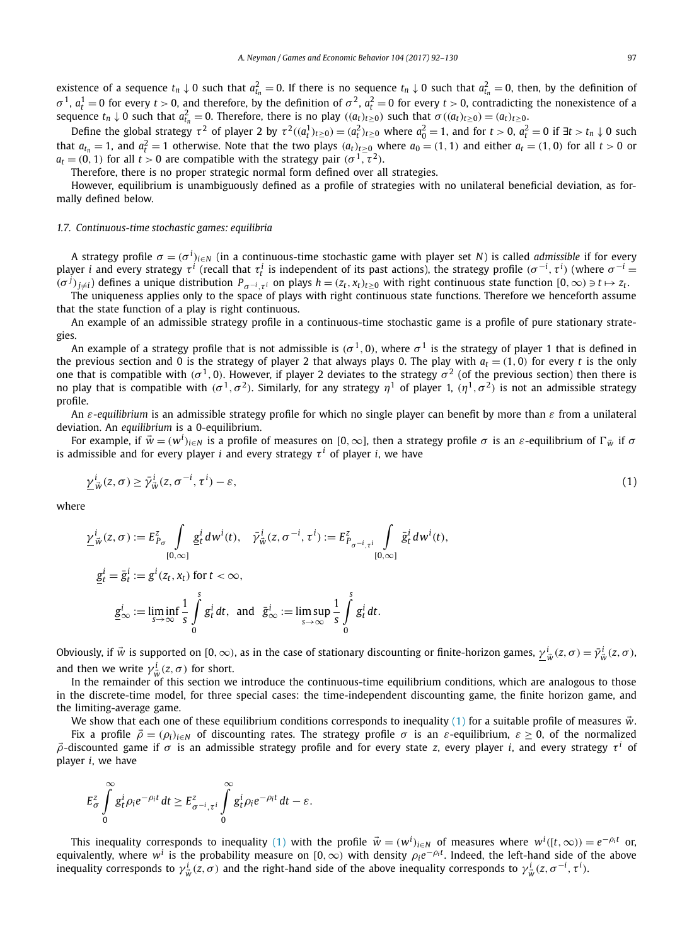<span id="page-5-0"></span>existence of a sequence  $t_n \downarrow 0$  such that  $a_{t_n}^2 = 0$ . If there is no sequence  $t_n \downarrow 0$  such that  $a_{t_n}^2 = 0$ , then, by the definition of *σ*<sup>1</sup>,  $a_t^1 = 0$  for every *t* > 0, and therefore, by the definition of  $\sigma^2$ ,  $a_t^2 = 0$  for every *t* > 0, contradicting the nonexistence of a sequence  $t_n \downarrow 0$  such that  $a_{t_n}^2 = 0$ . Therefore, there is no play  $((a_t)_{t \geq 0})$  such that  $\sigma((a_t)_{t \geq 0}) = (a_t)_{t \geq 0}$ .

Define the global strategy  $\tau^2$  of player 2 by  $\tau^2((a_t^1)_{t\geq 0})=(a_t^2)_{t\geq 0}$  where  $a_0^2=1$ , and for  $t>0$ ,  $a_t^2=0$  if  $\exists t>t_n\downarrow 0$  such that  $a_{t_n}=1$ , and  $a_t^2=1$  otherwise. Note that the two plays  $(a_t)_{t\geq0}$  where  $a_0=(1,1)$  and either  $a_t=(1,0)$  for all  $t>0$  or  $a_t = (0, 1)$  for all  $t > 0$  are compatible with the strategy pair  $(\sigma^1, \tau^2)$ .

Therefore, there is no proper strategic normal form defined over all strategies.

However, equilibrium is unambiguously defined as a profile of strategies with no unilateral beneficial deviation, as formally defined below.

#### *1.7. Continuous-time stochastic games: equilibria*

A strategy profile  $\sigma = (\sigma^i)_{i\in N}$  (in a continuous-time stochastic game with player set N) is called *admissible* if for every player  $i$  and every strategy  $\tau^i$  (recall that  $\tau^i_t$  is independent of its past actions), the strategy profile  $(\sigma^{-i},\tau^i)$  (where  $\sigma^{-i}=$  $(\sigma^j)_{j\neq i}$ ) defines a unique distribution  $P_{\sigma^{-i},\tau^i}$  on plays  $h=(z_t,x_t)_{t\geq 0}$  with right continuous state function  $[0,\infty) \ni t \mapsto z_t$ .

The uniqueness applies only to the space of plays with right continuous state functions. Therefore we henceforth assume that the state function of a play is right continuous.

An example of an admissible strategy profile in a continuous-time stochastic game is a profile of pure stationary strategies.

An example of a strategy profile that is not admissible is  $(\sigma^1, 0)$ , where  $\sigma^1$  is the strategy of player 1 that is defined in the previous section and 0 is the strategy of player 2 that always plays 0. The play with  $a_t = (1, 0)$  for every *t* is the only one that is compatible with  $(\sigma^1, 0)$ . However, if player 2 deviates to the strategy  $\sigma^2$  (of the previous section) then there is *no* play that is compatible with ( $σ$ <sup>1</sup>,  $σ$ <sup>2</sup>). Similarly, for any strategy  $η$ <sup>1</sup> of player 1,  $(η$ <sup>1</sup>,  $σ$ <sup>2</sup>) is not an admissible strategy profile.

An *ε-equilibrium* is an admissible strategy profile for which no single player can benefit by more than *ε* from a unilateral deviation. An *equilibrium* is a 0-equilibrium.

For example, if  $\vec{w} = (w^i)_{i\in N}$  is a profile of measures on [0,  $\infty$ ], then a strategy profile  $\sigma$  is an  $\varepsilon$ -equilibrium of  $\Gamma_{\vec{w}}$  if  $\sigma$ is admissible and for every player *i* and every strategy  $\tau^{i}$  of player *i*, we have

$$
\underline{\gamma}^i_{\vec{w}}(z,\sigma) \ge \bar{\gamma}^i_{\vec{w}}(z,\sigma^{-i},\tau^i) - \varepsilon,\tag{1}
$$

where

$$
\underline{y}^i_{\vec{w}}(z,\sigma) := E^z_{P_{\sigma}} \int_{[0,\infty]} \underline{g}^i_t dw^i(t), \quad \bar{\gamma}^i_{\vec{w}}(z,\sigma^{-i},\tau^i) := E^z_{P_{\sigma^{-i},\tau^i}} \int_{[0,\infty]} \bar{g}^i_t dw^i(t),
$$
  

$$
\underline{g}^i_t = \bar{g}^i_t := g^i(z_t, x_t) \text{ for } t < \infty,
$$
  

$$
\underline{g}^i_{\infty} := \liminf_{s \to \infty} \frac{1}{s} \int_0^s g^i_t dt, \text{ and } \bar{g}^i_{\infty} := \limsup_{s \to \infty} \frac{1}{s} \int_0^s g^i_t dt.
$$

Obviously, if  $\vec{w}$  is supported on [0,  $\infty$ ), as in the case of stationary discounting or finite-horizon games,  $\frac{\gamma^i}{\omega}(z,\sigma)=\bar{\gamma}^i_{\vec{w}}(z,\sigma)$ , and then we write  $\gamma^i_{\vec{w}}(z,\sigma)$  for short.

In the remainder of this section we introduce the continuous-time equilibrium conditions, which are analogous to those in the discrete-time model, for three special cases: the time-independent discounting game, the finite horizon game, and the limiting-average game.

We show that each one of these equilibrium conditions corresponds to inequality (1) for a suitable profile of measures  $\vec{w}$ . Fix a profile  $\vec{\rho} = (\rho_i)_{i \in \mathbb{N}}$  of discounting rates. The strategy profile  $\sigma$  is an  $\varepsilon$ -equilibrium,  $\varepsilon \geq 0$ , of the normalized *ρ*-discounted game if *σ* is an admissible strategy profile and for every state *z*, every player *i*, and every strategy *τ <sup>i</sup>* of player *i*, we have

$$
E_{\sigma}^{z}\int\limits_{0}^{\infty}g_{t}^{i}\rho_{i}e^{-\rho_{i}t}dt\geq E_{\sigma^{-i},\tau^{i}}^{z}\int\limits_{0}^{\infty}g_{t}^{i}\rho_{i}e^{-\rho_{i}t}dt-\varepsilon.
$$

This inequality corresponds to inequality (1) with the profile  $\vec{w}=(w^i)_{i\in\mathbb{N}}$  of measures where  $w^i([t,\infty))=e^{-\rho_i t}$  or, equivalently, where *<sup>w</sup><sup>i</sup>* is the probability measure on [0*,*∞*)* with density *ρie*−*ρit* . Indeed, the left-hand side of the above inequality corresponds to  $\gamma_{\vec{w}}^i(z,\sigma)$  and the right-hand side of the above inequality corresponds to  $\gamma_{\vec{w}}^i(z,\sigma^{-i},\tau^i)$ .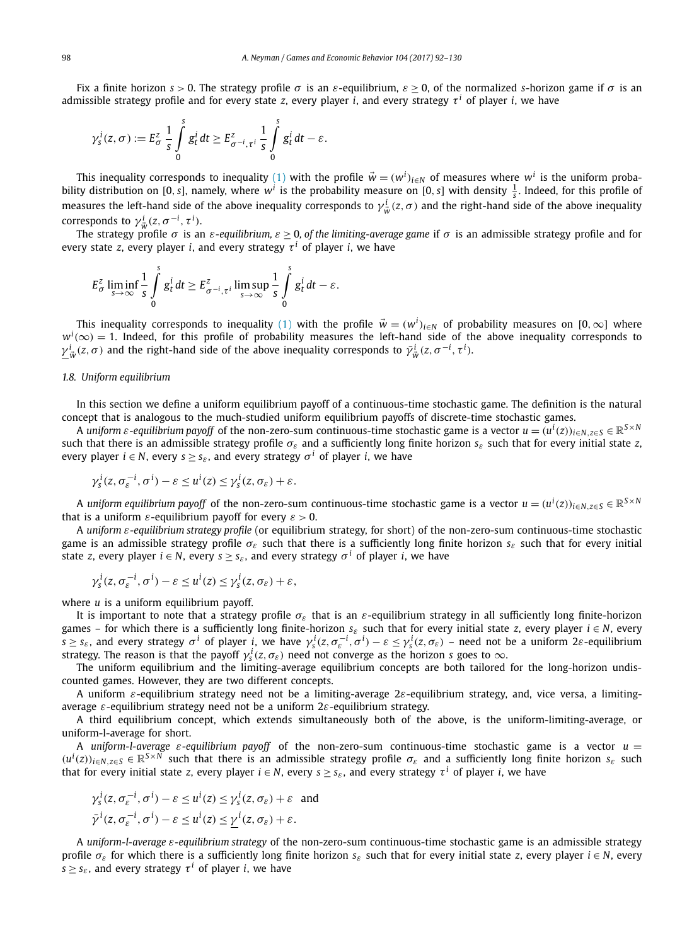Fix a finite horizon *s >* 0. The strategy profile *σ* is an *ε*-equilibrium, *ε* ≥ 0, of the normalized *s*-horizon game if *σ* is an admissible strategy profile and for every state *z*, every player *i*, and every strategy  $\tau^i$  of player *i*, we have

$$
\gamma_s^i(z,\sigma) := E_\sigma^z \frac{1}{s} \int_0^s g_t^i dt \ge E_{\sigma^{-i},\tau^i}^z \frac{1}{s} \int_0^s g_t^i dt - \varepsilon.
$$

This inequality corresponds to inequality [\(1\)](#page-5-0) with the profile  $\vec{w} = (w^i)_{i \in N}$  of measures where  $w^i$  is the uniform probability distribution on [0, *s*], namely, where  $w^i$  is the probability measure on [0, *s*] with density  $\frac{1}{s}$ . Indeed, for this profile of measures the left-hand side of the above inequality corresponds to  $\gamma^i_{\vec{w}}(z,\sigma)$  and the right-hand side of the above inequality corresponds to  $\gamma_{\vec{w}}^i(z, \sigma^{-i}, \tau^i)$ .

The strategy profile  $\sigma$  is an  $\varepsilon$ -equilibrium,  $\varepsilon \geq 0$ , of the limiting-average game if  $\sigma$  is an admissible strategy profile and for every state *z*, every player *i*, and every strategy  $\tau^{i}$  of player *i*, we have

$$
E_{\sigma}^{z} \liminf_{s \to \infty} \frac{1}{s} \int_{0}^{s} g_{t}^{i} dt \geq E_{\sigma^{-i}, \tau^{i}}^{z} \limsup_{s \to \infty} \frac{1}{s} \int_{0}^{s} g_{t}^{i} dt - \varepsilon.
$$

This inequality corresponds to inequality  $(1)$  with the profile  $\vec{w} = (w^i)_{i\in N}$  of probability measures on  $[0,\infty]$  where  $w^i(\infty)=1$ . Indeed, for this profile of probability measures the left-hand side of the above inequality corresponds to *γ*<sup> $i$ </sup><sub>*w*</sub></sub> (*z*, *σ*) and the right-hand side of the above inequality corresponds to  $\bar{\gamma}^i_{\bar{w}}(z, \sigma^{-i}, \tau^i)$ .

#### *1.8. Uniform equilibrium*

In this section we define a uniform equilibrium payoff of a continuous-time stochastic game. The definition is the natural concept that is analogous to the much-studied uniform equilibrium payoffs of discrete-time stochastic games.

A uniform  $\varepsilon$ -equilibrium payoff of the non-zero-sum continuous-time stochastic game is a vector  $u=(u^i(z))_{i\in N, z\in S}\in\mathbb{R}^{S\times N}$ such that there is an admissible strategy profile  $\sigma_{\varepsilon}$  and a sufficiently long finite horizon  $s_{\varepsilon}$  such that for every initial state *z*, every player  $i \in N$ , every  $s > s_s$ , and every strategy  $\sigma^i$  of player *i*, we have

$$
\gamma_s^i(z, \sigma_\varepsilon^{-i}, \sigma^i) - \varepsilon \le u^i(z) \le \gamma_s^i(z, \sigma_\varepsilon) + \varepsilon.
$$

A uniform equilibrium payoff of the non-zero-sum continuous-time stochastic game is a vector  $u=(u^i(z))_{i\in N, z\in S}\in\mathbb{R}^{S\times N}$ that is a uniform  $\varepsilon$ -equilibrium payoff for every  $\varepsilon > 0$ .

A *uniform ε-equilibrium strategy profile* (or equilibrium strategy, for short) of the non-zero-sum continuous-time stochastic game is an admissible strategy profile  $\sigma_{\epsilon}$  such that there is a sufficiently long finite horizon  $s_{\epsilon}$  such that for every initial state *z*, every player  $i \in N$ , every  $s \geq s_{\varepsilon}$ , and every strategy  $\sigma^{i}$  of player *i*, we have

$$
\gamma_s^i(z, \sigma_\varepsilon^{-i}, \sigma^i) - \varepsilon \le u^i(z) \le \gamma_s^i(z, \sigma_\varepsilon) + \varepsilon,
$$

where *u* is a uniform equilibrium payoff.

It is important to note that a strategy profile *σε* that is an *ε*-equilibrium strategy in all sufficiently long finite-horizon games – for which there is a sufficiently long finite-horizon  $s_{\varepsilon}$  such that for every initial state *z*, every player  $i \in N$ , every  $s \geq s_{\varepsilon}$ , and every strategy  $\sigma^i$  of player *i*, we have  $\gamma_s^i(z, \sigma_{\varepsilon}^{-i}, \sigma^i) - \varepsilon \leq \gamma_s^i(z, \sigma_{\varepsilon})$  – need not be a uniform 2 $\varepsilon$ -equilibrium strategy. The reason is that the payoff  $\gamma_s^i(z,\sigma_\varepsilon)$  need not converge as the horizon  $s$  goes to  $\infty$ .

The uniform equilibrium and the limiting-average equilibrium concepts are both tailored for the long-horizon undiscounted games. However, they are two different concepts.

A uniform *ε*-equilibrium strategy need not be a limiting-average 2*ε*-equilibrium strategy, and, vice versa, a limitingaverage *ε*-equilibrium strategy need not be a uniform 2*ε*-equilibrium strategy.

A third equilibrium concept, which extends simultaneously both of the above, is the uniform-limiting-average, or uniform-l-average for short.

A *uniform-l-average ε-equilibrium payoff* of the non-zero-sum continuous-time stochastic game is a vector *u* =  $(u^{i}(z))_{i\in N, z\in S}\in \mathbb{R}^{S\times N}$  such that there is an admissible strategy profile  $\sigma_{\varepsilon}$  and a sufficiently long finite horizon  $s_{\varepsilon}$  such that for every initial state *z*, every player  $i \in N$ , every  $s \geq s_{\varepsilon}$ , and every strategy  $\tau^{i}$  of player *i*, we have

$$
\begin{aligned} \gamma_s^i(z, \sigma_\varepsilon^{-i}, \sigma^i) - \varepsilon &\le u^i(z) \le \gamma_s^i(z, \sigma_\varepsilon) + \varepsilon \quad \text{and} \\ \bar{\gamma}^i(z, \sigma_\varepsilon^{-i}, \sigma^i) - \varepsilon &\le u^i(z) \le \underline{\gamma}^i(z, \sigma_\varepsilon) + \varepsilon. \end{aligned}
$$

A *uniform-l-average ε-equilibrium strategy* of the non-zero-sum continuous-time stochastic game is an admissible strategy profile  $\sigma_{\varepsilon}$  for which there is a sufficiently long finite horizon  $s_{\varepsilon}$  such that for every initial state *z*, every player  $i \in N$ , every *s*  $\ge$  *s*<sub>*ε*</sub>, and every strategy  $\tau$ <sup>*i*</sup> of player *i*, we have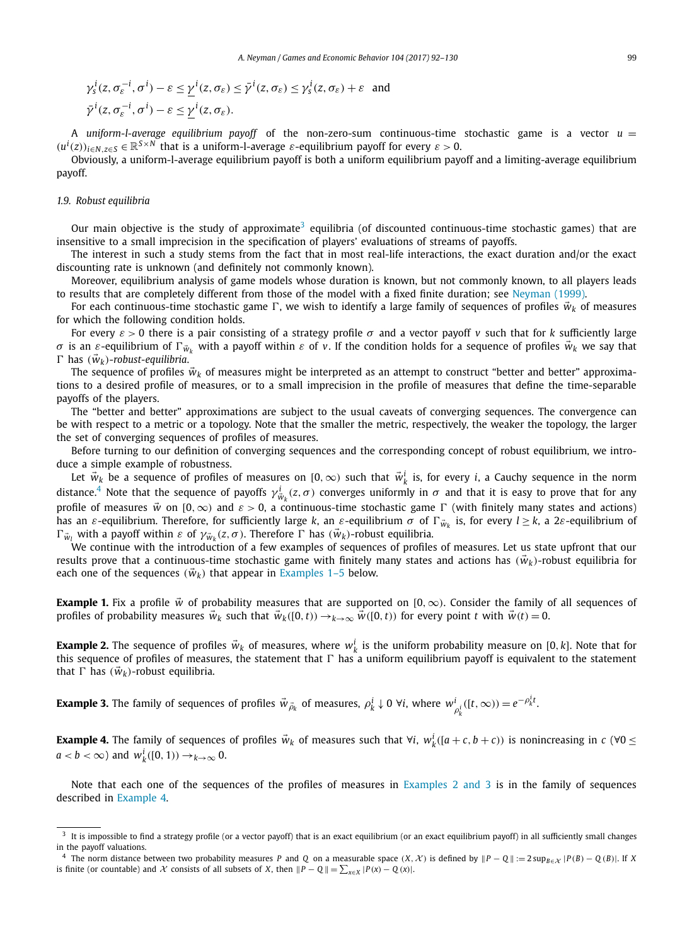<span id="page-7-0"></span>
$$
\gamma_s^i(z, \sigma_\varepsilon^{-i}, \sigma^i) - \varepsilon \le \underline{\gamma}^i(z, \sigma_\varepsilon) \le \overline{\gamma}^i(z, \sigma_\varepsilon) \le \gamma_s^i(z, \sigma_\varepsilon) + \varepsilon \text{ and}
$$
  

$$
\overline{\gamma}^i(z, \sigma_\varepsilon^{-i}, \sigma^i) - \varepsilon \le \underline{\gamma}^i(z, \sigma_\varepsilon).
$$

A *uniform-l-average equilibrium payoff* of the non-zero-sum continuous-time stochastic game is a vector *u* =  $(u^{i}(z))_{i\in N, z\in S} \in \mathbb{R}^{S\times N}$  that is a uniform-l-average  $\varepsilon$ -equilibrium payoff for every  $\varepsilon > 0$ .

Obviously, a uniform-l-average equilibrium payoff is both a uniform equilibrium payoff and a limiting-average equilibrium payoff.

#### *1.9. Robust equilibria*

Our main objective is the study of approximate<sup>3</sup> equilibria (of discounted continuous-time stochastic games) that are insensitive to a small imprecision in the specification of players' evaluations of streams of payoffs.

The interest in such a study stems from the fact that in most real-life interactions, the exact duration and/or the exact discounting rate is unknown (and definitely not commonly known).

Moreover, equilibrium analysis of game models whose duration is known, but not commonly known, to all players leads to results that are completely different from those of the model with a fixed finite duration; see [Neyman \(1999\).](#page-38-0)

For each continuous-time stochastic game  $\Gamma$ , we wish to identify a large family of sequences of profiles  $\vec{w}_k$  of measures for which the following condition holds.

For every *ε >* 0 there is a pair consisting of a strategy profile *σ* and a vector payoff *v* such that for *k* sufficiently large *σ* is an *ε*-equilibrium of Γ $\vec{w}_k$  with a payoff within *ε* of *v*. If the condition holds for a sequence of profiles  $\vec{w}_k$  we say that  $\Gamma$  has  $(\vec{w}_k)$ -robust-equilibria.

The sequence of profiles  $\vec{w}_k$  of measures might be interpreted as an attempt to construct "better and better" approximations to a desired profile of measures, or to a small imprecision in the profile of measures that define the time-separable payoffs of the players.

The "better and better" approximations are subject to the usual caveats of converging sequences. The convergence can be with respect to a metric or a topology. Note that the smaller the metric, respectively, the weaker the topology, the larger the set of converging sequences of profiles of measures.

Before turning to our definition of converging sequences and the corresponding concept of robust equilibrium, we introduce a simple example of robustness.

Let  $\vec{w}_k$  be a sequence of profiles of measures on  $[0,\infty)$  such that  $\vec{w}_k^i$  is, for every *i*, a Cauchy sequence in the norm distance.<sup>4</sup> Note that the sequence of payoffs  $\gamma_{w_k}^i(z,\sigma)$  converges uniformly in  $\sigma$  and that it is easy to prove that for any profile of measures  $\vec{w}$  on  $[0,\infty)$  and  $\varepsilon > 0$ , a continuous-time stochastic game  $\Gamma$  (with finitely many states and actions) has an *ε*-equilibrium. Therefore, for sufficiently large *k*, an *ε*-equilibrium *σ* of Γ<sub>*W<sub>k</sub>*</sub> is, for every  $l \ge k$ , a 2*ε*-equilibrium of *l*  $\Gamma_{\vec{w}_l}$  with a payoff within *ε* of  $\gamma_{\vec{w}_k}(z, \sigma)$ . Therefore Γ has  $(\vec{w}_k)$ -robust equilibria.

We continue with the introduction of a few examples of sequences of profiles of measures. Let us state upfront that our results prove that a continuous-time stochastic game with finitely many states and actions has  $(\vec{w}_k)$ -robust equilibria for each one of the sequences  $(\vec{w}_k)$  that appear in Examples 1–5 below.

**Example 1.** Fix a profile *w* of probability measures that are supported on [0*,*∞*)*. Consider the family of all sequences of profiles of probability measures  $\vec{w}_k$  such that  $\vec{w}_k([0,t)) \rightarrow_{k \to \infty} \vec{w}([0,t))$  for every point t with  $\vec{w}(t) = 0$ .

**Example 2.** The sequence of profiles  $\vec{w}_k$  of measures, where  $w_k^i$  is the uniform probability measure on [0, *k*]. Note that for this sequence of profiles of measures, the statement that  $\Gamma$  has a uniform equilibrium payoff is equivalent to the statement that  $\Gamma$  has  $(\vec{w}_k)$ -robust equilibria.

**Example 3.** The family of sequences of profiles  $\vec{w}_{\vec{\rho}_k}$  of measures,  $\rho_k^i\downarrow 0$   $\forall i$ , where  $w_{\rho_k^i}^i([t,\infty))=e^{-\rho_k^i t}$ .

**Example 4.** The family of sequences of profiles  $\vec{w}_k$  of measures such that  $\forall i$ ,  $w_k^i([a+c, b+c))$  is nonincreasing in  $c(\forall 0 \leq$  $a < b < \infty$ ) and  $w_k^i([0, 1)) \rightarrow_{k \rightarrow \infty} 0$ .

Note that each one of the sequences of the profiles of measures in Examples 2 and 3 is in the family of sequences described in Example 4.

 $3$  It is impossible to find a strategy profile (or a vector payoff) that is an exact equilibrium (or an exact equilibrium payoff) in all sufficiently small changes in the payoff valuations.

<sup>&</sup>lt;sup>4</sup> The norm distance between two probability measures P and Q on a measurable space  $(X, X)$  is defined by  $||P - Q|| := 2 \sup_{B \in X} |P(B) - Q(B)|$ . If X is finite (or countable) and  $\mathcal X$  consists of all subsets of  $X$ , then  $||P - Q|| = \sum_{x \in X} |P(x) - Q(x)|$ .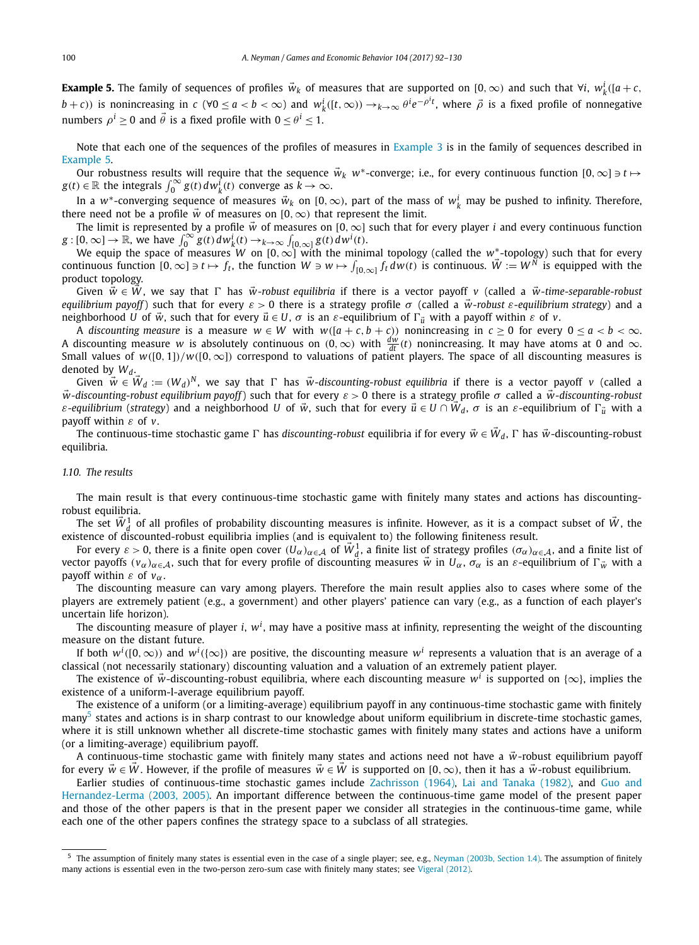**Example 5.** The family of sequences of profiles  $\vec{w}_k$  of measures that are supported on [0, ∞) and such that  $\forall i$ ,  $w_k^i$ ([a + c,  $(b+c)$ ) is nonincreasing in  $c$  ( $\forall 0 \le a < b < \infty$ ) and  $w_k^i([t,\infty)) \to_{k\to\infty} \theta^i e^{-\rho^i t}$ , where  $\vec{\rho}$  is a fixed profile of nonnegative numbers  $\rho^i \geq 0$  and  $\vec{\theta}$  is a fixed profile with  $0 \leq \theta^i \leq 1$ .

Note that each one of the sequences of the profiles of measures in [Example 3](#page-7-0) is in the family of sequences described in Example 5.

Our robustness results will require that the sequence  $\vec{w}_k$  *w*<sup>\*</sup>-converge; i.e., for every continuous function  $[0, \infty] \ni t \mapsto$  $g(t) \in \mathbb{R}$  the integrals  $\int_0^\infty g(t) \, dw_k^{\hat{i}}(t)$  converge as  $\hat{k} \to \infty$ .

In a  $w^*$ -converging sequence of measures  $\vec{w}_k$  on  $[0,\infty)$ , part of the mass of  $w^i_k$  may be pushed to infinity. Therefore, there need not be a profile  $\vec{w}$  of measures on  $[0, \infty)$  that represent the limit.

The limit is represented by a profile  $\vec{w}$  of measures on [0,  $\infty$ ] such that for every player *i* and every continuous function  $g:[0,\infty]\to\mathbb{R}$ , we have  $\int_0^\infty g(t) dw_k^i(t) \to_{k\to\infty} \int_{[0,\infty]} g(t) dw^i(t)$ .

We equip the space of measures *W* on [0*,*∞] with the minimal topology (called the *w*∗-topology) such that for every continuous function  $[0, \infty] \ni t \mapsto f_t$ , the function  $W \ni W \mapsto \int_{[0, \infty]} f_t dw(t)$  is continuous.  $\vec{W} := W^{\vec{N}}$  is equipped with the product topology.

Given  $\vec{w} \in \vec{W}$ , we say that  $\Gamma$  has  $\vec{w}$ -robust equilibria if there is a vector payoff *v* (called a  $\vec{w}$ -time-separable-robust *equilibrium payoff*) such that for every *ε >* 0 there is a strategy profile *σ* (called a *w-robust ε-equilibrium strategy*) and a neighborhood *U* of  $\vec{w}$ , such that for every  $\vec{u} \in U$ ,  $\sigma$  is an *ε*-equilibrium of Γ<sub> $\vec{u}$ </sub> with a payoff within *ε* of *v*.

A discounting measure is a measure  $w \in W$  with  $w([a + c, b + c))$  nonincreasing in  $c \ge 0$  for every  $0 \le a < b < \infty$ . A discounting measure *w* is absolutely continuous on  $(0, \infty)$  with  $\frac{dw}{dt}(t)$  nonincreasing. It may have atoms at 0 and  $\infty$ . Small values of  $w([0,1])/w([0,\infty])$  correspond to valuations of patient players. The space of all discounting measures is denoted by *Wd*.

Given  $\vec{w} \in \vec{W}_d := (W_d)^N$ , we say that  $\Gamma$  has  $\vec{w}$ -discounting-robust equilibria if there is a vector payoff *v* (called a *w-discounting-robust equilibrium payoff*) such that for every *ε >* 0 there is a strategy profile *σ* called a *w-discounting-robust ε*-equilibrium (*strategy*) and a neighborhood *U* of  $\vec{w}$ , such that for every  $\vec{u} \in U \cap \vec{W}_d$ ,  $\sigma$  is an *ε*-equilibrium of  $\Gamma_{\vec{u}}$  with a payoff within *ε* of *v*.

The continuous-time stochastic game  $\Gamma$  has *discounting-robust* equilibria if for every  $\vec{w} \in \vec{W}_d$ ,  $\Gamma$  has  $\vec{w}$ -discounting-robust equilibria.

#### *1.10. The results*

The main result is that every continuous-time stochastic game with finitely many states and actions has discountingrobust equilibria.

The set  $\vec{W}_{d}^1$  of all profiles of probability discounting measures is infinite. However, as it is a compact subset of  $\vec{W}$ , the existence of discounted-robust equilibria implies (and is equivalent to) the following finiteness result.

For every  $\varepsilon > 0$ , there is a finite open cover  $(U_\alpha)_{\alpha \in \mathcal{A}}$  of  $\vec{W}^1_d$ , a finite list of strategy profiles  $(\sigma_\alpha)_{\alpha \in \mathcal{A}}$ , and a finite list of vector payoffs  $(v_\alpha)_{\alpha \in A}$ , such that for every profile of discounting measures  $\vec{w}$  in  $U_\alpha$ ,  $\sigma_\alpha$  is an  $\varepsilon$ -equilibrium of  $\Gamma_{\vec{w}}$  with a payoff within *ε* of *vα*.

The discounting measure can vary among players. Therefore the main result applies also to cases where some of the players are extremely patient (e.g., a government) and other players' patience can vary (e.g., as a function of each player's uncertain life horizon).

The discounting measure of player *i*,  $w^i$ , may have a positive mass at infinity, representing the weight of the discounting measure on the distant future.

If both  $w^i([0,\infty))$  and  $w^i({\{\infty\}})$  are positive, the discounting measure  $w^i$  represents a valuation that is an average of a classical (not necessarily stationary) discounting valuation and a valuation of an extremely patient player.

The existence of  $\vec{w}$ -discounting-robust equilibria, where each discounting measure  $w^i$  is supported on  $\{\infty\}$ , implies the existence of a uniform-l-average equilibrium payoff.

The existence of a uniform (or a limiting-average) equilibrium payoff in any continuous-time stochastic game with finitely many $<sup>5</sup>$  states and actions is in sharp contrast to our knowledge about uniform equilibrium in discrete-time stochastic games,</sup> where it is still unknown whether all discrete-time stochastic games with finitely many states and actions have a uniform (or a limiting-average) equilibrium payoff.

A continuous-time stochastic game with finitely many states and actions need not have a  $\vec{w}$ -robust equilibrium payoff for every  $\vec{w} \in \vec{W}$ . However, if the profile of measures  $\vec{w} \in \vec{W}$  is supported on [0, ∞), then it has a  $\vec{w}$ -robust equilibrium.

Earlier studies of continuous-time stochastic games include [Zachrisson \(1964\),](#page-38-0) Lai and [Tanaka \(1982\),](#page-38-0) and [Guo](#page-38-0) and [Hernandez-Lerma](#page-38-0) (2003, 2005). An important difference between the continuous-time game model of the present paper and those of the other papers is that in the present paper we consider all strategies in the continuous-time game, while each one of the other papers confines the strategy space to a subclass of all strategies.

<sup>&</sup>lt;sup>5</sup> The assumption of finitely many states is essential even in the case of a single player; see, e.g., Neyman (2003b, [Section 1.4\).](#page-38-0) The assumption of finitely many actions is essential even in the two-person zero-sum case with finitely many states; see [Vigeral \(2012\).](#page-38-0)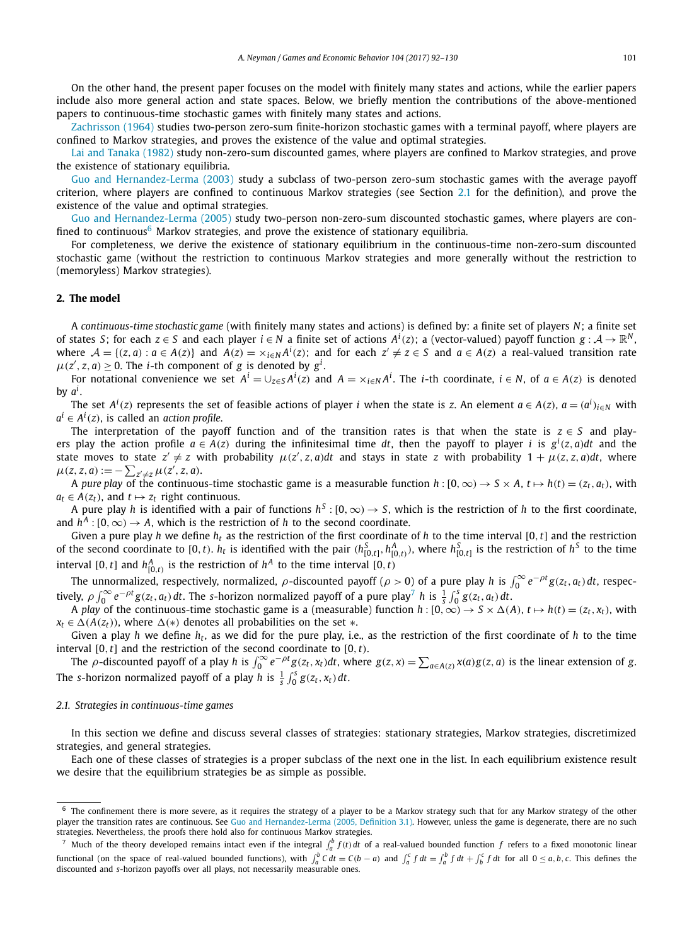On the other hand, the present paper focuses on the model with finitely many states and actions, while the earlier papers include also more general action and state spaces. Below, we briefly mention the contributions of the above-mentioned papers to continuous-time stochastic games with finitely many states and actions.

[Zachrisson \(1964\)](#page-38-0) studies two-person zero-sum finite-horizon stochastic games with a terminal payoff, where players are confined to Markov strategies, and proves the existence of the value and optimal strategies.

Lai and [Tanaka \(1982\)](#page-38-0) study non-zero-sum discounted games, where players are confined to Markov strategies, and prove the existence of stationary equilibria.

Guo and [Hernandez-Lerma \(2003\)](#page-38-0) study a subclass of two-person zero-sum stochastic games with the average payoff criterion, where players are confined to continuous Markov strategies (see Section 2.1 for the definition), and prove the existence of the value and optimal strategies.

Guo and [Hernandez-Lerma \(2005\)](#page-38-0) study two-person non-zero-sum discounted stochastic games, where players are confined to continuous<sup>6</sup> Markov strategies, and prove the existence of stationary equilibria.

For completeness, we derive the existence of stationary equilibrium in the continuous-time non-zero-sum discounted stochastic game (without the restriction to continuous Markov strategies and more generally without the restriction to (memoryless) Markov strategies).

#### **2. The model**

A *continuous-time stochastic game* (with finitely many states and actions) is defined by: a finite set of players *N*; a finite set of states *S*; for each  $z \in S$  and each player  $i \in N$  a finite set of actions  $A^i(z)$ ; a (vector-valued) payoff function  $g: A \to \mathbb{R}^N$ , where  $A = \{(z, a) : a \in A(z)\}$  and  $A(z) = x_{i \in N} A^{i}(z)$ ; and for each  $z' \neq z \in S$  and  $a \in A(z)$  a real-valued transition rate  $\mu(z', z, a) \geq 0$ . The *i*-th component of *g* is denoted by  $g^i$ .

For notational convenience we set  $A^i=\cup_{z\in S}A^i(z)$  and  $A=\times_{i\in N}A^i$ . The *i*-th coordinate,  $i\in N$ , of  $a\in A(z)$  is denoted by *a<sup>i</sup>* .

The set  $A^i(z)$  represents the set of feasible actions of player  $i$  when the state is  $z.$  An element  $a\in A(z),$   $a=(a^i)_{i\in N}$  with  $a^{i} \in A^{i}(z)$ , is called an *action profile*.

The interpretation of the payoff function and of the transition rates is that when the state is  $z \in S$  and players play the action profile  $a \in A(z)$  during the infinitesimal time dt, then the payoff to player i is  $g^i(z, a)$ dt and the state moves to state  $z' \neq z$  with probability  $\mu(z', z, a)dt$  and stays in state z with probability  $1 + \mu(z, z, a)dt$ , where  $\mu(z, z, a) := -\sum_{z' \neq z} \mu(z', z, a).$ j

A pure play of the continuous-time stochastic game is a measurable function  $h:[0,\infty) \to S \times A$ ,  $t \mapsto h(t) = (z_t, a_t)$ , with  $a_t \in A(z_t)$ , and  $t \mapsto z_t$  right continuous.

A pure play *h* is identified with a pair of functions  $h^S$ :  $[0, \infty) \to S$ , which is the restriction of *h* to the first coordinate, and  $h^A$ :  $[0, \infty) \rightarrow A$ , which is the restriction of *h* to the second coordinate.

Given a pure play *h* we define  $h_t$  as the restriction of the first coordinate of *h* to the time interval [0,*t*] and the restriction of the second coordinate to [0, t).  $h_t$  is identified with the pair  $(h_{[0,t]}^S,h_{[0,t)}^A)$ , where  $h_{[0,t]}^S$  is the restriction of  $h^S$  to the time interval [0,*t*] and  $h^A_{[0,t)}$  is the restriction of  $h^A$  to the time interval [0,*t*)

The unnormalized, respectively, normalized,  $\rho$ -discounted payoff ( $\rho > 0$ ) of a pure play *h* is  $\int_0^\infty e^{-\rho t} g(z_t, a_t) dt$ , respectively,  $\rho \int_0^\infty e^{-\rho t} g(z_t,a_t) dt$ . The s-horizon normalized payoff of a pure play<sup>7</sup> h is  $\frac{1}{s} \int_0^s g(z_t,a_t) dt$ .

A play of the continuous-time stochastic game is a (measurable) function  $h:[0,\infty)\to S\times\Delta(A)$ ,  $t\mapsto h(t)=(z_t,x_t)$ , with  $x_t \in \Delta(A(z_t))$ , where  $\Delta(*)$  denotes all probabilities on the set  $*$ .

Given a play *h* we define *ht*, as we did for the pure play, i.e., as the restriction of the first coordinate of *h* to the time interval [0*,t*] and the restriction of the second coordinate to [0*,t)*.

The  $\rho$ -discounted payoff of a play h is  $\int_0^\infty e^{-\rho t} g(z_t, x_t) dt$ , where  $g(z, x) = \sum_{a \in A(z)} x(a) g(z, a)$  is the linear extension of g. The *s*-horizon normalized payoff of a play *h* is  $\frac{1}{s} \int_0^s g(z_t, x_t) dt$ .

#### *2.1. Strategies in continuous-time games*

In this section we define and discuss several classes of strategies: stationary strategies, Markov strategies, discretimized strategies, and general strategies.

Each one of these classes of strategies is a proper subclass of the next one in the list. In each equilibrium existence result we desire that the equilibrium strategies be as simple as possible.

 $6$  The confinement there is more severe, as it requires the strategy of a player to be a Markov strategy such that for any Markov strategy of the other player the transition rates are continuous. See Guo and [Hernandez-Lerma](#page-38-0) (2005, Definition 3.1). However, unless the game is degenerate, there are no such strategies. Nevertheless, the proofs there hold also for continuous Markov strategies.

<sup>&</sup>lt;sup>7</sup> Much of the theory developed remains intact even if the integral  $\int_a^b f(t) dt$  of a real-valued bounded function  $f$  refers to a fixed monotonic linear functional (on the space of real-valued bounded functions), with  $\int_a^b C dt = C(b-a)$  and  $\int_a^c f dt = \int_a^b f dt + \int_b^c f dt$  for all  $0 \le a, b, c$ . This defines the discounted and *s*-horizon payoffs over all plays, not necessarily measurable ones.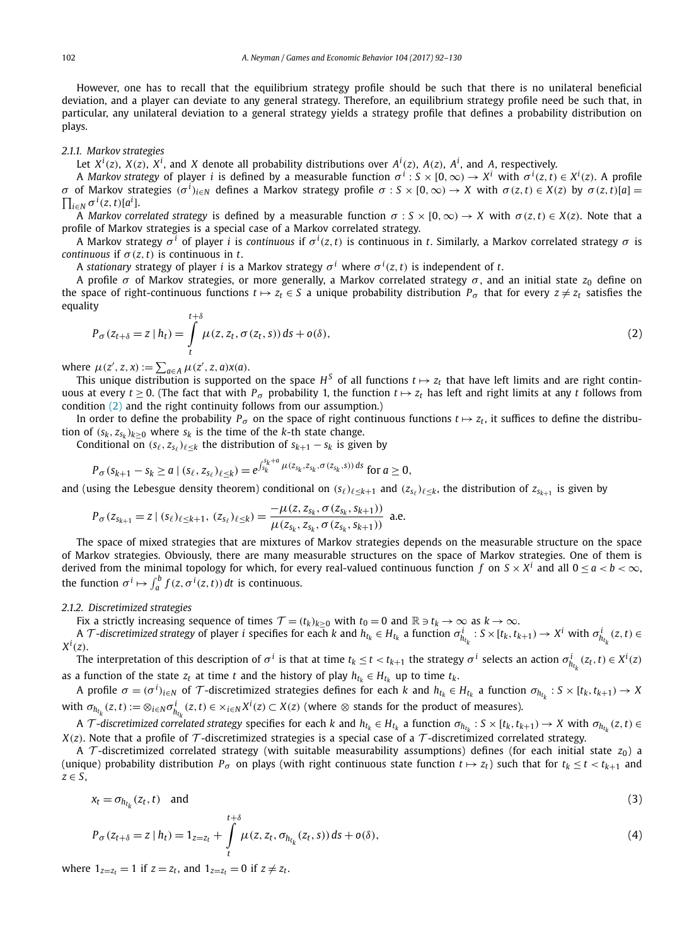<span id="page-10-0"></span>However, one has to recall that the equilibrium strategy profile should be such that there is no unilateral beneficial deviation, and a player can deviate to any general strategy. Therefore, an equilibrium strategy profile need be such that, in particular, any unilateral deviation to a general strategy yields a strategy profile that defines a probability distribution on plays.

#### *2.1.1. Markov strategies*

Let  $X^i(z)$ ,  $X(z)$ ,  $X^i$ , and X denote all probability distributions over  $A^i(z)$ ,  $A(z)$ ,  $A^i$ , and A, respectively.

A Markov strategy of player i is defined by a measurable function  $\sigma^i: S\times [0,\infty)\to X^i$  with  $\sigma^i(z,t)\in X^i(z)$ . A profile  $\sigma$  of Markov strategies  $(\sigma^i)_{i\in\mathbb{N}}$  defines a Markov strategy profile  $\sigma:S\times[0,\infty)\to X$  with  $\sigma(z,t)\in X(z)$  by  $\sigma(z,t)[a]=$  $\prod_{i \in \mathbb{N}} \sigma^i(z, t) [a^i]$ .

A Markov correlated strategy is defined by a measurable function  $\sigma: S \times [0, \infty) \to X$  with  $\sigma(z, t) \in X(z)$ . Note that a profile of Markov strategies is a special case of a Markov correlated strategy.

A Markov strategy *σ <sup>i</sup>* of player *i* is *continuous* if *σ <sup>i</sup> (z,t)* is continuous in *t*. Similarly, a Markov correlated strategy *σ* is *continuous* if  $\sigma(z, t)$  is continuous in *t*.

A *stationary* strategy of player *i* is a Markov strategy  $\sigma^i$  where  $\sigma^i(z,t)$  is independent of *t*.

A profile *σ* of Markov strategies, or more generally, a Markov correlated strategy *σ* , and an initial state *z*<sup>0</sup> define on the space of right-continuous functions  $t \mapsto z_t \in S$  a unique probability distribution  $P_\sigma$  that for every  $z \neq z_t$  satisfies the equality

$$
P_{\sigma}(z_{t+\delta}=z \mid h_t) = \int\limits_t^{t+\delta} \mu(z, z_t, \sigma(z_t, s)) ds + o(\delta), \tag{2}
$$

 $\mu(z', z, x) := \sum_{a \in A} \mu(z', z, a)x(a).$ 

This unique distribution is supported on the space  $H^S$  of all functions  $t \mapsto z_t$  that have left limits and are right continuous at every  $t \ge 0$ . (The fact that with  $P_\sigma$  probability 1, the function  $t \mapsto z_t$  has left and right limits at any *t* follows from condition (2) and the right continuity follows from our assumption.)

In order to define the probability  $P_\sigma$  on the space of right continuous functions  $t \mapsto z_t$ , it suffices to define the distribution of  $(s_k, z_{s_k})_{k \geq 0}$  where  $s_k$  is the time of the *k*-th state change.

Conditional on  $(s_\ell, z_{s_\ell})_{\ell \leq k}$  the distribution of  $s_{k+1} - s_k$  is given by

$$
P_{\sigma}(s_{k+1} - s_k \ge a \mid (s_{\ell}, z_{s_{\ell}})_{\ell \le k}) = e^{\int_{s_k}^{s_k + a} \mu(z_{s_k}, z_{s_k}, \sigma(z_{s_k}, s)) ds} \text{ for } a \ge 0,
$$

and (using the Lebesgue density theorem) conditional on  $(s_\ell)_{\ell \leq k+1}$  and  $(z_{s_\ell})_{\ell \leq k}$ , the distribution of  $z_{s_{k+1}}$  is given by

$$
P_{\sigma}(z_{s_{k+1}}=z\mid (s_{\ell})_{\ell\leq k+1}, (z_{s_{\ell}})_{\ell\leq k})=\frac{-\mu(z, z_{s_k}, \sigma(z_{s_k}, s_{k+1}))}{\mu(z_{s_k}, z_{s_k}, \sigma(z_{s_k}, s_{k+1}))}
$$
 a.e.

The space of mixed strategies that are mixtures of Markov strategies depends on the measurable structure on the space of Markov strategies. Obviously, there are many measurable structures on the space of Markov strategies. One of them is derived from the minimal topology for which, for every real-valued continuous function *f* on  $S \times X^i$  and all  $0 \le a < b < \infty$ , the function  $\sigma^i \mapsto \int_a^b f(z, \sigma^i(z, t)) dt$  is continuous.

*2.1.2. Discretimized strategies*

Fix a strictly increasing sequence of times  $\mathcal{T} = (t_k)_{k \geq 0}$  with  $t_0 = 0$  and  $\mathbb{R} \ni t_k \to \infty$  as  $k \to \infty$ .

A  $\mathcal T$ -discretimized strategy of player  $i$  specifies for each  $k$  and  $h_{t_k} \in H_{t_k}$  a function  $\sigma^i_{h_{t_k}}: S \times [t_k, t_{k+1}) \to X^i$  with  $\sigma^i_{h_{t_k}}(z,t) \in$ *Xi (z)*.

The interpretation of this description of  $\sigma^i$  is that at time  $t_k \le t < t_{k+1}$  the strategy  $\sigma^i$  selects an action  $\sigma^i_{h_{t_k}}(z_t,t) \in X^i(z)$ as a function of the state  $z_t$  at time  $t$  and the history of play  $h_{t_k} \in H_{t_k}$  up to time  $t_k$ .

A profile  $\sigma=(\sigma^i)_{i\in N}$  of  $\mathcal T$ -discretimized strategies defines for each k and  $h_{t_k}\in H_{t_k}$  a function  $\sigma_{h_{t_k}}:S\times[t_k,t_{k+1})\to X$ with  $\sigma_{h_{t_k}}(z,t):=\otimes_{i\in N}\sigma_{h_{t_k}}^i(z,t)\in\times_{i\in N}X^i(z)\subset X(z)$  (where  $\otimes$  stands for the product of measures).

A T-discretimized correlated strategy specifies for each k and  $h_{t_k} \in H_{t_k}$  a function  $\sigma_{h_{t_k}}$ :  $S \times [t_k, t_{k+1}) \to X$  with  $\sigma_{h_{t_k}}(z, t) \in$  $X(z)$ . Note that a profile of  $\mathcal T$ -discretimized strategies is a special case of a  $\mathcal T$ -discretimized correlated strategy.

A T-discretimized correlated strategy (with suitable measurability assumptions) defines (for each initial state  $z_0$ ) a (unique) probability distribution  $P_{\sigma}$  on plays (with right continuous state function  $t \mapsto z_t$ ) such that for  $t_k \le t < t_{k+1}$  and *z* ∈ *S*,

$$
x_t = \sigma_{h_{t_k}}(z_t, t) \quad \text{and} \tag{3}
$$

$$
P_{\sigma}(z_{t+\delta}=z \mid h_{t}) = 1_{z=z_{t}} + \int_{t}^{z_{t}} \mu(z, z_{t}, \sigma_{h_{t_{k}}}(z_{t}, s)) ds + o(\delta), \qquad (4)
$$

where  $1_{z=z_t} = 1$  if  $z = z_t$ , and  $1_{z=z_t} = 0$  if  $z \neq z_t$ .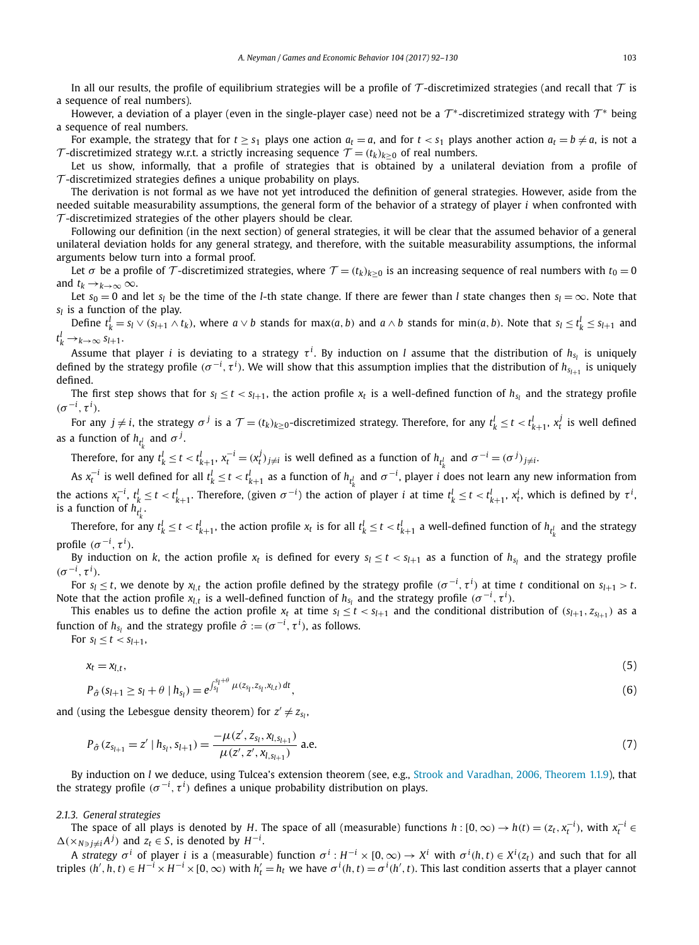In all our results, the profile of equilibrium strategies will be a profile of  $\tau$ -discretimized strategies (and recall that  $\tau$  is a sequence of real numbers).

However, a deviation of a player (even in the single-player case) need not be a  $T^*$ -discretimized strategy with  $T^*$  being a sequence of real numbers.

For example, the strategy that for  $t \geq s_1$  plays one action  $a_t=a$ , and for  $t < s_1$  plays another action  $a_t=b\neq a$ , is not a T-discretimized strategy w.r.t. a strictly increasing sequence  $T = (t_k)_{k \geq 0}$  of real numbers.

Let us show, informally, that a profile of strategies that is obtained by a unilateral deviation from a profile of  $\tau$ -discretimized strategies defines a unique probability on plays.

The derivation is not formal as we have not yet introduced the definition of general strategies. However, aside from the needed suitable measurability assumptions, the general form of the behavior of a strategy of player *i* when confronted with  $\tau$ -discretimized strategies of the other players should be clear.

Following our definition (in the next section) of general strategies, it will be clear that the assumed behavior of a general unilateral deviation holds for any general strategy, and therefore, with the suitable measurability assumptions, the informal arguments below turn into a formal proof.

Let  $\sigma$  be a profile of  $\mathcal{T}$ -discretimized strategies, where  $\mathcal{T} = (t_k)_{k>0}$  is an increasing sequence of real numbers with  $t_0 = 0$ and  $t_k \rightarrow k \rightarrow \infty$   $\infty$ .

Let  $s_0 = 0$  and let  $s_l$  be the time of the *l*-th state change. If there are fewer than *l* state changes then  $s_l = \infty$ . Note that  $s_l$  is a function of the play.

Define  $t^l_k = s_l \vee (s_{l+1} \wedge t_k)$ , where  $a \vee b$  stands for  $\max(a, b)$  and  $a \wedge b$  stands for  $\min(a, b)$ . Note that  $s_l \leq t^l_k \leq s_{l+1}$  and  $t_k^l \rightarrow k \rightarrow \infty$   $s_{l+1}$ .

Assume that player *i* is deviating to a strategy  $\tau^i$ . By induction on *l* assume that the distribution of  $h_{s_l}$  is uniquely defined by the strategy profile  $(\sigma^{-i},\tau^i)$ . We will show that this assumption implies that the distribution of  $h_{s_{l+1}}$  is uniquely defined.

The first step shows that for  $s_l \le t < s_{l+1}$ , the action profile  $x_t$  is a well-defined function of  $h_{s_l}$  and the strategy profile  $(\sigma^{-i}, \tau^i)$ .

For any  $j\neq i$ , the strategy  $\sigma^j$  is a  $\mathcal{T}=(t_k)_{k\geq 0}$ -discretimized strategy. Therefore, for any  $t_k^l\leq t< t_{k+1}^l,$   $x_t^j$  is well defined as a function of  $h_{t^l_\nu}$  and  $\sigma^j.$ 

Therefore, for any  $t_k^l \le t < t_{k+1}^l$ ,  $x_t^{-i} = (x_t^j)_{j \ne i}$  is well defined as a function of  $h_{t_k^l}$  and  $\sigma^{-i} = (\sigma^j)_{j \ne i}$ .

As  $x_t^{-i}$  is well defined for all  $t_k' \le t < t_{k+1}'$  as a function of  $h_{t_k'}$  and  $\sigma^{-i}$ , player  $i$  does not learn any new information from the actions  $x_t^{-i}$ ,  $t_k^l \le t < t_{k+1}^l$ . Therefore, (given  $\sigma^{-i}$ ) the action of player  $i$  at time  $t_k^l \le t < t_{k+1}^l$ ,  $x_t^i$ , which is defined by  $\tau^i$ , is a function of  $h_{t_\nu^l}.$ 

Therefore, for any  $t_k^l \le t < t_{k+1}^l$ , the action profile  $x_t$  is for all  $t_k^l \le t < t_{k+1}^l$  a well-defined function of  $h_{t_k^l}$  and the strategy profile  $(\sigma^{-i}, \tau^i)$ .

By induction on *k*, the action profile  $x_t$  is defined for every  $s_l \le t < s_{l+1}$  as a function of  $h_{s_l}$  and the strategy profile  $(\sigma^{-i}, \tau^i)$ .

For  $s_l\leq t$ , we denote by  $x_{l,t}$  the action profile defined by the strategy profile  $(\sigma^{-i},\tau^i)$  at time  $t$  conditional on  $s_{l+1}>t.$ Note that the action profile  $x_{l,t}$  is a well-defined function of  $h_{s_l}$  and the strategy profile  $(\sigma^{-i},\tau^i).$ 

This enables us to define the action profile  $x_t$  at time  $s_l \le t < s_{l+1}$  and the conditional distribution of  $(s_{l+1}, z_{s_{l+1}})$  as a function of  $h_{s_l}$  and the strategy profile  $\hat{\sigma} := (\sigma^{-i}, \tau^i)$ , as follows.

For  $s_l \le t < s_{l+1}$ ,

$$
x_t = x_{l,t},\tag{5}
$$

$$
P_{\hat{\sigma}}(s_{l+1} \ge s_l + \theta \mid h_{s_l}) = e^{\int_{s_l}^{s_l + \tau} \mu(z_{s_l}, z_{s_l}, x_{l,t}) dt}, \tag{6}
$$

and (using the Lebesgue density theorem) for  $z' \neq z_{s_l}$ ,

*sl*+*<sup>θ</sup>*

$$
P_{\hat{\sigma}}(z_{s_{l+1}} = z' \mid h_{s_l}, s_{l+1}) = \frac{-\mu(z', z_{s_l}, x_{l, s_{l+1}})}{\mu(z', z', x_{l, s_{l+1}})} \text{ a.e.}
$$
\n
$$
(7)
$$

By induction on *l* we deduce, using Tulcea's extension theorem (see, e.g., Strook and Varadhan, 2006, [Theorem 1.1.9\)](#page-38-0), that the strategy profile  $(\sigma^{-i},\tau^i)$  defines a unique probability distribution on plays.

#### *2.1.3. General strategies*

The space of all plays is denoted by H. The space of all (measurable) functions  $h:[0,\infty)\to h(t)=(z_t,x_t^{-i}),$  with  $x_t^{-i}\in$  $\Delta$ (×*N*∋ $j \neq i$ *A*<sup>*j*</sup>) and  $z_t$  ∈ *S*, is denoted by *H*<sup>−*i*</sup>.

A strategy  $\sigma^i$  of player i is a (measurable) function  $\sigma^i:H^{-i}\times[0,\infty)\to X^i$  with  $\sigma^i(h,t)\in X^i(z_t)$  and such that for all triples  $(h', h, t) \in H^{-i} \times H^{-i} \times [0, \infty)$  with  $h'_t = h_t$  we have  $\sigma^i(h, t) = \sigma^i(h', t)$ . This last condition asserts that a player cannot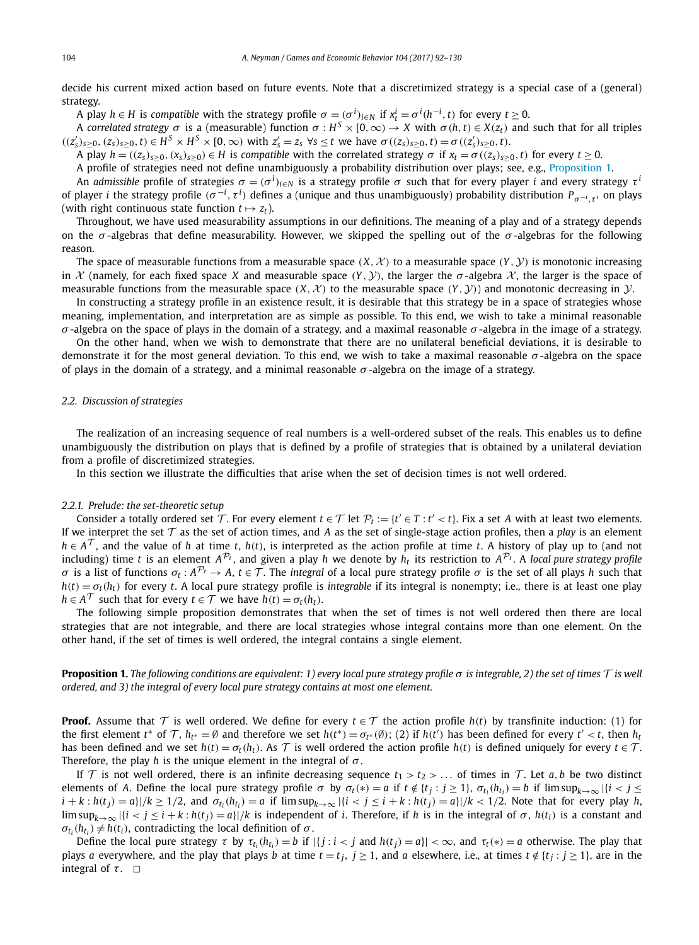<span id="page-12-0"></span>decide his current mixed action based on future events. Note that a discretimized strategy is a special case of a (general) strategy.

A play  $h\in H$  is compatible with the strategy profile  $\sigma=(\sigma^i)_{i\in N}$  if  $x^i_t=\sigma^i(h^{-i},t)$  for every  $t\geq 0$ .

A correlated strategy  $\sigma$  is a (measurable) function  $\sigma: H^S \times [0, \infty) \to X$  with  $\sigma(h, t) \in X(z_t)$  and such that for all triples  $((z'_s)_{s\geq0}, (z_s)_{s\geq0}, t) \in H^S \times H^S \times [0, \infty)$  with  $z'_s = z_s$   $\forall s \leq t$  we have  $\sigma((z_s)_{s\geq0}, t) = \sigma((z'_s)_{s\geq0}, t)$ .

A play  $h = ((z_s)_{s>0}, (x_s)_{s>0}) \in H$  is compatible with the correlated strategy  $\sigma$  if  $x_t = \sigma((z_s)_{s>0}, t)$  for every  $t \ge 0$ .

A profile of strategies need not define unambiguously a probability distribution over plays; see, e.g., Proposition 1.

An admissible profile of strategies  $\sigma=(\sigma^i)_{i\in N}$  is a strategy profile  $\sigma$  such that for every player  $i$  and every strategy  $\tau^i$ of player *i* the strategy profile  $(\sigma^{-i}, \tau^i)$  defines a (unique and thus unambiguously) probability distribution  $P_{\sigma^{-i}, \tau^i}$  on plays (with right continuous state function  $t \mapsto z_t$ ).

Throughout, we have used measurability assumptions in our definitions. The meaning of a play and of a strategy depends on the *σ* -algebras that define measurability. However, we skipped the spelling out of the *σ* -algebras for the following reason.

The space of measurable functions from a measurable space  $(X, \mathcal{X})$  to a measurable space  $(Y, \mathcal{Y})$  is monotonic increasing in  $X$  (namely, for each fixed space X and measurable space  $(Y, Y)$ , the larger the  $\sigma$ -algebra  $X$ , the larger is the space of measurable functions from the measurable space  $(X, X)$  to the measurable space  $(Y, Y)$ ) and monotonic decreasing in  $Y$ .

In constructing a strategy profile in an existence result, it is desirable that this strategy be in a space of strategies whose meaning, implementation, and interpretation are as simple as possible. To this end, we wish to take a minimal reasonable *σ* -algebra on the space of plays in the domain of a strategy, and a maximal reasonable *σ* -algebra in the image of a strategy.

On the other hand, when we wish to demonstrate that there are no unilateral beneficial deviations, it is desirable to demonstrate it for the most general deviation. To this end, we wish to take a maximal reasonable *σ* -algebra on the space of plays in the domain of a strategy, and a minimal reasonable  $\sigma$ -algebra on the image of a strategy.

#### *2.2. Discussion of strategies*

The realization of an increasing sequence of real numbers is a well-ordered subset of the reals. This enables us to define unambiguously the distribution on plays that is defined by a profile of strategies that is obtained by a unilateral deviation from a profile of discretimized strategies.

In this section we illustrate the difficulties that arise when the set of decision times is not well ordered.

#### *2.2.1. Prelude: the set-theoretic setup*

Consider a totally ordered set T. For every element  $t \in T$  let  $\mathcal{P}_t := \{t' \in T : t' < t\}$ . Fix a set A with at least two elements. If we interpret the set  $\mathcal T$  as the set of action times, and *A* as the set of single-stage action profiles, then a *play* is an element  $h \in A^{\mathcal{T}}$ , and the value of *h* at time *t*, *h*(*t*), is interpreted as the action profile at time *t*. A history of play up to (and not including) time *t* is an element  $A^{\mathcal{P}_t}$ , and given a play *h* we denote by  $h_t$  its restriction to  $A^{\mathcal{P}_t}$ . A *local pure strategy profile σ* is a list of functions  $σ_t$ :  $A^P_t$  →  $A$ ,  $t$  ∈  $T$ . The *integral* of a local pure strategy profile *σ* is the set of all plays *h* such that  $h(t) = \sigma_t(h_t)$  for every *t*. A local pure strategy profile is *integrable* if its integral is nonempty; i.e., there is at least one play  $h \in A^{\mathcal{T}}$  such that for every  $t \in \mathcal{T}$  we have  $h(t) = \sigma_t(h_t)$ .

The following simple proposition demonstrates that when the set of times is not well ordered then there are local strategies that are not integrable, and there are local strategies whose integral contains more than one element. On the other hand, if the set of times is well ordered, the integral contains a single element.

**Proposition 1.** The following conditions are equivalent: 1) every local pure strategy profile  $\sigma$  is integrable, 2) the set of times  $\tau$  is well *ordered, and 3) the integral of every local pure strategy contains at most one element.*

**Proof.** Assume that  $\mathcal T$  is well ordered. We define for every  $t \in \mathcal T$  the action profile  $h(t)$  by transfinite induction: (1) for the first element  $t^*$  of  $\mathcal{T}$ ,  $h_{t^*} = \emptyset$  and therefore we set  $h(t^*) = \sigma_{t^*}(\emptyset)$ ; (2) if  $h(t')$  has been defined for every  $t' < t$ , then  $h_t$ has been defined and we set  $h(t) = \sigma_t(h_t)$ . As T is well ordered the action profile  $h(t)$  is defined uniquely for every  $t \in T$ . Therefore, the play *h* is the unique element in the integral of *σ* .

If T is not well ordered, there is an infinite decreasing sequence  $t_1 > t_2 > ...$  of times in T. Let a, b be two distinct elements of A. Define the local pure strategy profile  $\sigma$  by  $\sigma_t(*) = a$  if  $t \notin \{t_i : j \ge 1\}$ ,  $\sigma_{t_i}(h_{t_i}) = b$  if  $\limsup_{k \to \infty} |\{i \le j \le 1\}|$  $i + k : h(t_j) = a$ ]/ $k \ge 1/2$ , and  $\sigma_{t_i}(h_{t_i}) = a$  if  $\limsup_{k \to \infty} |\{i < j \le i + k : h(t_j) = a\}|/k < 1/2$ . Note that for every play h,  $\limsup_{k\to\infty}$   $|\{i < j \le i + k : h(t_j) = a\}|/k$  is independent of i. Therefore, if h is in the integral of  $\sigma$ ,  $h(t_i)$  is a constant and  $\sigma_{t_i}(h_{t_i}) \neq h(t_i)$ , contradicting the local definition of  $\sigma$ .

Define the local pure strategy  $\tau$  by  $\tau_{t_i}(h_{t_i}) = b$  if  $|\{j : i < j \text{ and } h(t_j) = a\}| < \infty$ , and  $\tau_t(*) = a$  otherwise. The play that plays *a* everywhere, and the play that plays *b* at time  $t = t_j$ ,  $j \ge 1$ , and *a* elsewhere, i.e., at times  $t \notin \{t_j : j \ge 1\}$ , are in the integral of  $\tau$ .  $\Box$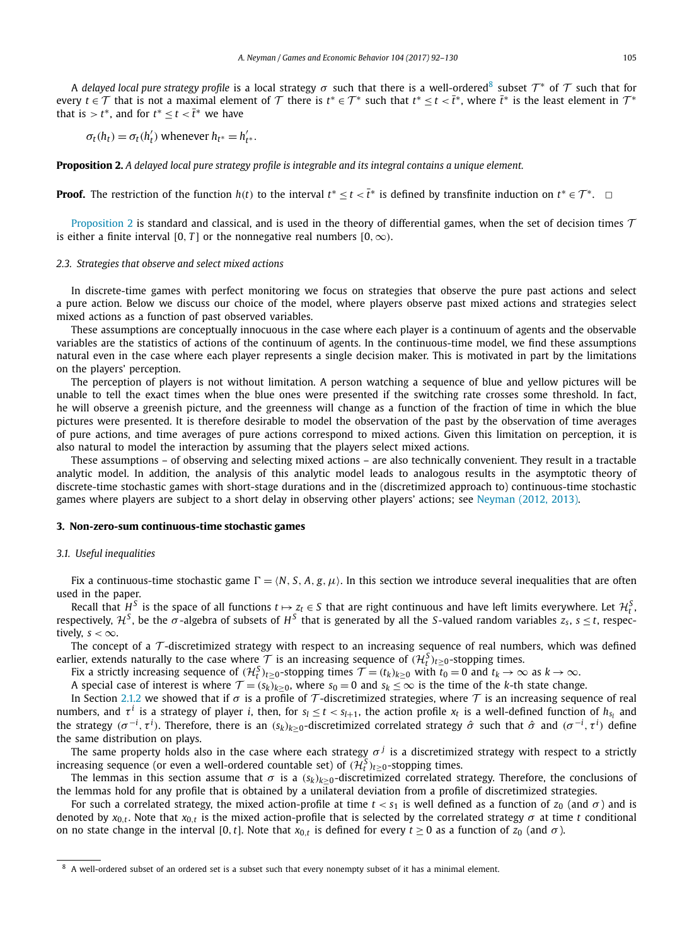A *delayed local pure strategy profile* is a local strategy  $\sigma$  such that there is a well-ordered<sup>8</sup> subset  $\mathcal{T}^*$  of  $\mathcal{T}$  such that for every *t* ∈  $\mathcal T$  that is not a maximal element of  $\mathcal T$  there is  $t^* \in \mathcal T^*$  such that  $t^* \leq t < \bar t^*$ , where  $\bar t^*$  is the least element in  $\mathcal T^*$ that is  $> t^*$ , and for  $t^* \le t < \overline{t}^*$  we have

$$
\sigma_t(h_t) = \sigma_t(h'_t) \text{ whenever } h_{t^*} = h'_{t^*}.
$$

**Proposition 2.** A delayed local pure strategy profile is integrable and its integral contains a unique element.

**Proof.** The restriction of the function *h*(*t*) to the interval  $t^* \le t < \overline{t}^*$  is defined by transfinite induction on  $t^* \in \mathcal{T}^*$ .  $\Box$ 

Proposition 2 is standard and classical, and is used in the theory of differential games, when the set of decision times  $\mathcal T$ is either a finite interval [0, *T*] or the nonnegative real numbers  $[0, \infty)$ .

#### *2.3. Strategies that observe and select mixed actions*

In discrete-time games with perfect monitoring we focus on strategies that observe the pure past actions and select a pure action. Below we discuss our choice of the model, where players observe past mixed actions and strategies select mixed actions as a function of past observed variables.

These assumptions are conceptually innocuous in the case where each player is a continuum of agents and the observable variables are the statistics of actions of the continuum of agents. In the continuous-time model, we find these assumptions natural even in the case where each player represents a single decision maker. This is motivated in part by the limitations on the players' perception.

The perception of players is not without limitation. A person watching a sequence of blue and yellow pictures will be unable to tell the exact times when the blue ones were presented if the switching rate crosses some threshold. In fact, he will observe a greenish picture, and the greenness will change as a function of the fraction of time in which the blue pictures were presented. It is therefore desirable to model the observation of the past by the observation of time averages of pure actions, and time averages of pure actions correspond to mixed actions. Given this limitation on perception, it is also natural to model the interaction by assuming that the players select mixed actions.

These assumptions – of observing and selecting mixed actions – are also technically convenient. They result in a tractable analytic model. In addition, the analysis of this analytic model leads to analogous results in the asymptotic theory of discrete-time stochastic games with short-stage durations and in the (discretimized approach to) continuous-time stochastic games where players are subject to a short delay in observing other players' actions; see [Neyman](#page-38-0) (2012, 2013).

#### **3. Non-zero-sum continuous-time stochastic games**

#### *3.1. Useful inequalities*

Fix a continuous-time stochastic game  $\Gamma = \langle N, S, A, g, \mu \rangle$ . In this section we introduce several inequalities that are often used in the paper.

Recall that  $H^S$  is the space of all functions  $t \mapsto z_t \in S$  that are right continuous and have left limits everywhere. Let  $\mathcal{H}^S_t$ , respectively,  $H^S$ , be the  $\sigma$ -algebra of subsets of  $H^S$  that is generated by all the *S*-valued random variables  $z_s$ ,  $s < t$ , respectively,  $s < \infty$ .

The concept of a  $\mathcal T$ -discretimized strategy with respect to an increasing sequence of real numbers, which was defined earlier, extends naturally to the case where  $\mathcal T$  is an increasing sequence of  $(\mathcal{H}_t^S)_{t\geq 0}$ -stopping times.

Fix a strictly increasing sequence of  $(H_t^S)_{t\geq 0}$ -stopping times  $\mathcal{T} = (t_k)_{k\geq 0}$  with  $t_0 = 0$  and  $t_k \to \infty$  as  $k \to \infty$ .

A special case of interest is where  $\mathcal{T} = (s_k)_{k \geq 0}$ , where  $s_0 = 0$  and  $s_k \leq \infty$  is the time of the *k*-th state change.

In Section [2.1.2](#page-10-0) we showed that if  $\sigma$  is a profile of T-discretimized strategies, where  $\tau$  is an increasing sequence of real numbers, and  $\tau^i$  is a strategy of player *i*, then, for  $s_l \le t < s_{l+1}$ , the action profile  $x_t$  is a well-defined function of  $h_{s_l}$  and the strategy  $(\sigma^{-i},\tau^i)$ . Therefore, there is an  $(s_k)_{k\geq 0}$ -discretimized correlated strategy  $\hat\sigma$  such that  $\hat\sigma$  and  $(\sigma^{-i},\tau^i)$  define the same distribution on plays.

The same property holds also in the case where each strategy  $\sigma^j$  is a discretimized strategy with respect to a strictly increasing sequence (or even a well-ordered countable set) of  $(\mathcal{H}_t^S)_{t\geq 0}$ -stopping times.

The lemmas in this section assume that  $\sigma$  is a  $(s_k)_{k>0}$ -discretimized correlated strategy. Therefore, the conclusions of the lemmas hold for any profile that is obtained by a unilateral deviation from a profile of discretimized strategies.

For such a correlated strategy, the mixed action-profile at time  $t < s<sub>1</sub>$  is well defined as a function of  $z<sub>0</sub>$  (and  $\sigma$ ) and is denoted by  $x_{0,t}$ . Note that  $x_{0,t}$  is the mixed action-profile that is selected by the correlated strategy  $\sigma$  at time *t* conditional on no state change in the interval [0,*t*]. Note that  $x_{0,t}$  is defined for every  $t \ge 0$  as a function of  $z_0$  (and  $\sigma$ ).

<sup>8</sup> A well-ordered subset of an ordered set is a subset such that every nonempty subset of it has a minimal element.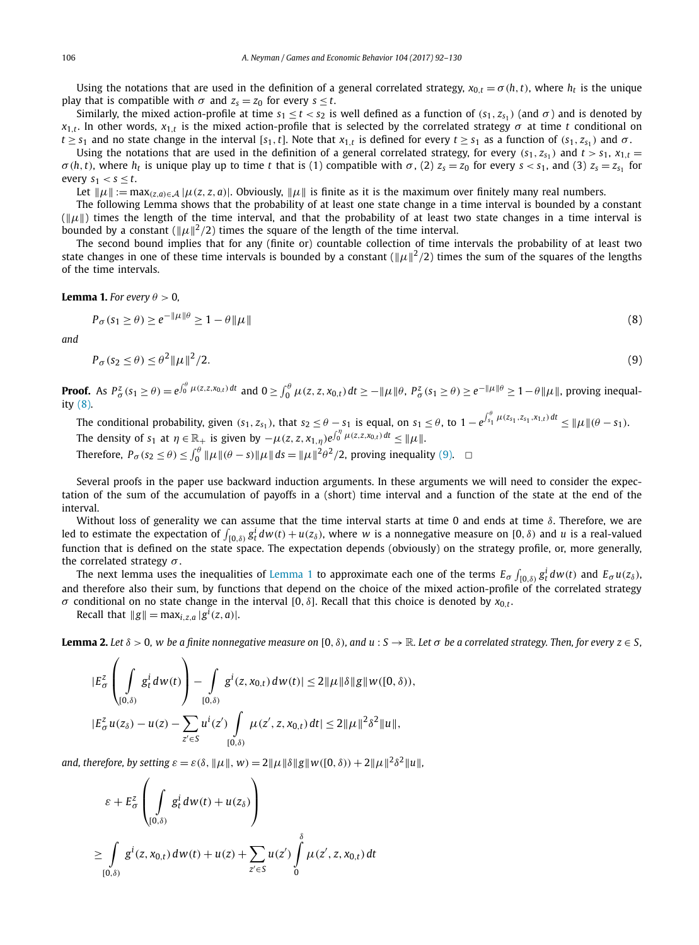<span id="page-14-0"></span>Using the notations that are used in the definition of a general correlated strategy,  $x_{0,t} = \sigma(h, t)$ , where  $h_t$  is the unique play that is compatible with  $\sigma$  and  $z_s = z_0$  for every  $s \le t$ .

Similarly, the mixed action-profile at time  $s_1 \le t < s_2$  is well defined as a function of  $(s_1, z_{s_1})$  (and  $\sigma$ ) and is denoted by  $x_{1,t}$ . In other words,  $x_{1,t}$  is the mixed action-profile that is selected by the correlated strategy  $\sigma$  at time *t* conditional on  $t \geq s_1$  and no state change in the interval [s<sub>1</sub>, t]. Note that  $x_{1,t}$  is defined for every  $t \geq s_1$  as a function of (s<sub>1</sub>, z<sub>s1</sub>) and  $\sigma$ .

Using the notations that are used in the definition of a general correlated strategy, for every  $(s_1, z_{s_1})$  and  $t > s_1$ ,  $x_{1,t} =$  $\sigma(h,t)$ , where  $h_t$  is unique play up to time t that is (1) compatible with  $\sigma$ , (2)  $z_s = z_0$  for every  $s < s_1$ , and (3)  $z_s = z_{s_1}$  for every  $s_1 < s < t$ .

Let  $\|\mu\| := \max_{(z,a)\in A} |\mu(z,z,a)|$ . Obviously,  $\|\mu\|$  is finite as it is the maximum over finitely many real numbers.

The following Lemma shows that the probability of at least one state change in a time interval is bounded by a constant  $(\|\mu\|)$  times the length of the time interval, and that the probability of at least two state changes in a time interval is bounded by a constant  $(\Vert \mu \Vert^2/2)$  times the square of the length of the time interval.

The second bound implies that for any (finite or) countable collection of time intervals the probability of at least two state changes in one of these time intervals is bounded by a constant  $(\|\mu\|^2/2)$  times the sum of the squares of the lengths of the time intervals.

#### **Lemma 1.** *For every*  $\theta > 0$ *,*

$$
P_{\sigma}(s_1 \ge \theta) \ge e^{-\|\mu\|\theta} \ge 1 - \theta \|\mu\| \tag{8}
$$

*and*

$$
P_{\sigma}(s_2 \le \theta) \le \theta^2 \|\mu\|^2 / 2. \tag{9}
$$

**Proof.** As  $P_{\sigma}^{z}(s_1 \ge \theta) = e^{\int_{0}^{\theta} \mu(z, z, x_{0,t}) dt}$  and  $0 \ge \int_{0}^{\theta} \mu(z, z, x_{0,t}) dt \ge -\|\mu\|\theta, P_{\sigma}^{z}(s_1 \ge \theta) \ge e^{-\|\mu\|\theta} \ge 1 - \theta \|\mu\|$ , proving inequality (8).

The conditional probability, given  $(s_1, z_{s_1})$ , that  $s_2 \le \theta - s_1$  is equal, on  $s_1 \le \theta$ , to  $1 - e^{\int_{s_1}^{\theta} \mu(z_{s_1}, z_{s_1}, x_{1,t}) dt} \le \|\mu\|(\theta - s_1)$ . The density of  $s_1$  at  $\eta \in \mathbb{R}_+$  is given by  $-\mu(z, z, x_{1,\eta})e^{\int_0^{\eta} \mu(z, z, x_{0,t}) dt} \leq \|\mu\|$ . Therefore,  $P_{\sigma}(s_2 \le \theta) \le \int_0^{\theta} ||\mu||(\theta - s)||\mu|| ds = ||\mu||^2 \theta^2/2$ , proving inequality (9).  $\Box$ 

Several proofs in the paper use backward induction arguments. In these arguments we will need to consider the expectation of the sum of the accumulation of payoffs in a (short) time interval and a function of the state at the end of the interval.

Without loss of generality we can assume that the time interval starts at time 0 and ends at time *δ*. Therefore, we are led to estimate the expectation of  $\int_{[0,\delta)} g_t^i dw(t)+u(z_\delta)$ , where w is a nonnegative measure on  $[0,\delta)$  and u is a real-valued function that is defined on the state space. The expectation depends (obviously) on the strategy profile, or, more generally, the correlated strategy *σ* .

The next lemma uses the inequalities of Lemma 1 to approximate each one of the terms  $E_\sigma \int_{[0,\delta)} g_t^i dw(t)$  and  $E_\sigma u(z_\delta)$ , and therefore also their sum, by functions that depend on the choice of the mixed action-profile of the correlated strategy *σ* conditional on no state change in the interval [0, *δ*]. Recall that this choice is denoted by  $x_{0,t}$ .

 $Recall that  $||g|| = max_{i,z,a} |g^{i}(z,a)|$ .$ 

**Lemma 2.** Let  $\delta > 0$ , w be a finite nonnegative measure on  $[0, \delta)$ , and  $u : S \to \mathbb{R}$ . Let  $\sigma$  be a correlated strategy. Then, for every  $z \in S$ ,

$$
\begin{aligned}\n|E_{\sigma}^{z}\left(\int\limits_{[0,\delta)}g_{t}^{i}dw(t)\right) - \int\limits_{[0,\delta)}g^{i}(z,x_{0,t})\,dw(t)| &\leq 2\|\mu\|\delta\|g\|w([0,\delta)),\\|E_{\sigma}^{z}u(z_{\delta}) - u(z) - \sum_{z'\in S}u^{i}(z')\int\limits_{[0,\delta)}\mu(z',z,x_{0,t})\,dt| &\leq 2\|\mu\|^{2}\delta^{2}\|u\|,\n\end{aligned}
$$

*and, therefore, by setting*  $\varepsilon = \varepsilon(\delta, \|\mu\|, w) = 2\|\mu\|\delta\|g\|w([0, \delta)) + 2\|\mu\|^2\delta^2\|u\|,$ 

$$
\varepsilon + E_{\sigma}^{z} \left( \int\limits_{[0,\delta)} g_{t}^{i} dw(t) + u(z_{\delta}) \right)
$$
  
\n
$$
\geq \int\limits_{[0,\delta)} g^{i}(z,x_{0,t}) dw(t) + u(z) + \sum_{z' \in S} u(z') \int\limits_{0}^{\delta} \mu(z',z,x_{0,t}) dt
$$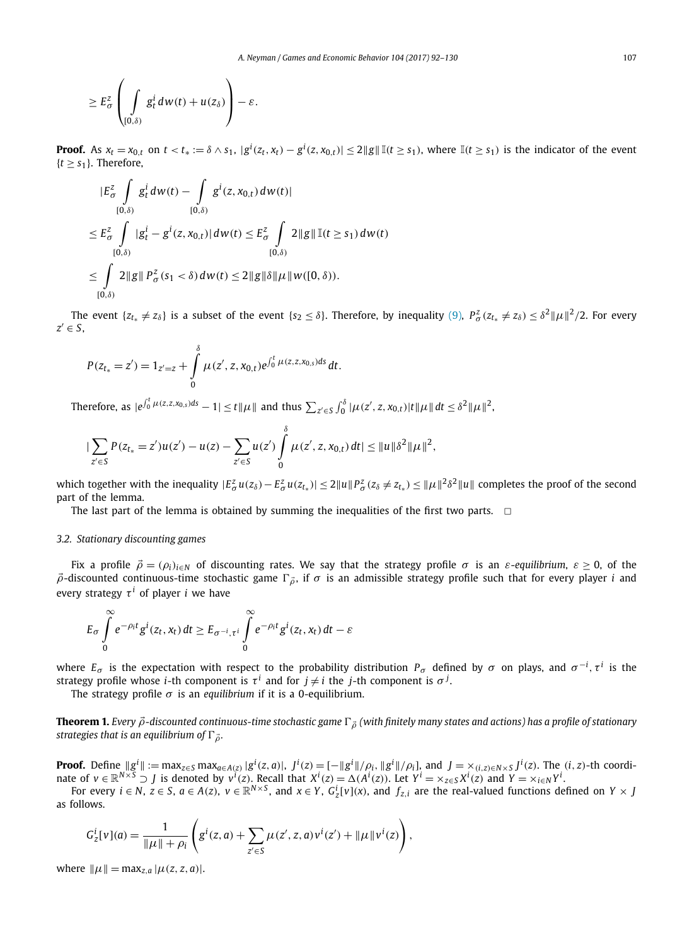<span id="page-15-0"></span>
$$
\geq E_{\sigma}^{z}\left(\int\limits_{[0,\delta)}g_{t}^{i}dw(t)+u(z_{\delta})\right)-\varepsilon.
$$

**Proof.** As  $x_t = x_{0,t}$  on  $t < t_* := \delta \wedge s_1$ ,  $|g^i(z_t, x_t) - g^i(z, x_{0,t})| \leq 2||g|| \mathbb{I}(t \geq s_1)$ , where  $\mathbb{I}(t \geq s_1)$  is the indicator of the event  ${t > s_1}$ . Therefore,

$$
|E_{\sigma}^{z} \int_{[0,\delta)} g_{t}^{i} dw(t) - \int_{[0,\delta)} g^{i}(z, x_{0,t}) dw(t)|
$$
  
\n
$$
\leq E_{\sigma}^{z} \int_{[0,\delta)} |g_{t}^{i} - g^{i}(z, x_{0,t})| dw(t) \leq E_{\sigma}^{z} \int_{[0,\delta)} 2\|g\| \mathbb{I}(t \geq s_{1}) dw(t)
$$
  
\n
$$
\leq \int_{[0,\delta)} 2\|g\| P_{\sigma}^{z}(s_{1} < \delta) dw(t) \leq 2\|g\|\delta\|\mu\| w([0,\delta)).
$$

The event  $\{z_{t_*}\neq z_\delta\}$  is a subset of the event  $\{s_2\leq \delta\}$ . Therefore, by inequality [\(9\),](#page-14-0)  $P^z_\sigma(z_{t_*}\neq z_\delta)\leq \delta^2\|\mu\|^2/2$ . For every  $z' \in S$ ,

$$
P(z_{t_*}=z')=1_{z'=z}+\int\limits_0^{\delta}\mu(z',z,x_{0,t})e^{\int_0^t\mu(z,z,x_{0,s})ds}\,dt.
$$

Therefore, as  $|e^{\int_0^t \mu(z,z,x_{0,s})ds}-1|\leq t\|\mu\|$  and thus  $\sum_{z'\in S}\int_0^\delta |\mu(z',z,x_{0,t})|t\|\mu\|dt\leq \delta^2 \|\mu\|^2$ ,

$$
|\sum_{z'\in S} P(z_{t_*}=z')u(z') - u(z) - \sum_{z'\in S} u(z')\int_0^{\delta} \mu(z',z,x_{0,t}) dt| \leq ||u||\delta^2 ||\mu||^2,
$$

which together with the inequality  $|E^z_\sigma u(z_\delta)-E^z_\sigma u(z_{t_*})|\leq 2\|u\|P^z_\sigma(z_\delta\neq z_{t_*})\leq \|\mu\|^2\delta^2\|u\|$  completes the proof of the second part of the lemma.

The last part of the lemma is obtained by summing the inequalities of the first two parts.  $\Box$ 

#### *3.2. Stationary discounting games*

Fix a profile  $\vec{\rho} = (\rho_i)_{i \in N}$  of discounting rates. We say that the strategy profile  $\sigma$  is an  $\varepsilon$ -*equilibrium*,  $\varepsilon \ge 0$ , of the  $\vec{\rho}$ -discounted continuous-time stochastic game  $\Gamma_{\vec{\rho}}$ , if  $\sigma$  is an admissible strategy profile such that for every player *i* and every strategy  $\tau^{i}$  of player *i* we have

$$
E_{\sigma}\int_{0}^{\infty}e^{-\rho_{i}t}g^{i}(z_{t},x_{t}) dt \geq E_{\sigma^{-i},\tau^{i}}\int_{0}^{\infty}e^{-\rho_{i}t}g^{i}(z_{t},x_{t}) dt - \varepsilon
$$

where  $E_\sigma$  is the expectation with respect to the probability distribution  $P_\sigma$  defined by  $\sigma$  on plays, and  $\sigma^{-i},\tau^i$  is the strategy profile whose *i*-th component is  $\tau^i$  and for  $j \neq i$  the *j*-th component is  $\sigma^j$ .

The strategy profile  $\sigma$  is an *equilibrium* if it is a 0-equilibrium.

**Theorem 1.** Every  $\vec{\rho}$ -discounted continuous-time stochastic game  $\Gamma_{\vec{\rho}}$  (with finitely many states and actions) has a profile of stationary *strategies that is an equilibrium of*  $\Gamma_{\vec{\theta}}$ *.* 

**Proof.** Define  $\|g^{i}\|:=\max_{z\in S}\max_{a\in A(z)}|g^{i}(z,a)|$ ,  $J^{i}(z)=[-\|g^{i}\|/\rho_{i},\|g^{i}\|/\rho_{i}]$ , and  $J=\times_{(i,z)\in N\times S}J^{i}(z)$ . The  $(i,z)$ -th coordinate of  $v \in \mathbb{R}^{N \times S}$   $\supset J$  is denoted by  $v^i(z)$ . Recall that  $X^i(z) = \Delta(A^i(z))$ . Let  $Y^i = \times_{z \in S} X^i(z)$  and  $Y = \times_{i \in N} Y^i$ .

For every  $i\in N$ ,  $z\in S$ ,  $a\in A(z)$ ,  $v\in\mathbb{R}^{N\times S}$ , and  $x\in Y$ ,  $G_Z^i[v](x)$ , and  $f_{z,i}$  are the real-valued functions defined on  $Y\times J$ as follows.

$$
G_{z}^{i}[v](a) = \frac{1}{\|\mu\| + \rho_{i}} \left( g^{i}(z, a) + \sum_{z' \in S} \mu(z', z, a)v^{i}(z') + \|\mu\|v^{i}(z) \right),
$$

 $\text{where } ||\mu|| = \max_{z,a} |\mu(z, z, a)|.$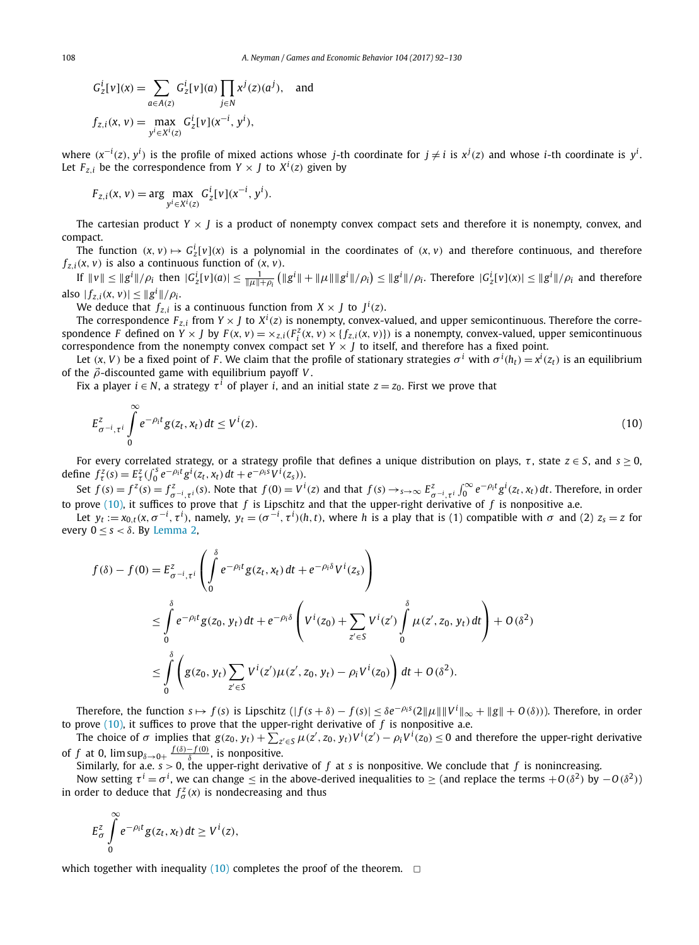$$
G_z^i[v](x) = \sum_{a \in A(z)} G_z^i[v](a) \prod_{j \in N} x^j(z)(a^j), \text{ and}
$$
  

$$
f_{z,i}(x, v) = \max_{y^i \in X^i(z)} G_z^i[v](x^{-i}, y^i),
$$

where  $(x^{-i}(z), y^i)$  is the profile of mixed actions whose j-th coordinate for  $j \neq i$  is  $x^j(z)$  and whose *i*-th coordinate is  $y^i$ . Let  $F_{z,i}$  be the correspondence from  $Y \times J$  to  $X^i(z)$  given by

$$
F_{z,i}(x, v) = \arg \max_{y^i \in X^i(z)} G_z^i[v](x^{-i}, y^i).
$$

The cartesian product  $Y \times J$  is a product of nonempty convex compact sets and therefore it is nonempty, convex, and compact.

The function  $(x, v) \mapsto G_z^i[v](x)$  is a polynomial in the coordinates of  $(x, v)$  and therefore continuous, and therefore  $f_{z,i}(x, v)$  is also a continuous function of  $(x, v)$ .

If  $\|v\| \le \|g^i\|/\rho_i$  then  $|G^i_z[v](a)| \le \frac{1}{\|\mu\| + \rho_i} (\|g^i\| + \|\mu\| \|g^i\|/\rho_i) \le \|g^i\|/\rho_i$ . Therefore  $|G^i_z[v](x)| \le \|g^i\|/\rho_i$  and therefore  $|\int_{Z,i}(x, v)| \leq ||g^{i}||/\rho_{i}.$ 

We deduce that  $f_{z,i}$  is a continuous function from  $X \times J$  to  $J^i(z)$ .

The correspondence  $F_{z,i}$  from  $Y \times J$  to  $X^i(z)$  is nonempty, convex-valued, and upper semicontinuous. Therefore the correspondence F defined on  $Y \times J$  by  $F(x, v) = \times_{z,i} (F_i^Z(x, v) \times \{f_{z,i}(x, v)\})$  is a nonempty, convex-valued, upper semicontinuous correspondence from the nonempty convex compact set  $Y \times J$  to itself, and therefore has a fixed point.

Let  $(x, V)$  be a fixed point of F. We claim that the profile of stationary strategies  $\sigma^i$  with  $\sigma^i(h_t)=x^i(z_t)$  is an equilibrium of the *ρ*-discounted game with equilibrium payoff *V* .

Fix a player  $i \in N$ , a strategy  $\tau^{i}$  of player *i*, and an initial state  $z = z_0$ . First we prove that

$$
E_{\sigma^{-i},\tau^{i}}^{z} \int_{0}^{\infty} e^{-\rho_{i}t} g(z_{t},x_{t}) dt \leq V^{i}(z).
$$
\n(10)

For every correlated strategy, or a strategy profile that defines a unique distribution on plays,  $\tau$ , state  $z \in S$ , and  $s \ge 0$ , define  $f^z_\tau(s) = E^z_\tau \left( \int_0^s e^{-\rho_i t} g^i(z_t, x_t) dt + e^{-\rho_i s} V^i(z_s) \right)$ .

Set  $f(s) = f^z(s) = f^z_{\sigma^{-i}, \tau^i}(s)$ . Note that  $f(0) = V^i(z)$  and that  $f(s) \rightarrow_{s \rightarrow \infty} E^z_{\sigma^{-i}, \tau^i} \int_0^\infty e^{-\rho_i t} g^i(z_t, x_t) dt$ . Therefore, in order to prove (10), it suffices to prove that *f* is Lipschitz and that the upper-right derivative of *f* is nonpositive a.e.

Let  $y_t := x_{0,t}(x, \sigma^{-i}, \tau^i)$ , namely,  $y_t = (\sigma^{-i}, \tau^i)(h, t)$ , where h is a play that is (1) compatible with  $\sigma$  and (2)  $z_s = z$  for every  $0 \le s < \delta$ . By [Lemma 2,](#page-14-0)

$$
f(\delta) - f(0) = E_{\sigma^{-i}, \tau^i}^z \left( \int_0^{\delta} e^{-\rho_i t} g(z_t, x_t) dt + e^{-\rho_i \delta} V^i(z_s) \right)
$$
  
\n
$$
\leq \int_0^{\delta} e^{-\rho_i t} g(z_0, y_t) dt + e^{-\rho_i \delta} \left( V^i(z_0) + \sum_{z' \in S} V^i(z') \int_0^{\delta} \mu(z', z_0, y_t) dt \right) + O(\delta^2)
$$
  
\n
$$
\leq \int_0^{\delta} \left( g(z_0, y_t) \sum_{z' \in S} V^i(z') \mu(z', z_0, y_t) - \rho_i V^i(z_0) \right) dt + O(\delta^2).
$$

Therefore, the function  $s \mapsto f(s)$  is Lipschitz  $(|f(s+\delta)-f(s)| \leq \delta e^{-\rho_i s} (2\|\mu\| \|V^i\|_{\infty} + \|g\| + O(\delta))$ ). Therefore, in order to prove  $(10)$ , it suffices to prove that the upper-right derivative of  $f$  is nonpositive a.e.

The choice of  $\sigma$  implies that  $g(z_0, y_t) + \sum_{z' \in S} \mu(z', z_0, y_t) V^i(z') - \rho_i V^i(z_0) \leq 0$  and therefore the upper-right derivative of *f* at 0,  $\limsup_{\delta \to 0+} \frac{f(\delta) - f(0)}{\delta}$ , is nonpositive.

Similarly, for a.e.  $s > 0$ , the upper-right derivative of f at s is nonpositive. We conclude that f is nonincreasing.

Now setting  $\tau^i = \sigma^i$ , we can change  $\leq$  in the above-derived inequalities to  $\geq$  (and replace the terms  $+O(\delta^2)$  by  $-O(\delta^2)$ ) in order to deduce that  $f^z_\sigma(x)$  is nondecreasing and thus

$$
E_{\sigma}^{z}\int_{0}^{\infty}e^{-\rho_{i}t}g(z_{t},x_{t}) dt \geq V^{i}(z),
$$

which together with inequality (10) completes the proof of the theorem.  $\Box$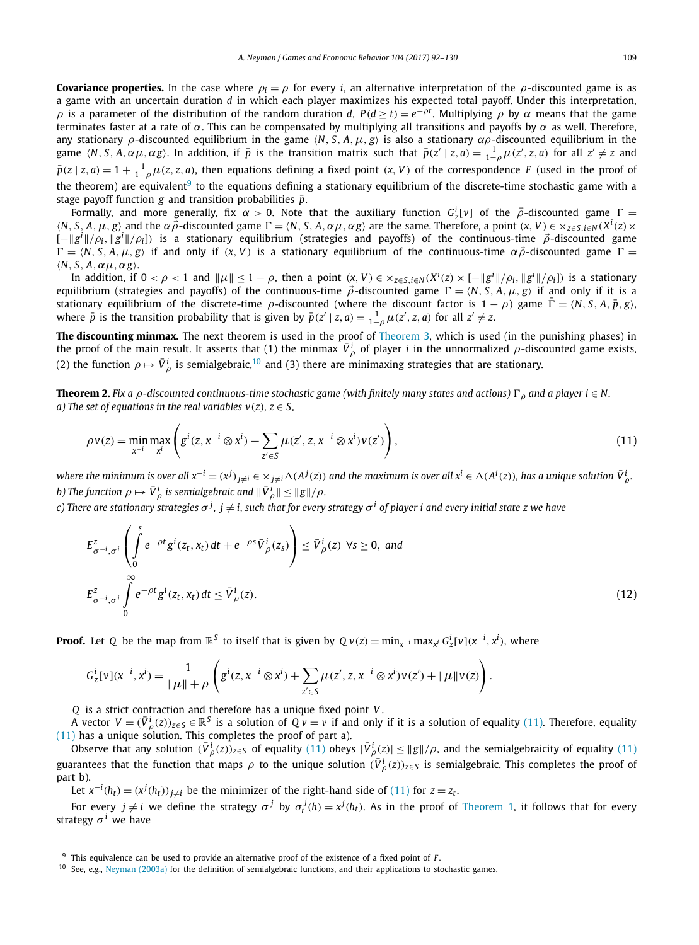<span id="page-17-0"></span>**Covariance properties.** In the case where  $\rho_i = \rho$  for every *i*, an alternative interpretation of the  $\rho$ -discounted game is as a game with an uncertain duration *d* in which each player maximizes his expected total payoff. Under this interpretation, *ρ* is a parameter of the distribution of the random duration *d*,  $P$ (*d* ≥ *t*) = *e*<sup>−*ρt*</sup>. Multiplying *ρ* by *α* means that the game terminates faster at a rate of *α*. This can be compensated by multiplying all transitions and payoffs by *α* as well. Therefore, any stationary *ρ*-discounted equilibrium in the game *N, S, A,μ, g* is also a stationary *αρ*-discounted equilibrium in the game  $\langle N, S, A, \alpha \mu, \alpha g \rangle$ . In addition, if  $\bar{p}$  is the transition matrix such that  $\bar{p}(z' \mid z, a) = \frac{1}{1-\rho} \mu(z', z, a)$  for all  $z' \neq z$  and  $\bar{p}(z | z, a) = 1 + \frac{1}{1-\rho}\mu(z, z, a)$ , then equations defining a fixed point  $(x, V)$  of the correspondence F (used in the proof of the theorem) are equivalent<sup>9</sup> to the equations defining a stationary equilibrium of the discrete-time stochastic game with a stage payoff function  $g$  and transition probabilities  $\bar{p}$ .

Formally, and more generally, fix  $\alpha > 0$ . Note that the auxiliary function  $G_z^i[v]$  of the  $\vec{\rho}$ -discounted game  $\Gamma =$  $\langle N, S, A, \mu, g \rangle$  and the  $\alpha \vec{\rho}$ -discounted game  $\Gamma = \langle N, S, A, \alpha \mu, \alpha g \rangle$  are the same. Therefore, a point  $(x, V) \in \times_{z \in S, i \in N} (X^i(z) \times Y^i(z))$ [−*g<sup>i</sup> /ρi, g<sup>i</sup> /ρi*]*)* is a stationary equilibrium (strategies and payoffs) of the continuous-time *ρ*-discounted game  $\Gamma = \langle N, S, A, \mu, g \rangle$  if and only if  $(X, V)$  is a stationary equilibrium of the continuous-time  $\alpha \vec{\rho}$ -discounted game  $\Gamma =$ *N, S, A,αμ,αg*.

In addition, if  $0<\rho<1$  and  $\|\mu\|\leq 1-\rho$ , then a point  $(x,V)\in \times_{z\in S, i\in N} (X^i(z)\times [-\|g^i\|/\rho_i,\|g^i\|/\rho_i])$  is a stationary equilibrium (strategies and payoffs) of the continuous-time  $\vec{\rho}$ -discounted game  $\Gamma = \langle N, S, A, \mu, g \rangle$  if and only if it is a stationary equilibrium of the discrete-time  $\rho$ -discounted (where the discount factor is  $1 - \rho$ ) game  $\bar{\Gamma} = \langle N, S, A, \bar{p}, g \rangle$ , where  $\bar{p}$  is the transition probability that is given by  $\bar{p}(z' | z, a) = \frac{1}{1-\rho} \mu(z', z, a)$  for all  $z' \neq z$ .

**The discounting minmax.** The next theorem is used in the proof of [Theorem 3,](#page-18-0) which is used (in the punishing phases) in the proof of the main result. It asserts that (1) the minmax  $\bar{V}^i_\rho$  of player *i* in the unnormalized  $\rho$ -discounted game exists, (2) the function  $\rho \mapsto \bar V_\rho^i$  is semialgebraic,<sup>10</sup> and (3) there are minimaxing strategies that are stationary.

**Theorem 2.** Fix a  $\rho$ -discounted continuous-time stochastic game (with finitely many states and actions)  $\Gamma_\rho$  and a player  $i \in N$ . *a*) *The set of equations in the real variables*  $v(z)$ *,*  $z \in S$ *,* 

$$
\rho v(z) = \min_{x^{-i}} \max_{x^i} \left( g^i(z, x^{-i} \otimes x^i) + \sum_{z' \in S} \mu(z', z, x^{-i} \otimes x^i) v(z') \right),\tag{11}
$$

where the minimum is over all  $x^{-i}=(x^j)_{j\neq i}\in \times_{j\neq i}\Delta(A^j(z))$  and the maximum is over all  $x^i\in \Delta(A^i(z))$ , has a unique solution  $\bar V^i_{\rho}$ . *b)* The function  $\rho \mapsto \bar{V}^i_\rho$  is semialgebraic and  $\|\bar{V}^i_\rho\| \leq \|g\|/\rho.$ 

c) There are stationary strategies  $\sigma^j$ ,  $j\neq i$ , such that for every strategy  $\sigma^i$  of player i and every initial state z we have

$$
E_{\sigma^{-i},\sigma^{i}}^{z} \left( \int_{0}^{s} e^{-\rho t} g^{i}(z_{t}, x_{t}) dt + e^{-\rho s} \bar{V}_{\rho}^{i}(z_{s}) \right) \leq \bar{V}_{\rho}^{i}(z) \ \forall s \geq 0, \ and
$$
  
\n
$$
E_{\sigma^{-i},\sigma^{i}}^{z} \int_{0}^{\infty} e^{-\rho t} g^{i}(z_{t}, x_{t}) dt \leq \bar{V}_{\rho}^{i}(z).
$$
\n(12)

**Proof.** Let Q be the map from  $\mathbb{R}^S$  to itself that is given by  $Qv(z) = \min_{x^{-i}} \max_{x^i} G_z^i[v](x^{-i}, x^i)$ , where

$$
G_Z^i[v](x^{-i}, x^i) = \frac{1}{\|\mu\| + \rho} \left( g^i(z, x^{-i} \otimes x^i) + \sum_{z' \in S} \mu(z', z, x^{-i} \otimes x^i) v(z') + \|\mu\| v(z) \right).
$$

*Q* is a strict contraction and therefore has a unique fixed point *V* .

A vector  $V = (\bar{V}^i_\rho(z))_{z \in S} \in \mathbb{R}^S$  is a solution of  $Qv = v$  if and only if it is a solution of equality (11). Therefore, equality

(11) has a unique solution. This completes the proof of part a).<br>Observe that any solution  $(\bar{V}_\rho^i(z))_{z\in S}$  of equality (11) obeys  $|\bar{V}_\rho^i(z)| \le ||g||/\rho$ , and the semialgebraicity of equality (11) guarantees that the function that maps  $\rho$  to the unique solution  $(\bar{V}^i_\rho(z))_{z\in S}$  is semialgebraic. This completes the proof of part b).

Let  $x^{-i}(h_t) = (x^j(h_t))_{j \neq i}$  be the minimizer of the right-hand side of (11) for  $z = z_t$ .

For every  $j\neq i$  we define the strategy  $\sigma^j$  by  $\sigma^j_t(h)=x^j(h_t).$  As in the proof of [Theorem 1,](#page-15-0) it follows that for every strategy  $\sigma^i$  we have

<sup>9</sup> This equivalence can be used to provide an alternative proof of the existence of a fixed point of *F* .

<sup>&</sup>lt;sup>10</sup> See, e.g., [Neyman \(2003a\)](#page-38-0) for the definition of semialgebraic functions, and their applications to stochastic games.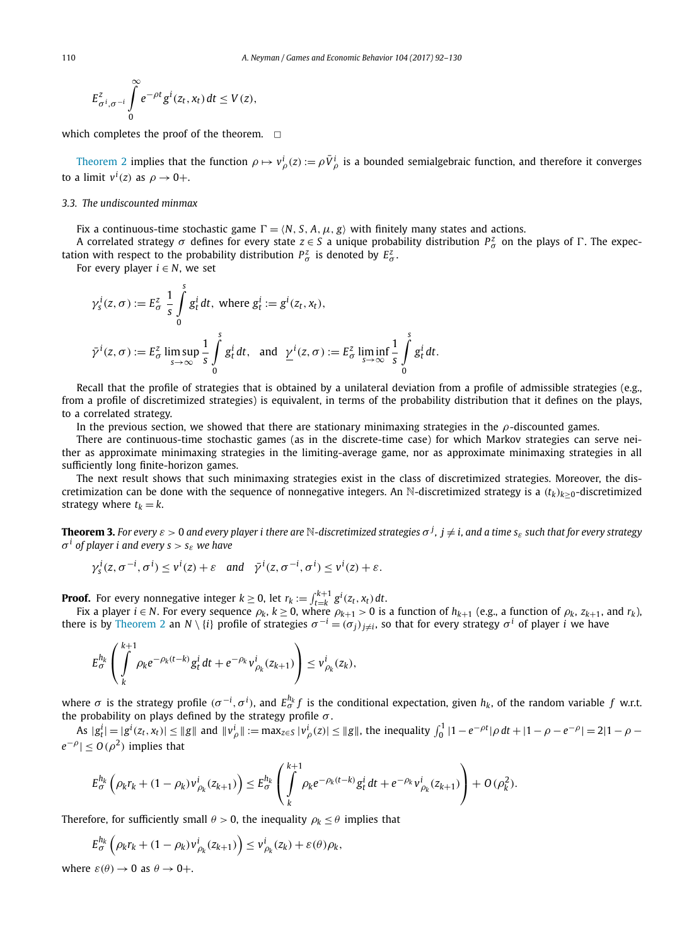<span id="page-18-0"></span>
$$
E_{\sigma^i,\sigma^{-i}}^z \int\limits_0^\infty e^{-\rho t} g^i(z_t,x_t) dt \le V(z),
$$

which completes the proof of the theorem.  $\Box$ 

[Theorem 2](#page-17-0) implies that the function  $\rho \mapsto v^i_\rho(z) := \rho \bar{V}^i_\rho$  is a bounded semialgebraic function, and therefore it converges to a limit  $v^i(z)$  as  $\rho \to 0+$ .

#### *3.3. The undiscounted minmax*

Fix a continuous-time stochastic game  $\Gamma = \langle N, S, A, \mu, g \rangle$  with finitely many states and actions.

A correlated strategy  $\sigma$  defines for every state  $z \in S$  a unique probability distribution  $P^z_\sigma$  on the plays of  $\Gamma$ . The expectation with respect to the probability distribution  $P^z_\sigma$  is denoted by  $E^z_\sigma$ .

For every player  $i \in N$ , we set

$$
\gamma_s^i(z,\sigma) := E_{\sigma}^z \frac{1}{s} \int_0^s g_t^i dt, \text{ where } g_t^i := g^i(z_t, x_t),
$$
  

$$
\bar{\gamma}^i(z,\sigma) := E_{\sigma}^z \limsup_{s \to \infty} \frac{1}{s} \int_0^s g_t^i dt, \text{ and } \underline{\gamma}^i(z,\sigma) := E_{\sigma}^z \liminf_{s \to \infty} \frac{1}{s} \int_0^s g_t^i dt.
$$

Recall that the profile of strategies that is obtained by a unilateral deviation from a profile of admissible strategies (e.g., from a profile of discretimized strategies) is equivalent, in terms of the probability distribution that it defines on the plays, to a correlated strategy.

In the previous section, we showed that there are stationary minimaxing strategies in the *ρ*-discounted games.

There are continuous-time stochastic games (as in the discrete-time case) for which Markov strategies can serve neither as approximate minimaxing strategies in the limiting-average game, nor as approximate minimaxing strategies in all sufficiently long finite-horizon games.

The next result shows that such minimaxing strategies exist in the class of discretimized strategies. Moreover, the discretimization can be done with the sequence of nonnegative integers. An N-discretimized strategy is a  $(t_k)_{k>0}$ -discretimized strategy where  $t_k = k$ .

**Theorem 3.** For every  $\varepsilon>0$  and every player i there are  $\mathbb N$ -discretimized strategies  $\sigma^j$ ,  $j\neq i$ , and a time  $s_\varepsilon$  such that for every strategy  $\sigma^i$  *of player i and every*  $s > s_{\varepsilon}$  *we have* 

$$
\gamma_s^i(z, \sigma^{-i}, \sigma^i) \le v^i(z) + \varepsilon
$$
 and  $\bar{\gamma}^i(z, \sigma^{-i}, \sigma^i) \le v^i(z) + \varepsilon$ .

**Proof.** For every nonnegative integer  $k \ge 0$ , let  $r_k := \int_{t=k}^{k+1} g^i(z_t, x_t) dt$ .

Fix a player  $i \in N$ . For every sequence  $\rho_k$ ,  $k \ge 0$ , where  $\rho_{k+1} > 0$  is a function of  $h_{k+1}$  (e.g., a function of  $\rho_k$ ,  $z_{k+1}$ , and  $r_k$ ), there is by [Theorem 2](#page-17-0) an *N* \ {*i*} profile of strategies  $\sigma^{-i} = (\sigma_j)_{j\neq i}$ , so that for every strategy  $\sigma^i$  of player *i* we have

$$
E_{\sigma}^{h_k} \left( \int\limits_{k}^{k+1} \rho_k e^{-\rho_k (t-k)} g_t^i dt + e^{-\rho_k} v_{\rho_k}^i(z_{k+1}) \right) \leq v_{\rho_k}^i(z_k),
$$

where  $\sigma$  is the strategy profile  $(\sigma^{-i},\sigma^i)$ , and  $E^{h_k}_\sigma f$  is the conditional expectation, given  $h_k$ , of the random variable  $f$  w.r.t. the probability on plays defined by the strategy profile *σ* .

As  $|g_t^i| = |g^i(z_t, x_t)| \le ||g||$  and  $||v_\rho^i|| := \max_{z \in S} |v_\rho^i(z)| \le ||g||$ , the inequality  $\int_0^1 |1 - e^{-\rho t}| \rho dt + |1 - \rho - e^{-\rho}| = 2|1 - \rho - e^{-\rho}|$  $|e^{-\rho}|$  ≤ *O*( $\rho^2$ ) implies that

$$
E_{\sigma}^{h_k} \left( \rho_k r_k + (1 - \rho_k) v_{\rho_k}^i(z_{k+1}) \right) \leq E_{\sigma}^{h_k} \left( \int\limits_k^{k+1} \rho_k e^{-\rho_k (t-k)} g_t^i \, dt + e^{-\rho_k} v_{\rho_k}^i(z_{k+1}) \right) + O(\rho_k^2).
$$

Therefore, for sufficiently small  $\theta > 0$ , the inequality  $\rho_k \leq \theta$  implies that

$$
E_{\sigma}^{h_k} \left( \rho_k r_k + (1 - \rho_k) v_{\rho_k}^i(z_{k+1}) \right) \leq v_{\rho_k}^i(z_k) + \varepsilon(\theta) \rho_k,
$$

where  $\varepsilon(\theta) \rightarrow 0$  as  $\theta \rightarrow 0+$ .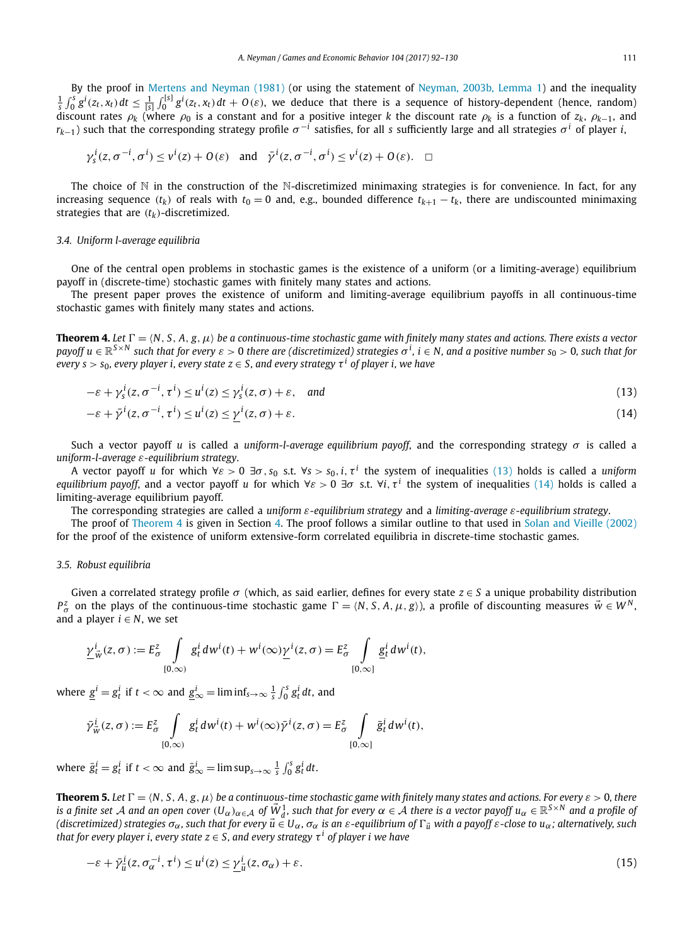<span id="page-19-0"></span>By the proof in Mertens and [Neyman \(1981\)](#page-38-0) (or using the statement of Neyman, 2003b, [Lemma 1\)](#page-38-0) and the inequality  $\frac{1}{s}\int_0^s g^i(z_t,x_t)dt \leq \frac{1}{[s]} \int_0^{[s]} g^i(z_t,x_t)dt + O(\varepsilon)$ , we deduce that there is a sequence of history-dependent (hence, random) discount rates  $\rho_k$  (where  $\rho_0$  is a constant and for a positive integer *k* the discount rate  $\rho_k$  is a function of  $z_k$ ,  $\rho_{k-1}$ , and  $r_{k-1}$ ) such that the corresponding strategy profile  $\sigma^{-1}$  satisfies, for all *s* sufficiently large and all strategies  $\sigma^{i}$  of player *i*,

$$
\gamma_s^i(z, \sigma^{-i}, \sigma^i) \le v^i(z) + O(\varepsilon)
$$
 and  $\bar{\gamma}^i(z, \sigma^{-i}, \sigma^i) \le v^i(z) + O(\varepsilon)$ .  $\Box$ 

The choice of  $\mathbb N$  in the construction of the N-discretimized minimaxing strategies is for convenience. In fact, for any increasing sequence  $(t_k)$  of reals with  $t_0 = 0$  and, e.g., bounded difference  $t_{k+1} - t_k$ , there are undiscounted minimaxing strategies that are  $(t_k)$ -discretimized.

#### *3.4. Uniform l-average equilibria*

One of the central open problems in stochastic games is the existence of a uniform (or a limiting-average) equilibrium payoff in (discrete-time) stochastic games with finitely many states and actions.

The present paper proves the existence of uniform and limiting-average equilibrium payoffs in all continuous-time stochastic games with finitely many states and actions.

**Theorem 4.** Let  $\Gamma = \langle N, S, A, g, \mu \rangle$  be a continuous-time stochastic game with finitely many states and actions. There exists a vector payoff  $u\in\mathbb{R}^{S\times N}$  such that for every  $\varepsilon>0$  there are (discretimized) strategies  $\sigma^i$ ,  $i\in N$ , and a positive number  $s_0>0$ , such that for every  $s > s_0$ , every player i, every state  $z \in S$ , and every strategy  $\tau^i$  of player i, we have

$$
-\varepsilon + \gamma_s^i(z, \sigma^{-i}, \tau^i) \le u^i(z) \le \gamma_s^i(z, \sigma) + \varepsilon, \quad \text{and} \tag{13}
$$

$$
-\varepsilon + \bar{\gamma}^i(z, \sigma^{-i}, \tau^i) \le u^i(z) \le \gamma^i(z, \sigma) + \varepsilon. \tag{14}
$$

Such a vector payoff *u* is called a *uniform-l-average equilibrium payoff*, and the corresponding strategy *σ* is called a *uniform-l-average ε-equilibrium strategy*.

A vector payoff *u* for which ∀*ε >* 0 ∃*σ, s*<sup>0</sup> s.t. ∀*s > s*0*,i, τ <sup>i</sup>* the system of inequalities (13) holds is called a *uniform equilibrium payoff*, and a vector payoff *u* for which  $\forall \varepsilon > 0$   $\exists \sigma$  s.t.  $\forall i$ ,  $\tau^i$  the system of inequalities (14) holds is called a limiting-average equilibrium payoff.

The corresponding strategies are called a *uniform ε-equilibrium strategy* and a *limiting-average ε-equilibrium strategy*.

The proof of Theorem 4 is given in Section [4.](#page-20-0) The proof follows a similar outline to that used in Solan and [Vieille \(2002\)](#page-38-0) for the proof of the existence of uniform extensive-form correlated equilibria in discrete-time stochastic games.

#### *3.5. Robust equilibria*

Given a correlated strategy profile *σ* (which, as said earlier, defines for every state *z* ∈ *S* a unique probability distribution *P*<sub> $\sigma$ </sub> on the plays of the continuous-time stochastic game  $\Gamma = \langle N, S, A, \mu, g \rangle$ , a profile of discounting measures  $\vec{w} \in W^N$ , and a player  $i \in N$ , we set

$$
\underline{\gamma}^i_{\vec{w}}(z,\sigma) := E^z_{\sigma} \int\limits_{[0,\infty)} g^i_t dw^i(t) + w^i(\infty) \underline{\gamma}^i(z,\sigma) = E^z_{\sigma} \int\limits_{[0,\infty]} g^i_t dw^i(t),
$$

where  $g^i = g^i_t$  if  $t < \infty$  and  $g^i_{\infty} = \liminf_{s \to \infty} \frac{1}{s} \int_0^s g^i_t dt$ , and

$$
\bar{\gamma}_{\bar{w}}^i(z,\sigma) := E_{\sigma}^z \int\limits_{[0,\infty)} g_t^i dw^i(t) + w^i(\infty) \bar{\gamma}^i(z,\sigma) = E_{\sigma}^z \int\limits_{[0,\infty]} \bar{g}_t^i dw^i(t),
$$

where  $\bar{g}^i_t = g^i_t$  if  $t < \infty$  and  $\bar{g}^i_{\infty} = \limsup_{s \to \infty} \frac{1}{s} \int_0^s g^i_t dt$ .

**Theorem 5.** Let  $\Gamma = \langle N, S, A, g, \mu \rangle$  be a continuous-time stochastic game with finitely many states and actions. For every  $\varepsilon > 0$ , there is a finite set A and an open cover  $(U_\alpha)_{\alpha\in\mathcal{A}}$  of  $\vec{W}^1_d$ , such that for every  $\alpha\in\mathcal{A}$  there is a vector payoff  $u_\alpha\in\mathbb{R}^{S\times N}$  and a profile of (discretimized) strategies  $\sigma_{\alpha}$ , such that for every  $\vec{u} \in U_{\alpha}$ ,  $\sigma_{\alpha}$  is an  $\varepsilon$ -equilibrium of  $\Gamma_{\vec{u}}$  with a payoff  $\varepsilon$ -close to  $u_{\alpha}$ ; alternatively, such *that* for *every player i, every state*  $z \in S$ *, and every strategy*  $\tau^i$  *of player i we have* 

$$
-\varepsilon + \bar{\gamma}_{\vec{u}}^i(z, \sigma_\alpha^{-i}, \tau^i) \le u^i(z) \le \underline{\gamma}_{\vec{u}}^i(z, \sigma_\alpha) + \varepsilon. \tag{15}
$$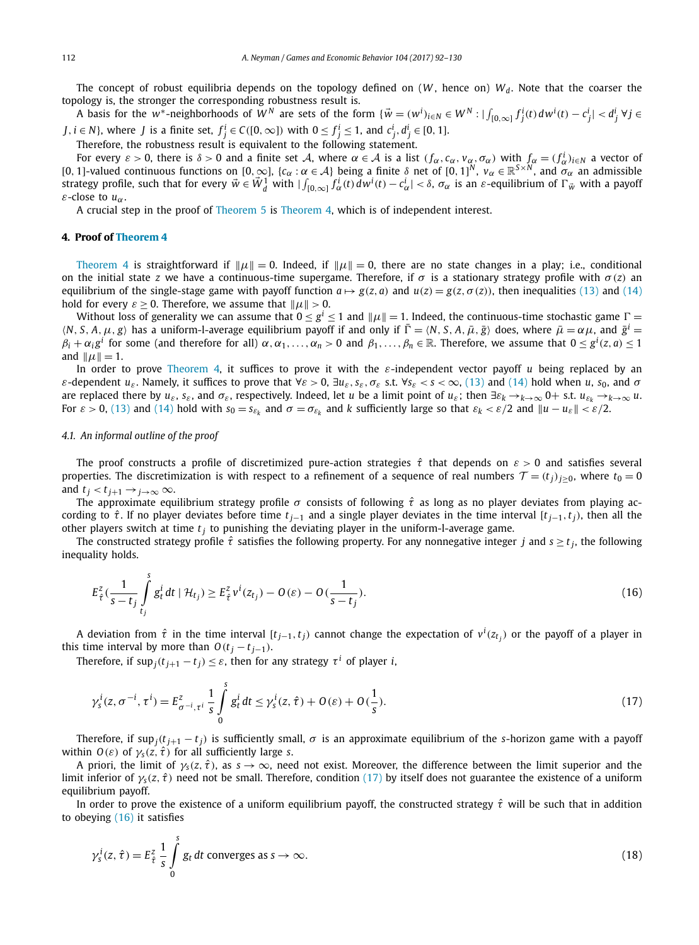<span id="page-20-0"></span>The concept of robust equilibria depends on the topology defined on  $(W,$  hence on)  $W_d$ . Note that the coarser the topology is, the stronger the corresponding robustness result is.

A basis for the w\*-neighborhoods of W<sup>N</sup> are sets of the form  $\{\vec{w} = (w^i)_{i \in N} \in W^N : |\int_{[0,\infty]} f^i_j(t) dw^i(t) - c^i_j| < d^i_j \ \forall j \in N\}$ *J*, *i*  $\in$  *N*}, where *J* is a finite set,  $f_j^i \in C([0,\infty])$  with  $0 \le f_j^i \le 1$ , and  $c_j^i$ ,  $d_j^i \in [0,1]$ .

Therefore, the robustness result is equivalent to the following statement.

For every  $\varepsilon > 0$ , there is  $\delta > 0$  and a finite set A, where  $\alpha \in A$  is a list  $(f_{\alpha}, c_{\alpha}, v_{\alpha}, \sigma_{\alpha})$  with  $f_{\alpha} = (f_{\alpha}^{i})_{i \in N}$  a vector of [0*,* <sup>1</sup>]-valued continuous functions on [0*,*∞], {*c<sup>α</sup>* : *<sup>α</sup>* <sup>∈</sup> <sup>A</sup>} being <sup>a</sup> finite *<sup>δ</sup>* net of [0*,* <sup>1</sup>]*<sup>N</sup>* , *<sup>v</sup><sup>α</sup>* <sup>∈</sup> <sup>R</sup>*S*×*<sup>N</sup>* , and *σα* an admissible strategy profile, such that for every  $\vec{w} \in \vec{W}_d^1$  with  $|\int_{[0,\infty]} \vec{f}_\alpha^i(t) d w^i(t) - c_\alpha^i| < \delta$ ,  $\sigma_\alpha$  is an  $\varepsilon$ -equilibrium of  $\Gamma_{\vec{w}}$  with a payoff *ε*-close to *uα*.

A crucial step in the proof of [Theorem 5](#page-19-0) is [Theorem 4,](#page-19-0) which is of independent interest.

#### **4. Proof of [Theorem 4](#page-19-0)**

[Theorem 4](#page-19-0) is straightforward if  $\|\mu\| = 0$ . Indeed, if  $\|\mu\| = 0$ , there are no state changes in a play; i.e., conditional on the initial state *z* we have a continuous-time supergame. Therefore, if  $\sigma$  is a stationary strategy profile with  $\sigma(z)$  an equilibrium of the single-stage game with payoff function  $a \mapsto g(z, a)$  and  $u(z) = g(z, \sigma(z))$ , then inequalities [\(13\)](#page-19-0) and [\(14\)](#page-19-0) hold for every  $\varepsilon \geq 0$ . Therefore, we assume that  $\|\mu\| > 0$ .

Without loss of generality we can assume that  $0 \le g^i \le 1$  and  $\|\mu\| = 1$ . Indeed, the continuous-time stochastic game  $\Gamma =$  $\langle N, S, A, \mu, g \rangle$  has a uniform-l-average equilibrium payoff if and only if  $\overline{\Gamma} = \langle N, S, A, \overline{\mu}, \overline{g} \rangle$  does, where  $\overline{\mu} = \alpha \mu$ , and  $\overline{g}^i =$  $\beta_i+\alpha_i g^i$  for some (and therefore for all)  $\alpha,\alpha_1,\ldots,\alpha_n>0$  and  $\beta_1,\ldots,\beta_n\in\mathbb R.$  Therefore, we assume that  $0\leq g^i(z,a)\leq 1$ and  $\|\mu\| = 1$ .

In order to prove [Theorem 4,](#page-19-0) it suffices to prove it with the *ε*-independent vector payoff *u* being replaced by an  $\varepsilon$ -dependent  $u_{\varepsilon}$ . Namely, it suffices to prove that  $\forall \varepsilon > 0$ ,  $\exists u_{\varepsilon}$ ,  $s_{\varepsilon}$ ,  $\sigma_{\varepsilon}$  s.t.  $\forall s_{\varepsilon} < s < \infty$ , [\(13\)](#page-19-0) and [\(14\)](#page-19-0) hold when u, s<sub>0</sub>, and  $\sigma$ are replaced there by  $u_{\varepsilon}$ ,  $s_{\varepsilon}$ , and  $\sigma_{\varepsilon}$ , respectively. Indeed, let u be a limit point of  $u_{\varepsilon}$ ; then  $\exists \varepsilon_k \to_{k \to \infty} 0+$  s.t.  $u_{\varepsilon_k} \to_{k \to \infty} u$ . For  $\varepsilon > 0$ , [\(13\)](#page-19-0) and [\(14\)](#page-19-0) hold with  $s_0 = s_{\varepsilon_k}$  and  $\sigma = \sigma_{\varepsilon_k}$  and k sufficiently large so that  $\varepsilon_k < \varepsilon/2$  and  $||u - u_{\varepsilon}|| < \varepsilon/2$ .

#### *4.1. An informal outline of the proof*

The proof constructs a profile of discretimized pure-action strategies *τ*ˆ that depends on *ε >* 0 and satisfies several properties. The discretimization is with respect to a refinement of a sequence of real numbers  $\mathcal{T} = (t_i)_{i>0}$ , where  $t_0 = 0$ and  $t_i < t_{i+1} \rightarrow i \rightarrow \infty$   $\infty$ .

The approximate equilibrium strategy profile  $\sigma$  consists of following  $\hat{\tau}$  as long as no player deviates from playing according to  $\hat{\tau}$ . If no player deviates before time  $t_{i-1}$  and a single player deviates in the time interval [ $t_{i-1}, t_i$ }, then all the other players switch at time  $t_i$  to punishing the deviating player in the uniform-l-average game.

The constructed strategy profile  $\hat{\tau}$  satisfies the following property. For any nonnegative integer *j* and  $s \ge t_i$ , the following inequality holds.

$$
E_{\hat{\tau}}^z \left( \frac{1}{s - t_j} \int\limits_{t_j}^s g_t^i dt \mid \mathcal{H}_{t_j} \right) \ge E_{\hat{\tau}}^z v^i(z_{t_j}) - O(\varepsilon) - O(\frac{1}{s - t_j}). \tag{16}
$$

A deviation from  $\hat{\tau}$  in the time interval [ $t_{j-1},t_j)$  cannot change the expectation of  $v^i(z_{t_j})$  or the payoff of a player in this time interval by more than  $O(t_j - t_{j-1})$ .

Therefore, if  $\sup_j(t_{j+1} - t_j) \leq \varepsilon$ , then for any strategy  $\tau^i$  of player *i*,

$$
\gamma_s^i(z, \sigma^{-i}, \tau^i) = E_{\sigma^{-i}, \tau^i}^z \frac{1}{s} \int_0^s g_t^i dt \le \gamma_s^i(z, \hat{\tau}) + O(\varepsilon) + O(\frac{1}{s}).
$$
\n(17)

Therefore, if sup<sub>*j*</sub>( $t_{j+1} - t_j$ ) is sufficiently small,  $\sigma$  is an approximate equilibrium of the *s*-horizon game with a payoff within *O*(*ε*) of  $\gamma_s(z, \hat{\tau})$  for all sufficiently large *s*.

A priori, the limit of  $\gamma_s(z, \hat{t})$ , as  $s \to \infty$ , need not exist. Moreover, the difference between the limit superior and the limit inferior of  $\gamma_s(z, \hat{t})$  need not be small. Therefore, condition (17) by itself does not guarantee the existence of a uniform equilibrium payoff.

In order to prove the existence of a uniform equilibrium payoff, the constructed strategy  $\hat{\tau}$  will be such that in addition to obeying (16) it satisfies

$$
\gamma_s^i(z,\hat{\tau}) = E_{\hat{\tau}}^z \frac{1}{s} \int_0^s g_t dt \text{ converges as } s \to \infty.
$$
 (18)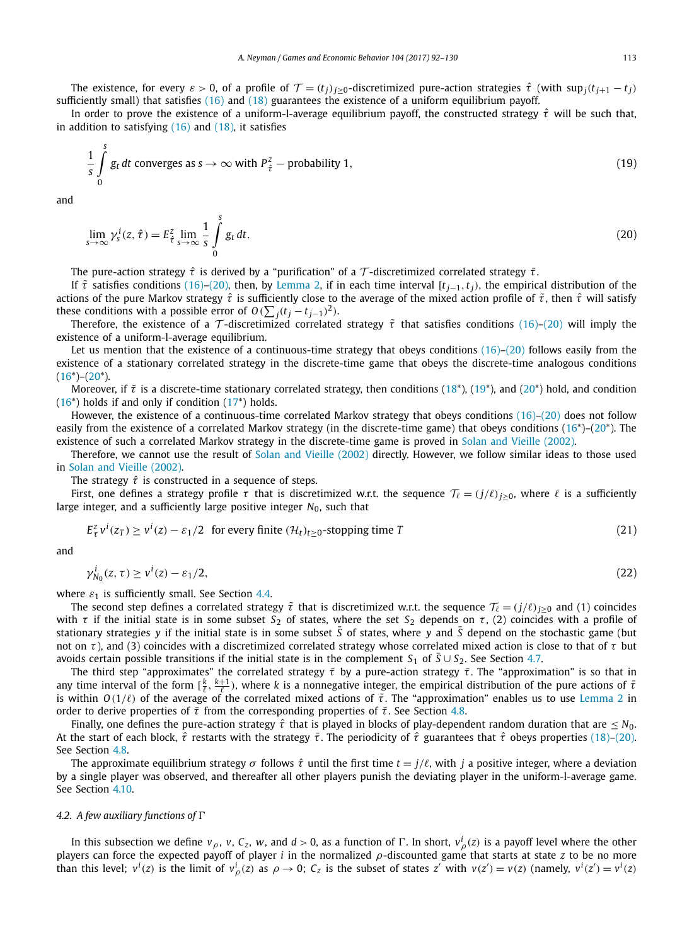The existence, for every  $\varepsilon > 0$ , of a profile of  $\mathcal{T} = (t_j)_{j \geq 0}$ -discretimized pure-action strategies  $\hat{\tau}$  (with sup<sub>*j*</sub>( $t_{j+1} - t_j$ ) sufficiently small) that satisfies [\(16\)](#page-20-0) and [\(18\)](#page-20-0) guarantees the existence of a uniform equilibrium payoff.

In order to prove the existence of a uniform-l-average equilibrium payoff, the constructed strategy *τ*ˆ will be such that, in addition to satisfying  $(16)$  and  $(18)$ , it satisfies

$$
\frac{1}{s} \int_{0}^{s} g_t dt
$$
 converges as  $s \to \infty$  with  $P_{\hat{\tau}}^z$  – probability 1, (19)

and

$$
\lim_{s \to \infty} \gamma_s^i(z, \hat{\tau}) = E_{\hat{\tau}}^z \lim_{s \to \infty} \frac{1}{s} \int_0^s g_t dt.
$$
\n(20)

The pure-action strategy *τ*<sup>ˆ</sup> is derived by <sup>a</sup> "purification" of <sup>a</sup> T -discretimized correlated strategy *τ*˜.

If  $\tilde{\tau}$  satisfies conditions [\(16\)–](#page-20-0)(20), then, by [Lemma 2,](#page-14-0) if in each time interval  $[t_{j-1}, t_j)$ , the empirical distribution of the actions of the pure Markov strategy *τ*ˆ is sufficiently close to the average of the mixed action profile of *τ*˜, then *τ*ˆ will satisfy these conditions with a possible error of  $O(\sum_j (t_j - t_{j-1})^2)$ .

Therefore, the existence of a  $\tau$ -discretimized correlated strategy  $\tilde{\tau}$  that satisfies conditions [\(16\)–](#page-20-0)(20) will imply the existence of a uniform-l-average equilibrium.

Let us mention that the existence of a continuous-time strategy that obeys conditions  $(16)$ – $(20)$  follows easily from the existence of a stationary correlated strategy in the discrete-time game that obeys the discrete-time analogous conditions  $(16^*)$ – $(20^*)$ .

Moreover, if  $\tilde{\tau}$  is a discrete-time stationary correlated strategy, then conditions (18<sup>\*</sup>), (19<sup>\*</sup>), and (20<sup>\*</sup>) hold, and condition  $(16^*)$  holds if and only if condition  $(17^*)$  holds.

However, the existence of a continuous-time correlated Markov strategy that obeys conditions [\(16\)–](#page-20-0)(20) does not follow easily from the existence of a correlated Markov strategy (in the discrete-time game) that obeys conditions [\(16\\*](#page-20-0))–(20\*). The existence of such a correlated Markov strategy in the discrete-time game is proved in Solan and [Vieille \(2002\).](#page-38-0)

Therefore, we cannot use the result of Solan and [Vieille \(2002\)](#page-38-0) directly. However, we follow similar ideas to those used in Solan and [Vieille \(2002\).](#page-38-0)

The strategy  $\hat{\tau}$  is constructed in a sequence of steps.

First, one defines a strategy profile  $\tau$  that is discretimized w.r.t. the sequence  $\mathcal{T}_{\ell} = (j/\ell)_{i\geq0}$ , where  $\ell$  is a sufficiently large integer, and a sufficiently large positive integer *N*0, such that

$$
E_{\tau}^{z}v^{i}(z_{T}) \ge v^{i}(z) - \varepsilon_{1}/2 \text{ for every finite } (\mathcal{H}_{t})_{t \ge 0}\text{-stopping time } T
$$
\n(21)

and

$$
\gamma_{N_0}^i(z,\tau) \ge \nu^i(z) - \varepsilon_1/2,\tag{22}
$$

where  $\varepsilon_1$  is sufficiently small. See Section [4.4.](#page-23-0)

The second step defines a correlated strategy  $\tilde{\tau}$  that is discretimized w.r.t. the sequence  $\mathcal{T}_{\ell} = (j/\ell)_{i\geq0}$  and (1) coincides with  $\tau$  if the initial state is in some subset  $S_2$  of states, where the set  $S_2$  depends on  $\tau$ , (2) coincides with a profile of stationary strategies *y* if the initial state is in some subset  $\overline{S}$  of states, where *y* and  $\overline{S}$  depend on the stochastic game (but not on *τ* ), and (3) coincides with a discretimized correlated strategy whose correlated mixed action is close to that of *τ* but avoids certain possible transitions if the initial state is in the complement  $S_1$  of  $\bar{S} \cup S_2$ . See Section [4.7.](#page-27-0)

The third step "approximates" the correlated strategy *τ*˜ by a pure-action strategy *τ*¯. The "approximation" is so that in any time interval of the form  $[\frac{k}{\ell}, \frac{k+1}{\ell})$ , where *k* is a nonnegative integer, the empirical distribution of the pure actions of *τ* is within  $O(1/\ell)$  of the average of the correlated mixed actions of  $\tilde{\tau}$ . The "approximation" enables us to use [Lemma 2](#page-14-0) in order to derive properties of *τ*¯ from the corresponding properties of *τ*˜. See Section [4.8.](#page-28-0)

Finally, one defines the pure-action strategy  $\hat{\tau}$  that is played in blocks of play-dependent random duration that are  $\leq N_0$ . At the start of each block, *τ*ˆ restarts with the strategy *τ*¯. The periodicity of *τ*ˆ guarantees that *τ*ˆ obeys properties [\(18\)–](#page-20-0)(20). See Section [4.8.](#page-28-0)

The approximate equilibrium strategy *σ* follows  $\hat{\tau}$  until the first time  $t = j/\ell$ , with *j* a positive integer, where a deviation by a single player was observed, and thereafter all other players punish the deviating player in the uniform-l-average game. See Section [4.10.](#page-31-0)

#### *4.2. A few auxiliary functions of*

In this subsection we define  $v_\rho$ ,  $v$ ,  $C_z$ ,  $w$ , and  $d>0$ , as a function of  $\Gamma.$  In short,  $v_\rho^i(z)$  is a payoff level where the other players can force the expected payoff of player *i* in the normalized *ρ*-discounted game that starts at state *z* to be no more than this level;  $v^i(z)$  is the limit of  $v^i(\zeta)$  as  $\rho \to 0$ ;  $C_z$  is the subset of states z' with  $v(z') = v(z)$  (namely,  $v^i(z') = v^i(z)$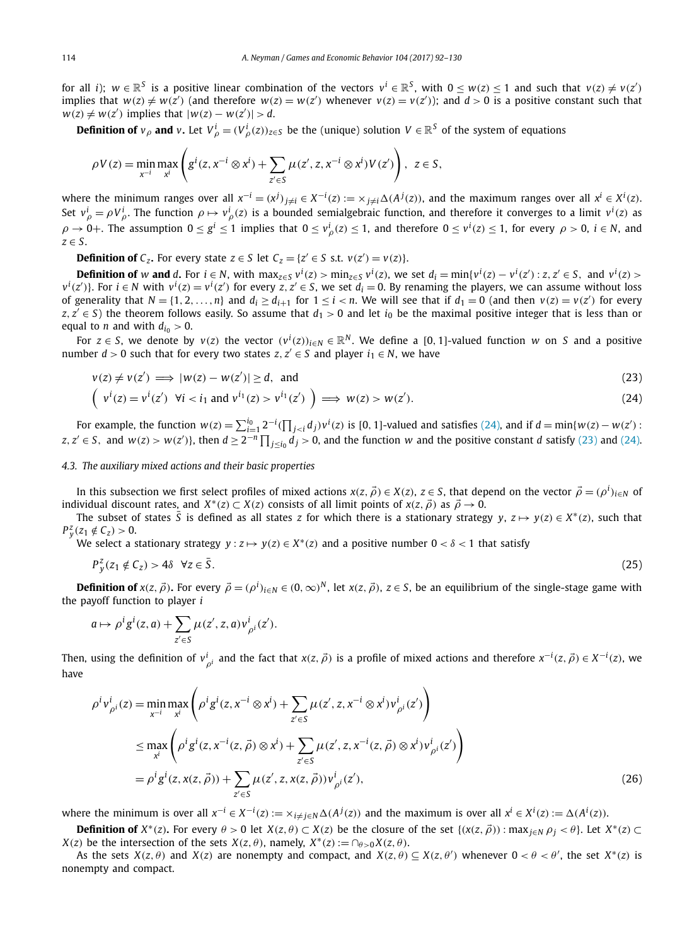<span id="page-22-0"></span>for all *i*);  $w \in \mathbb{R}^S$  is a positive linear combination of the vectors  $v^i \in \mathbb{R}^S$ , with  $0 \le w(z) \le 1$  and such that  $v(z) \ne v(z')$ implies that  $w(z) \neq w(z')$  (and therefore  $w(z) = w(z')$  whenever  $v(z) = v(z')$ ); and  $d > 0$  is a positive constant such that  $w(z) \neq w(z')$  implies that  $|w(z) - w(z')| > d$ .

**Definition of**  $v_\rho$  and  $v$ . Let  $V_\rho^i = (V_\rho^i(z))_{z \in S}$  be the (unique) solution  $V \in \mathbb{R}^S$  of the system of equations

$$
\rho V(z) = \min_{x^{-i}} \max_{x^i} \left( g^i(z, x^{-i} \otimes x^i) + \sum_{z' \in S} \mu(z', z, x^{-i} \otimes x^i) V(z') \right), \ z \in S,
$$

where the minimum ranges over all  $x^{-i}=(x^j)_{j\neq i}\in X^{-i}(z):=x_{j\neq i}\Delta(A^j(z))$ , and the maximum ranges over all  $x^i\in X^i(z)$ . Set  $v^i_\rho = \rho V^i_\rho$ . The function  $\rho \mapsto v^i_\rho(z)$  is a bounded semialgebraic function, and therefore it converges to a limit  $v^i(z)$  as  $\rho\to 0+$ . The assumption  $0\leq g^i\leq 1$  implies that  $0\leq v^i_{\rho}(z)\leq 1$ , and therefore  $0\leq v^i(z)\leq 1$ , for every  $\rho>0$ ,  $i\in N$ , and *z* ∈ *S*.

**Definition of**  $C_z$ . For every state  $z \in S$  let  $C_z = \{z' \in S \text{ s.t. } v(z') = v(z)\}.$ 

**Definition of** w **and** d. For  $i \in N$ , with  $\max_{z \in S} v^i(z) > \min_{z \in S} v^i(z)$ , we set  $d_i = \min\{v^i(z) - v^i(z') : z, z' \in S$ , and  $v^i(z) >$  $v^i(z')$ }. For  $i \in N$  with  $v^i(z) = v^i(z')$  for every  $z, z' \in S$ , we set  $d_i = 0$ . By renaming the players, we can assume without loss of generality that  $N = \{1, 2, ..., n\}$  and  $d_i \ge d_{i+1}$  for  $1 \le i < n$ . We will see that if  $d_1 = 0$  (and then  $v(z) = v(z')$  for every  $z, z' \in S$ ) the theorem follows easily. So assume that  $d_1 > 0$  and let  $i_0$  be the maximal positive integer that is less than or equal to *n* and with  $d_{i_0} > 0$ .

For  $z \in S$ , we denote by  $v(z)$  the vector  $(v^i(z))_{i\in N} \in \mathbb{R}^N$ . We define a [0, 1]-valued function w on S and a positive number  $d > 0$  such that for every two states  $z, z' \in S$  and player  $i_1 \in N$ , we have

$$
v(z) \neq v(z') \implies |w(z) - w(z')| \geq d, \text{ and} \tag{23}
$$

$$
\left(\begin{array}{cc}v^i(z)=v^i(z')&\forall i< i_1\text{ and }v^{i_1}(z)>v^{i_1}(z')\end{array}\right)\Longrightarrow w(z)>w(z').\tag{24}
$$

For example, the function  $w(z) = \sum_{i=1}^{i_0} 2^{-i} (\prod_{j is [0, 1]-valued and satisfies (24), and if  $d = min\{w(z) - w(z')\}$$  $z, z' \in S$ , and  $w(z) > w(z')$ , then  $d \ge 2^{-n} \prod_{j \le i_0} d_j > 0$ , and the function w and the positive constant d satisfy (23) and (24).

#### *4.3. The auxiliary mixed actions and their basic properties*

In this subsection we first select profiles of mixed actions  $x(z, \vec{\rho}) \in X(z)$ ,  $z \in S$ , that depend on the vector  $\vec{\rho} = (\rho^i)_{i \in N}$  of individual discount rates, and  $X^*(z) \subset X(z)$  consists of all limit points of  $x(z, \vec{\rho})$  as  $\vec{\rho} \to 0$ .

The subset of states  $\overline{S}$  is defined as all states *z* for which there is a stationary strategy *y*,  $z \mapsto y(z) \in X^*(z)$ , such that  $P_y^z(z_1 \notin C_z) > 0.$ 

We select a stationary strategy  $y : z \mapsto y(z) \in X^*(z)$  and a positive number  $0 < \delta < 1$  that satisfy

$$
P_y^z(z_1 \notin C_z) > 4\delta \quad \forall z \in \bar{S}.\tag{25}
$$

**Definition of**  $x(z, \vec{\rho})$ . For every  $\vec{\rho} = (\rho^i)_{i \in N} \in (0, \infty)^N$ , let  $x(z, \vec{\rho})$ ,  $z \in S$ , be an equilibrium of the single-stage game with the payoff function to player *i*

$$
a \mapsto \rho^i g^i(z, a) + \sum_{z' \in S} \mu(z', z, a) v^i_{\rho^i}(z').
$$

Then, using the definition of  $v^i_{\rho^i}$  and the fact that  $x(z, \vec{\rho})$  is a profile of mixed actions and therefore  $x^{-i}(z, \vec{\rho}) \in X^{-i}(z)$ , we have

$$
\rho^{i}v_{\rho^{i}}^{i}(z) = \min_{x^{-i}} \max_{x^{i}} \left( \rho^{i}g^{i}(z, x^{-i} \otimes x^{i}) + \sum_{z' \in S} \mu(z', z, x^{-i} \otimes x^{i})v_{\rho^{i}}^{i}(z') \right)
$$
  
\n
$$
\leq \max_{x^{i}} \left( \rho^{i}g^{i}(z, x^{-i}(z, \vec{\rho}) \otimes x^{i}) + \sum_{z' \in S} \mu(z', z, x^{-i}(z, \vec{\rho}) \otimes x^{i})v_{\rho^{i}}^{i}(z') \right)
$$
  
\n
$$
= \rho^{i}g^{i}(z, x(z, \vec{\rho})) + \sum_{z' \in S} \mu(z', z, x(z, \vec{\rho}))v_{\rho^{i}}^{i}(z'), \qquad (26)
$$

where the minimum is over all  $x^{-i} \in X^{-i}(z) := x_{i \neq j \in N} \Delta(A^j(z))$  and the maximum is over all  $x^i \in X^i(z) := \Delta(A^i(z))$ .

**Definition of**  $X^*(z)$ . For every  $\theta > 0$  let  $X(z, \theta) \subset X(z)$  be the closure of the set  $\{(x(z, \vec{\rho})) : \max_{i \in N} \rho_i < \theta\}$ . Let  $X^*(z) \subset Y(z)$ *X*(*z*) be the intersection of the sets *X*(*z*,  $\theta$ ), namely, *X*<sup>\*</sup>(*z*) := ∩ $\theta$ >0*X*(*z*,  $\theta$ ).

As the sets  $X(z, \theta)$  and  $X(z)$  are nonempty and compact, and  $X(z, \theta) \subseteq X(z, \theta')$  whenever  $0 < \theta < \theta'$ , the set  $X^*(z)$  is nonempty and compact.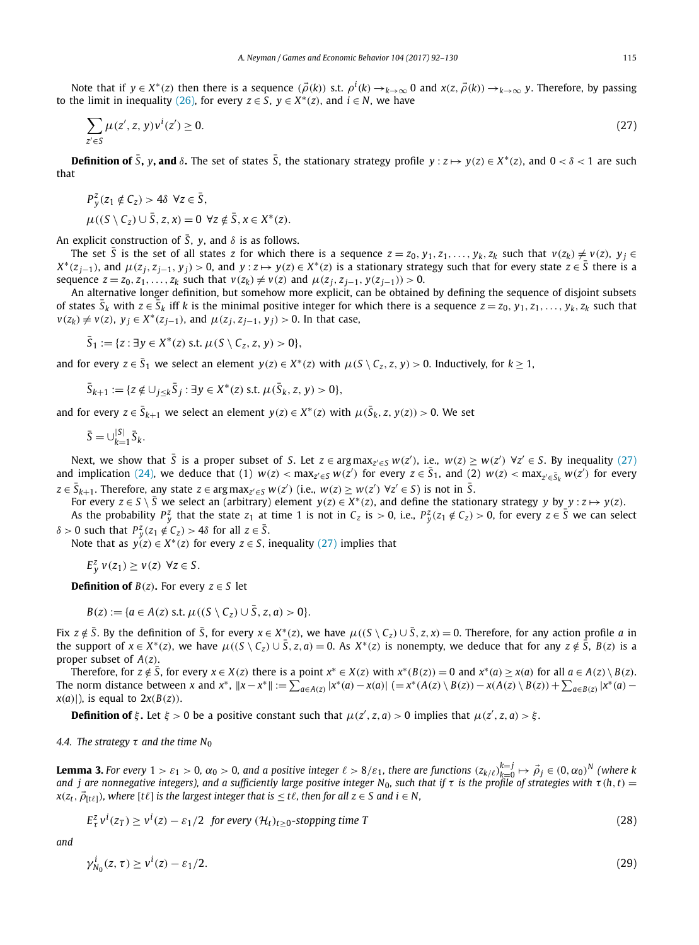<span id="page-23-0"></span>Note that if  $y \in X^*(z)$  then there is a sequence  $(\vec{\rho}(k))$  s.t.  $\rho^i(k) \to_{k \to \infty} 0$  and  $x(z, \vec{\rho}(k)) \to_{k \to \infty} y$ . Therefore, by passing to the limit in inequality [\(26\),](#page-22-0) for every *z* ∈ *S*, *y* ∈ *X*<sup>\*</sup>(*z*), and *i* ∈ *N*, we have

$$
\sum_{z' \in S} \mu(z', z, y)v^{i}(z') \ge 0.
$$
\n(27)

**Definition of**  $\overline{S}$ **, v, and**  $\delta$ **.** The set of states  $\overline{S}$ , the stationary strategy profile  $y:z\mapsto y(z)\in X^*(z)$ , and  $0<\delta<1$  are such that

$$
P_y^z(z_1 \notin C_z) > 4\delta \ \forall z \in \bar{S},
$$

$$
\mu((S \setminus C_z) \cup \overline{S}, z, x) = 0 \ \forall z \notin \overline{S}, x \in X^*(z).
$$

An explicit construction of  $\overline{S}$ ,  $\gamma$ , and  $\delta$  is as follows.

The set  $\bar{S}$  is the set of all states z for which there is a sequence  $z=z_0, y_1, z_1, \ldots, y_k, z_k$  such that  $v(z_k) \neq v(z)$ ,  $y_j \in S$  $X^*(z_{i-1})$ , and  $\mu(z_i, z_{i-1}, y_i) > 0$ , and  $y : z \mapsto y(z) \in X^*(z)$  is a stationary strategy such that for every state  $z \in \overline{S}$  there is a sequence  $z = z_0, z_1, ..., z_k$  such that  $v(z_k) \neq v(z)$  and  $\mu(z_j, z_{j-1}, y(z_{j-1})) > 0$ .

An alternative longer definition, but somehow more explicit, can be obtained by defining the sequence of disjoint subsets of states  $\bar{S}_k$  with  $z \in \bar{S}_k$  iff k is the minimal positive integer for which there is a sequence  $z = z_0, y_1, z_1, \ldots, y_k, z_k$  such that  $v(z_k) \neq v(z)$ ,  $y_j \in X^*(z_{j-1})$ , and  $\mu(z_j, z_{j-1}, y_j) > 0$ . In that case,

$$
\bar{S}_1 := \{z : \exists y \in X^*(z) \text{ s.t. } \mu(S \setminus C_z, z, y) > 0\},
$$

and for every  $z \in \overline{S}_1$  we select an element  $y(z) \in X^*(z)$  with  $\mu(S \setminus C_7, z, y) > 0$ . Inductively, for  $k > 1$ ,

$$
\bar{S}_{k+1} := \{z \notin \cup_{j \leq k} \bar{S}_j : \exists y \in X^*(z) \text{ s.t. } \mu(\bar{S}_k, z, y) > 0\},
$$

and for every  $z \in \bar{S}_{k+1}$  we select an element  $y(z) \in X^*(z)$  with  $\mu(\bar{S}_k, z, y(z)) > 0$ . We set

$$
\bar{S} = \cup_{k=1}^{|S|} \bar{S}_k.
$$

Next, we show that  $\bar{S}$  is a proper subset of S. Let  $z \in \argmax_{z' \in S} w(z')$ , i.e.,  $w(z) \geq w(z') \ \forall z' \in S$ . By inequality (27) and implication [\(24\),](#page-22-0) we deduce that (1)  $w(z) < \max_{z' \in S} w(z')$  for every  $z \in \bar{S}_1$ , and (2)  $w(z) < \max_{z' \in \bar{S}_k} w(z')$  for every  $z\in \bar{S}_{k+1}$ . Therefore, any state  $z\in \argmax_{z'\in S} w(z')$  (i.e.,  $w(z)\geq w(z')$   $\forall z'\in S$ ) is not in  $\bar{S}$ .

For every  $z \in S \setminus \overline{S}$  we select an (arbitrary) element  $y(z) \in X^*(z)$ , and define the stationary strategy y by  $y : z \mapsto y(z)$ .

As the probability  $P_y^z$  that the state  $z_1$  at time 1 is not in  $C_z$  is  $> 0$ , i.e.,  $P_y^z(z_1 \notin C_z) > 0$ , for every  $z \in \overline{S}$  we can select *δ* > 0 such that  $P_y^z(z_1 \notin C_z)$  > 4*δ* for all  $z \in \overline{S}$ .

Note that as  $y(z) \in X^*(z)$  for every  $z \in S$ , inequality (27) implies that

 $E_y^z v(z_1) \ge v(z) \ \forall z \in S$ .

**Definition of**  $B(z)$ . For every  $z \in S$  let

$$
B(z) := \{a \in A(z) \text{ s.t. } \mu((S \setminus C_z) \cup \overline{S}, z, a) > 0\}.
$$

Fix  $z \notin \overline{S}$ . By the definition of  $\overline{S}$ , for every  $x \in X^*(z)$ , we have  $\mu((S \setminus C_z) \cup \overline{S}, z, x) = 0$ . Therefore, for any action profile a in the support of  $x \in X^*(z)$ , we have  $\mu((S \setminus C_z) \cup \overline{S}, z, a) = 0$ . As  $X^*(z)$  is nonempty, we deduce that for any  $z \notin \overline{S}$ ,  $B(z)$  is a proper subset of  $A(z)$ .

Therefore, for  $z \notin \overline{S}$ , for every  $x \in X(z)$  there is a point  $x^* \in X(z)$  with  $x^*(B(z)) = 0$  and  $x^*(a) \ge x(a)$  for all  $a \in A(z) \setminus B(z)$ . The norm distance between x and  $x^*$ ,  $||x-x^*|| := \sum_{a \in A(z)} |x^*(a) - x(a)|$   $(= x^*(A(z) \setminus B(z)) - x(A(z) \setminus B(z)) + \sum_{a \in B(z)} |x^*(a) - x(a)|$  $x(a)$ , is equal to  $2x(B(z))$ .

**Definition of**  $\xi$ . Let  $\xi > 0$  be a positive constant such that  $\mu(z', z, a) > 0$  implies that  $\mu(z', z, a) > \xi$ .

*4.4. The strategy τ and the time N*<sup>0</sup>

**Lemma 3.** For every  $1 > \varepsilon_1 > 0$ ,  $\alpha_0 > 0$ , and a positive integer  $\ell > 8/\varepsilon_1$ , there are functions  $(z_{k/\ell})_{k=0}^{k=j} \mapsto \vec{\rho}_j \in (0,\alpha_0)^N$  (where k and j are nonnegative integers), and a sufficiently large positive integer N<sub>0</sub>, such that if  $\tau$  is the profile of strategies with  $\tau$ (h, t) =  $x(z_t, \vec{\rho}_{[t\ell]})$ , where  $[t\ell]$  is the largest integer that is  $\leq t\ell$ , then for all  $z \in S$  and  $i \in N$ ,

$$
E_{\tau}^{z}v^{i}(z_{T}) \ge v^{i}(z) - \varepsilon_{1}/2 \text{ for every } (\mathcal{H}_{t})_{t \ge 0} \text{-stopping time } T
$$
\n(28)

*and*

$$
\gamma_{N_0}^i(z,\tau) \ge \nu^i(z) - \varepsilon_1/2. \tag{29}
$$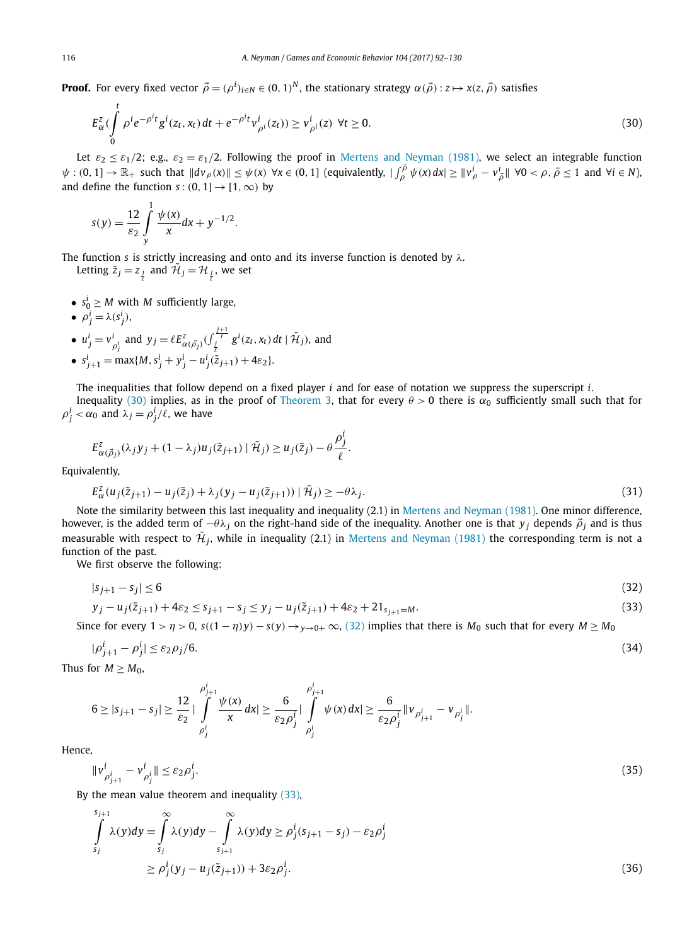<span id="page-24-0"></span>**Proof.** For every fixed vector  $\vec{\rho}=(\rho^i)_{i\in N}\in(0,1)^N$ , the stationary strategy  $\alpha(\vec{\rho}):z\mapsto x(z,\vec{\rho})$  satisfies

$$
E_{\alpha}^{z}(\int_{0}^{t} \rho^{i} e^{-\rho^{i} t} g^{i}(z_{t}, x_{t}) dt + e^{-\rho^{i} t} v_{\rho^{i}}^{i}(z_{t})) \geq v_{\rho^{i}}^{i}(z) \ \forall t \geq 0.
$$
 (30)

Let  $\varepsilon_2 \leq \varepsilon_1/2$ ; e.g.,  $\varepsilon_2 = \varepsilon_1/2$ . Following the proof in Mertens and [Neyman \(1981\),](#page-38-0) we select an integrable function  $\psi:(0,1]\to\mathbb{R}_+$  such that  $\|dv_{\rho}(x)\|\leq\psi(x)$   $\forall x\in(0,1]$  (equivalently,  $|\int_{\rho}^{\overline{\rho}}\psi(x)\,dx|\geq\|v_{\rho}^i-v_{\overline{\rho}}^i\|\ \forall 0<\rho,\,\overline{\rho}\leq 1$  and  $\forall i\in\mathbb{N}$ ), and define the function  $s:(0, 1] \rightarrow [1, \infty)$  by

$$
s(y) = \frac{12}{\varepsilon_2} \int_{y}^{1} \frac{\psi(x)}{x} dx + y^{-1/2}.
$$

The function *s* is strictly increasing and onto and its inverse function is denoted by *λ*.

Letting  $\tilde{z}_j = z_j$  and  $\tilde{\mathcal{H}}_j = \mathcal{H}_{\frac{j}{\ell}}$ , we set

•  $s_0^i \geq M$  with *M* sufficiently large,

$$
\bullet \ \rho^i_j = \lambda(s^i_j),
$$

*t*

•  $u_j^i = v_{\rho_j^i}^i$  and  $y_j = \ell E_{\alpha(\vec{\rho}_j)}^z(\int_{\frac{j}{\ell}}^{\frac{j+1}{\ell}} g^i(z_t, x_t) dt | \tilde{\mathcal{H}}_j)$ , and  $\ell$ 

• 
$$
s_{j+1}^i = \max\{M, s_j^i + y_j^i - u_j^i(\tilde{z}_{j+1}) + 4\varepsilon_2\}.
$$

The inequalities that follow depend on a fixed player *i* and for ease of notation we suppress the superscript *i*.

Inequality (30) implies, as in the proof of [Theorem 3,](#page-18-0) that for every  $θ > 0$  there is  $α_0$  sufficiently small such that for  $\rho_j^i < \alpha_0$  and  $\lambda_j = \rho_j^i / \ell$ , we have

$$
E_{\alpha(\vec{\rho}_j)}^z(\lambda_j y_j + (1 - \lambda_j)u_j(\tilde{z}_{j+1}) | \tilde{\mathcal{H}}_j) \ge u_j(\tilde{z}_j) - \theta \frac{\rho_j^i}{\ell}.
$$

Equivalently,

$$
E_{\alpha}^{z}(u_j(\tilde{z}_{j+1}) - u_j(\tilde{z}_j) + \lambda_j(y_j - u_j(\tilde{z}_{j+1})) | \tilde{\mathcal{H}}_j) \ge -\theta \lambda_j.
$$
\n(31)

Note the similarity between this last inequality and inequality (2.1) in Mertens and [Neyman \(1981\).](#page-38-0) One minor difference, however, is the added term of  $-\theta\lambda_j$  on the right-hand side of the inequality. Another one is that *y<sub>j</sub>* depends  $\vec{\rho}_j$  and is thus measurable with respect to  $\mathcal{H}_i$ , while in inequality (2.1) in Mertens and [Neyman \(1981\)](#page-38-0) the corresponding term is not a function of the past.

We first observe the following:

$$
|s_{j+1} - s_j| \le 6\tag{32}
$$

$$
y_j - u_j(\tilde{z}_{j+1}) + 4\varepsilon_2 \le s_{j+1} - s_j \le y_j - u_j(\tilde{z}_{j+1}) + 4\varepsilon_2 + 21_{s_{j+1} = M}.
$$
\n(33)

Since for every  $1 > \eta > 0$ ,  $s((1 - \eta)y) - s(y) \rightarrow_{y \to 0+} \infty$ , (32) implies that there is  $M_0$  such that for every  $M \ge M_0$ 

$$
|\rho_{j+1}^i - \rho_j^i| \le \varepsilon_2 \rho_j / 6. \tag{34}
$$

Thus for  $M \geq M_0$ ,

$$
6 \geq |s_{j+1} - s_j| \geq \frac{12}{\varepsilon_2} |\int\limits_{\rho_j^i}^{\rho_{j+1}^i} \frac{\psi(x)}{x} dx| \geq \frac{6}{\varepsilon_2 \rho_j^i} |\int\limits_{\rho_j^i}^{\rho_{j+1}^i} \psi(x) dx| \geq \frac{6}{\varepsilon_2 \rho_j^i} ||v_{\rho_{j+1}^i} - v_{\rho_j^i}||.
$$

Hence,

$$
\|\nu_{\rho_{j+1}^i}^i - \nu_{\rho_j^i}^i\| \le \varepsilon_2 \rho_j^i. \tag{35}
$$

By the mean value theorem and inequality (33),

$$
\int_{s_j}^{s_{j+1}} \lambda(y) dy = \int_{s_j}^{\infty} \lambda(y) dy - \int_{s_{j+1}}^{\infty} \lambda(y) dy \ge \rho_j^i (s_{j+1} - s_j) - \varepsilon_2 \rho_j^i
$$
  
\n
$$
\ge \rho_j^i (y_j - u_j(\tilde{z}_{j+1})) + 3\varepsilon_2 \rho_j^i.
$$
\n(36)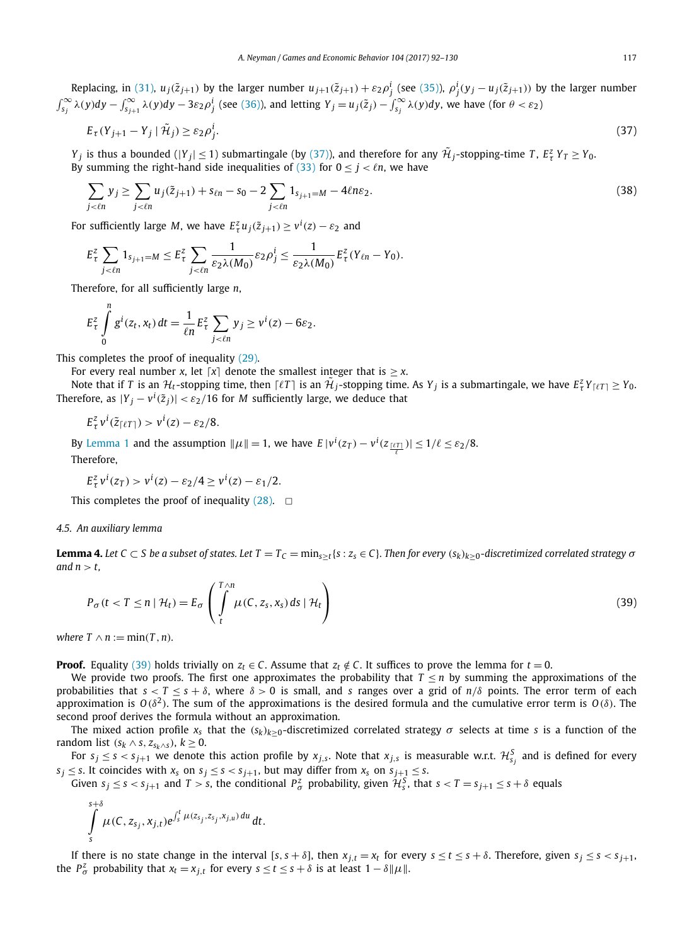<span id="page-25-0"></span>Replacing, in [\(31\),](#page-24-0)  $u_j(\tilde{z}_{j+1})$  by the larger number  $u_{j+1}(\tilde{z}_{j+1})+\varepsilon_2\rho_j^i$  (see [\(35\)\)](#page-24-0),  $\rho_j^i(y_j-u_j(\tilde{z}_{j+1}))$  by the larger number  $\int_{S_j}^{\infty} \lambda(y) dy - \int_{S_{j+1}}^{\infty} \lambda(y) dy - 3\varepsilon_2 \rho_j^i$  (see [\(36\)\)](#page-24-0), and letting  $Y_j = u_j(\tilde{z}_j) - \int_{S_j}^{\infty} \lambda(y) dy$ , we have (for  $\theta < \varepsilon_2$ )

$$
E_{\tau}(Y_{j+1} - Y_j \mid \tilde{\mathcal{H}}_j) \ge \varepsilon_2 \rho_j^i. \tag{37}
$$

*Y*<sub>*j*</sub> is thus a bounded ( $|Y_j| \le 1$ ) submartingale (by (37)), and therefore for any  $\mathcal{H}_j$ -stopping-time *T*,  $E^z_\tau Y_T \ge Y_0$ . By summing the right-hand side inequalities of [\(33\)](#page-24-0) for  $0 \le j < \ell n$ , we have

$$
\sum_{j < \ell n} y_j \ge \sum_{j < \ell n} u_j(\tilde{z}_{j+1}) + s_{\ell n} - s_0 - 2 \sum_{j < \ell n} 1_{s_{j+1} = M} - 4\ell n \varepsilon_2. \tag{38}
$$

For sufficiently large *M*, we have  $E^z_\tau u_j(\tilde{z}_{j+1}) \geq v^i(z) - \varepsilon_2$  and

$$
E_{\tau}^{z} \sum_{j < \ell n} 1_{s_{j+1} = M} \leq E_{\tau}^{z} \sum_{j < \ell n} \frac{1}{\varepsilon_{2} \lambda(M_{0})} \varepsilon_{2} \rho_{j}^{i} \leq \frac{1}{\varepsilon_{2} \lambda(M_{0})} E_{\tau}^{z}(Y_{\ell n} - Y_{0}).
$$

Therefore, for all sufficiently large *n*,

$$
E_{\tau}^{z} \int\limits_{0}^{n} g^{i}(z_t, x_t) dt = \frac{1}{\ell n} E_{\tau}^{z} \sum_{j < \ell n} y_j \geq v^{i}(z) - 6\varepsilon_2.
$$

This completes the proof of inequality [\(29\).](#page-23-0)

For every real number *x*, let  $\lceil x \rceil$  denote the smallest integer that is  $\geq x$ .

Note that if *T* is an  $H_t$ -stopping time, then  $\lceil \ell T \rceil$  is an  $\tilde{\mathcal{H}}_j$ -stopping time. As  $Y_j$  is a submartingale, we have  $E_\tau^z Y_{\lceil \ell T \rceil} \ge Y_0$ . Therefore, as  $|Y_j - v^i(\tilde{z}_j)| < \varepsilon_2/16$  for  $M$  sufficiently large, we deduce that

$$
E_{\tau}^{z}v^{i}(\tilde{z}_{\lceil \ell T \rceil}) > v^{i}(z) - \varepsilon_{2}/8.
$$

By [Lemma 1](#page-14-0) and the assumption  $\|\mu\| = 1$ , we have  $E |v^i(z_T) - v^i(z_{\frac{[tT]}{t}})| \leq 1/\ell \leq \varepsilon_2/8$ . Therefore,

$$
E_{\tau}^{z}v^{i}(z_{T}) > v^{i}(z) - \varepsilon_{2}/4 \geq v^{i}(z) - \varepsilon_{1}/2.
$$

This completes the proof of inequality  $(28)$ .  $\Box$ 

#### *4.5. An auxiliary lemma*

**Lemma 4.** Let  $C \subset S$  be a subset of states. Let  $T = T_C = \min_{s \geq t} \{s : z_s \in C\}$ . Then for every  $(s_k)_{k \geq 0}$ -discretimized correlated strategy  $\sigma$ and  $n > t$ ,

$$
P_{\sigma}(t < T \le n \mid \mathcal{H}_t) = E_{\sigma} \left( \int\limits_t^{T \wedge n} \mu(C, z_s, x_s) \, ds \mid \mathcal{H}_t \right) \tag{39}
$$

*where*  $T \wedge n := \min(T, n)$ *.* 

**Proof.** Equality (39) holds trivially on  $z_t \in C$ . Assume that  $z_t \notin C$ . It suffices to prove the lemma for  $t = 0$ .

We provide two proofs. The first one approximates the probability that  $T \leq n$  by summing the approximations of the probabilities that  $s < T \leq s + \delta$ , where  $\delta > 0$  is small, and *s* ranges over a grid of  $n/\delta$  points. The error term of each approximation is *O(δ*<sup>2</sup>*)*. The sum of the approximations is the desired formula and the cumulative error term is *O(δ)*. The second proof derives the formula without an approximation.

The mixed action profile  $x_s$  that the  $(s_k)_{k>0}$ -discretimized correlated strategy  $\sigma$  selects at time *s* is a function of the random list  $(s_k \wedge s, z_{s_k \wedge s}), k \geq 0$ .

For  $s_j\leq s < s_{j+1}$  we denote this action profile by  $x_{j,s}$ . Note that  $x_{j,s}$  is measurable w.r.t.  ${\cal H}^S_{s_j}$  and is defined for every  $s_j \leq s$ . It coincides with  $x_s$  on  $s_j \leq s < s_{j+1}$ , but may differ from  $x_s$  on  $s_{j+1} \leq s$ .

Given  $s_j \le s < s_{j+1}$  and  $T > s$ , the conditional  $P^z_\sigma$  probability, given  $\mathcal{H}^S_s$ , that  $s < T = s_{j+1} \le s + \delta$  equals

$$
\int\limits_{s}^{s+\delta}\mu(C,z_{s_j},x_{j,t})e^{\int_{s}^{t}\mu(z_{s_j},z_{s_j},x_{j,u})du}\,dt.
$$

If there is no state change in the interval [s, s +  $\delta$ ], then  $x_{j,t} = x_t$  for every  $s \le t \le s + \delta$ . Therefore, given  $s_j \le s < s_{j+1}$ , the  $P^z_\sigma$  probability that  $x_t = x_{j,t}$  for every  $s \le t \le s + \delta$  is at least  $1 - \delta \|\mu\|$ .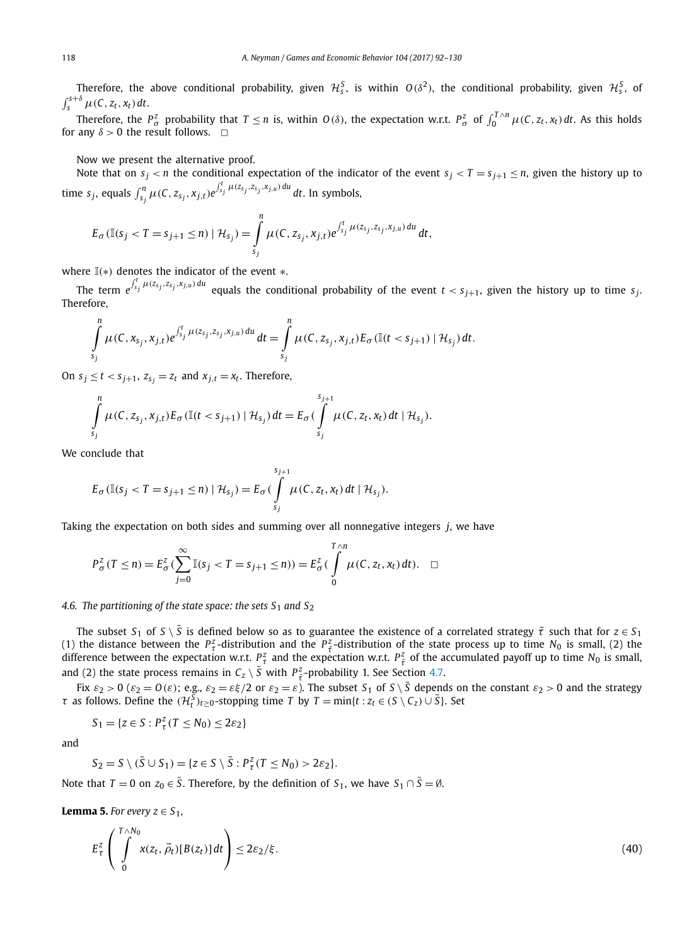<span id="page-26-0"></span>Therefore, the above conditional probability, given  $\mathcal{H}^S_s$ , is within  $O(\delta^2)$ , the conditional probability, given  $\mathcal{H}^S_s$ , of  $\int_{s}^{s+\delta} \mu(C, z_t, x_t) dt$ .

Therefore, the  $P^z_\sigma$  probability that  $T \le n$  is, within  $O(\delta)$ , the expectation w.r.t.  $P^z_\sigma$  of  $\int_0^{T \wedge n} \mu(C, z_t, x_t) dt$ . As this holds for any  $\delta > 0$  the result follows.  $\Box$ 

Now we present the alternative proof.

Note that on  $s_i < n$  the conditional expectation of the indicator of the event  $s_i < T = s_{i+1} \le n$ , given the history up to time  $s_j$ , equals  $\int_{s_j}^n \mu(C, z_{s_j}, x_{j,t}) e^{\int_{s_j}^t \mu(z_{s_j}, z_{s_j}, x_{j,u}) du} dt$ . In symbols,

$$
E_{\sigma}(\mathbb{I}(s_j < T = s_{j+1} \leq n) | \mathcal{H}_{s_j}) = \int_{s_j}^n \mu(C, z_{s_j}, x_{j,t}) e^{\int_{s_j}^t \mu(z_{s_j}, z_{s_j}, x_{j,u}) du} dt,
$$

where I*(*∗*)* denotes the indicator of the event ∗.

The term  $e^{\int_{S_j}^t \mu(z_{s_j}, z_{s_j}, x_{j,u})du}$  equals the conditional probability of the event  $t < s_{j+1}$ , given the history up to time  $s_j$ . Therefore,

$$
\int_{s_j}^n \mu(C, x_{s_j}, x_{j,t}) e^{\int_{s_j}^t \mu(z_{s_j}, z_{s_j}, x_{j,u}) du} dt = \int_{s_j}^n \mu(C, z_{s_j}, x_{j,t}) E_{\sigma}(\mathbb{I}(t < s_{j+1}) | \mathcal{H}_{s_j}) dt.
$$

On  $s_j \le t < s_{j+1}, z_{s_j} = z_t$  and  $x_{j,t} = x_t$ . Therefore,

$$
\int_{s_j}^n \mu(C, z_{s_j}, x_{j,t}) E_{\sigma}(\mathbb{I}(t < s_{j+1}) | \mathcal{H}_{s_j}) dt = E_{\sigma}(\int_{s_j}^{s_{j+1}} \mu(C, z_t, x_t) dt | \mathcal{H}_{s_j}).
$$

We conclude that

$$
E_{\sigma}(\mathbb{I}(s_j < T = s_{j+1} \leq n) | \mathcal{H}_{s_j}) = E_{\sigma}(\int_{s_j}^{s_{j+1}} \mu(C, z_t, x_t) dt | \mathcal{H}_{s_j}).
$$

Taking the expectation on both sides and summing over all nonnegative integers *j*, we have

$$
P_{\sigma}^{z}(T \leq n) = E_{\sigma}^{z} \left( \sum_{j=0}^{\infty} \mathbb{I}(s_{j} < T = s_{j+1} \leq n) \right) = E_{\sigma}^{z} \left( \int_{0}^{T \wedge n} \mu(C, z_{t}, x_{t}) dt \right). \quad \Box
$$

#### *A.6. The partitioning of the state space: the sets*  $S_1$  *and*  $S_2$

The subset  $S_1$  of  $S \setminus \overline{S}$  is defined below so as to guarantee the existence of a correlated strategy  $\tilde{\tau}$  such that for  $z \in S_1$ (1) the distance between the *P*<sup>*z*</sup> -distribution and the *P*<sup>*z*</sup> -distribution of the state process up to time *N*<sub>0</sub> is small, (2) the difference between the expectation w.r.t.  $P_\tau^z$  and the expectation w.r.t.  $P_{\tilde{\tau}}^z$  of the accumulated payoff up to time  $N_0$  is small, and (2) the state process remains in  $C_z \setminus \overline{S}$  with  $P_{\tilde{\tau}}^z$ -probability 1. See Section [4.7.](#page-27-0)

Fix  $\varepsilon_2 > 0$  ( $\varepsilon_2 = 0$ ( $\varepsilon$ ); e.g.,  $\varepsilon_2 = \varepsilon \xi/2$  or  $\varepsilon_2 = \varepsilon$ ). The subset  $S_1$  of  $S \setminus \overline{S}$  depends on the constant  $\varepsilon_2 > 0$  and the strategy *τ* as follows. Define the  $(H_t^{\overline{S}})_{t\geq 0}$ -stopping time *T* by *T* = min{*t* :  $z_t \in (S \setminus C_z) \cup \overline{S}$ }. Set

$$
S_1 = \{ z \in S : P_\tau^z(T \le N_0) \le 2\varepsilon_2 \}
$$

and

$$
S_2 = S \setminus (\overline{S} \cup S_1) = \{ z \in S \setminus \overline{S} : P_\tau^z (T \leq N_0) > 2\varepsilon_2 \}.
$$

Note that  $T = 0$  on  $z_0 \in \overline{S}$ . Therefore, by the definition of  $S_1$ , we have  $S_1 \cap \overline{S} = \emptyset$ .

**Lemma 5.** *For every*  $z \in S_1$ ,

$$
E_{\tau}^{z}\left(\int_{0}^{T\wedge N_{0}} x(z_{t},\vec{\rho}_{t})[B(z_{t})]dt\right)\leq 2\varepsilon_{2}/\xi.
$$
\n(40)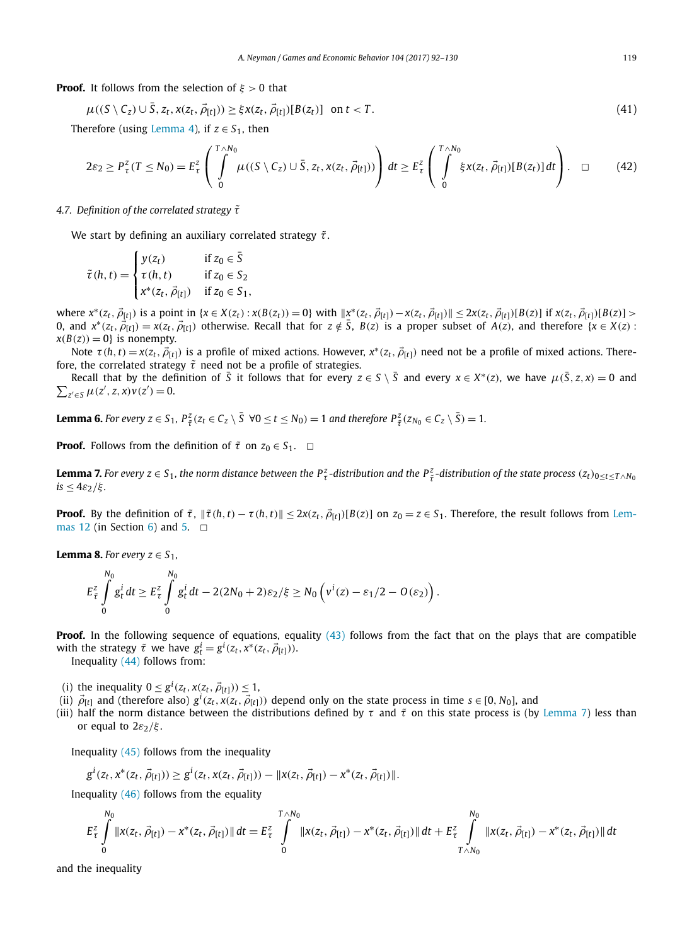<span id="page-27-0"></span>**Proof.** It follows from the selection of *ξ >* 0 that

$$
\mu((S \setminus C_z) \cup \overline{S}, z_t, x(z_t, \overline{\rho}_{[t]})) \geq \xi x(z_t, \overline{\rho}_{[t]})[B(z_t)] \text{ on } t < T.
$$
\n
$$
(41)
$$

Therefore (using [Lemma 4\)](#page-25-0), if  $z \in S_1$ , then

$$
2\varepsilon_2 \ge P_\tau^z(T \le N_0) = E_\tau^z \left( \int_0^{T \wedge N_0} \mu((S \setminus C_z) \cup \bar{S}, z_t, x(z_t, \vec{\rho}_{[t]})) \right) dt \ge E_\tau^z \left( \int_0^{T \wedge N_0} \xi x(z_t, \vec{\rho}_{[t]}) [B(z_t)] dt \right). \quad \Box \qquad (42)
$$

#### *4.7. Definition of the correlated strategy τ*˜

We start by defining an auxiliary correlated strategy  $\tilde{\tau}$ .

$$
\tilde{\tau}(h,t) = \begin{cases} y(z_t) & \text{if } z_0 \in \overline{S} \\ \tau(h,t) & \text{if } z_0 \in S_2 \\ x^*(z_t, \vec{\rho}_{[t]}) & \text{if } z_0 \in S_1, \end{cases}
$$

where  $x^*(z_t, \vec{\rho}_{[t]})$  is a point in  $\{x \in X(z_t) : x(B(z_t)) = 0\}$  with  $||x^*(z_t, \vec{\rho}_{[t]}) - x(z_t, \vec{\rho}_{[t]})|| \leq 2x(z_t, \vec{\rho}_{[t]})[B(z)]$  if  $x(z_t, \vec{\rho}_{[t]})[B(z)] > 0$ 0, and  $x^*(z_t, \vec{\beta}_{[t]}) = x(z_t, \vec{\beta}_{[t]})$  otherwise. Recall that for  $z \notin \overline{S}$ ,  $B(z)$  is a proper subset of  $A(z)$ , and therefore  $\{x \in X(z) : z \in X(z) \}$  $x(B(z)) = 0$ } is nonempty.

Note  $\tau(h, t) = x(z_t, \vec{\rho}_{[t]})$  is a profile of mixed actions. However,  $x^*(z_t, \vec{\rho}_{[t]})$  need not be a profile of mixed actions. Therefore, the correlated strategy  $\tilde{\tau}$  need not be a profile of strategies.

Recall that by the definition of  $\overline{S}$  it follows that for every  $z \in S \setminus \overline{S}$  and every  $x \in X^*(z)$ , we have  $\mu(\overline{S}, z, x) = 0$  and  $\sum_{z' \in S} \mu(z', z, x) v(z') = 0.$ 

**Lemma 6.** For every  $z \in S_1$ ,  $P_{\tilde{\tau}}^z(z_t \in C_z \setminus \overline{S} \ \ \forall 0 \leq t \leq N_0) = 1$  and therefore  $P_{\tilde{\tau}}^z(z_{N_0} \in C_z \setminus \overline{S}) = 1$ .

**Proof.** Follows from the definition of  $\tilde{\tau}$  on  $z_0 \in S_1$ .  $\Box$ 

**Lemma 7.** For every  $z \in S_1$ , the norm distance between the  $P^z_\tau$ -distribution and the  $P^z_{\tilde{\tau}}$ -distribution of the state process  $(z_t)_{0 \leq t \leq T \wedge N_C}$  $is \leq 4\varepsilon_2/\xi$ .

**Proof.** By the definition of  $\tilde{\tau}$ ,  $\|\tilde{\tau}(h,t) - \tau(h,t)\| \leq 2x(z_t, \vec{\rho}_{[t]})[B(z)]$  on  $z_0 = z \in S_1$ . Therefore, the result follows from [Lem](#page-36-0)[mas 12](#page-36-0) (in Section [6\)](#page-35-0) and [5.](#page-26-0)  $\Box$ 

**Lemma 8.** For every  $z \in S_1$ , *N*<sup>0</sup>

$$
E_{\tilde{\tau}}^2 \int\limits_{0}^{N_0} g_t^i dt \ge E_{\tau}^2 \int\limits_{0}^{N_0} g_t^i dt - 2(2N_0 + 2)\varepsilon_2/\xi \ge N_0 \left(v^i(z) - \varepsilon_1/2 - O(\varepsilon_2)\right).
$$

**Proof.** In the following sequence of equations, equality [\(43\)](#page-28-0) follows from the fact that on the plays that are compatible with the strategy  $\tilde{\tau}$  we have  $g_t^i = g^i(z_t, x^*(z_t, \vec{\rho}_{[t]})).$ 

Inequality [\(44\)](#page-28-0) follows from:

- (i) the inequality  $0 \le g^{i}(z_t, x(z_t, \vec{\rho}_{[t]})) \le 1$ ,
- (ii)  $\vec{\rho}_{[t]}$  and (therefore also)  $g^i(z_t, x(z_t, \vec{\rho}_{[t]}))$  depend only on the state process in time  $s \in [0, N_0]$ , and
- (iii) half the norm distance between the distributions defined by  $\tau$  and  $\tilde{\tau}$  on this state process is (by Lemma 7) less than or equal to 2*ε*2*/ξ* .

Inequality  $(45)$  follows from the inequality

$$
g^{i}(z_{t}, x^{*}(z_{t}, \vec{\rho}_{[t]})) \geq g^{i}(z_{t}, x(z_{t}, \vec{\rho}_{[t]})) - ||x(z_{t}, \vec{\rho}_{[t]}) - x^{*}(z_{t}, \vec{\rho}_{[t]})||.
$$

Inequality  $(46)$  follows from the equality

$$
E_{\tau}^{z} \int\limits_{0}^{N_{0}} \|x(z_{t}, \vec{\rho}_{[t]}) - x^{*}(z_{t}, \vec{\rho}_{[t]})\| dt = E_{\tau}^{z} \int\limits_{0}^{T \wedge N_{0}} \|x(z_{t}, \vec{\rho}_{[t]}) - x^{*}(z_{t}, \vec{\rho}_{[t]})\| dt + E_{\tau}^{z} \int\limits_{T \wedge N_{0}}^{N_{0}} \|x(z_{t}, \vec{\rho}_{[t]}) - x^{*}(z_{t}, \vec{\rho}_{[t]})\| dt
$$

and the inequality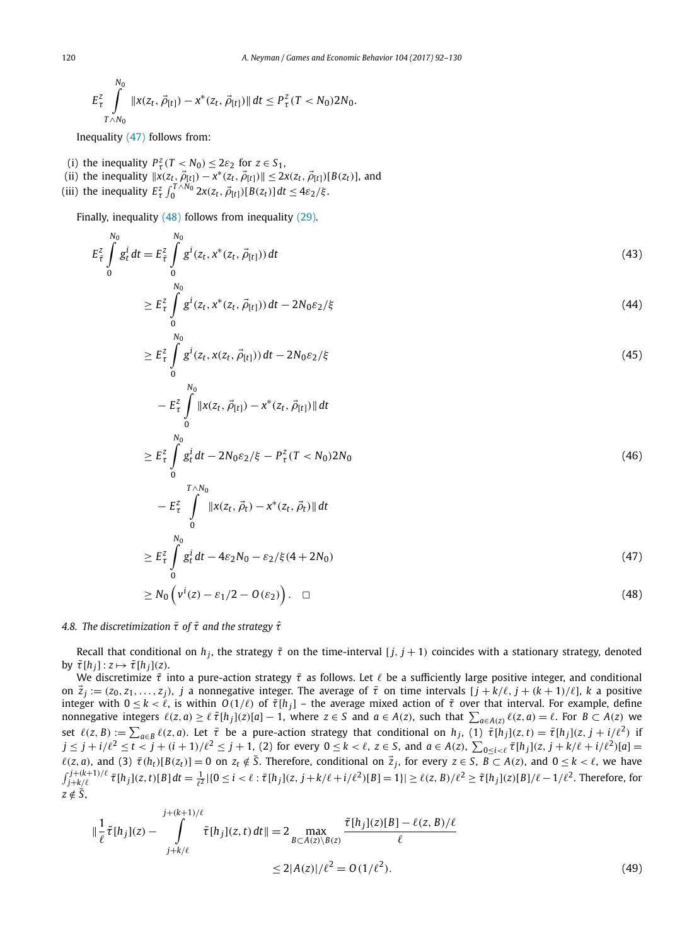<span id="page-28-0"></span>
$$
E_{\tau}^{2}\int\limits_{T\wedge N_{0}}^{N_{0}}\|x(z_{t},\vec{\rho}_{[t]})-x^{*}(z_{t},\vec{\rho}_{[t]})\|\,dt\leq P_{\tau}^{2}(T
$$

Inequality (47) follows from:

*N*<sub>1</sub>

- (i) the inequality  $P^z_\tau(T \le N_0) \le 2\varepsilon_2$  for  $z \in S_1$ ,
- $(x^i)$  the inequality  $\|x(z_t, \vec{\rho}_{[t]}) x^*(z_t, \vec{\rho}_{[t]})\| \leq 2x(z_t, \vec{\rho}_{[t]})[B(z_t)],$  and
- (iii) the inequality  $E_{\tau}^{z} \int_{0}^{T \wedge N_0} 2x(z_t, \vec{\rho}_{[t]}) [B(z_t)] dt \le 4\varepsilon_2/\xi$ .

Finally, inequality (48) follows from inequality [\(29\).](#page-23-0)

$$
E_{\tilde{\tau}}^2 \int\limits_{0}^{N_0} g_t^i dt = E_{\tilde{\tau}}^2 \int\limits_{0}^{N_0} g^i(z_t, x^*(z_t, \vec{\rho}_{[t]})) dt
$$
\n(43)

$$
\geq E_{\tau}^{z} \int_{0}^{N_{0}} g^{i}(z_{t}, x^{*}(z_{t}, \vec{\rho}_{[t]})) dt - 2N_{0} \varepsilon_{2}/\xi
$$
\n
$$
\xrightarrow[N_{0}]{N_{0}}
$$
\n(44)

$$
\geq E_{\tau}^{z} \int\limits_{0}^{z} g^{i}(z_{t}, x(z_{t}, \vec{\rho}_{[t]})) dt - 2N_{0} \varepsilon_{2}/\xi
$$
\n
$$
\tag{45}
$$

$$
- E_{\tau}^{z} \int_{0}^{N_{0}} \|x(z_{t}, \vec{\rho}_{[t]}) - x^{*}(z_{t}, \vec{\rho}_{[t]}) \| dt
$$
  
\n
$$
\geq E_{\tau}^{z} \int_{0}^{N_{0}} g_{t}^{i} dt - 2N_{0} \varepsilon_{2} / \xi - P_{\tau}^{z} (T < N_{0}) 2N_{0}
$$
\n(46)

$$
- E_{\tau}^{2} \int_{0}^{T \wedge N_{0}} \|x(z_{t}, \vec{\rho}_{t}) - x^{*}(z_{t}, \vec{\rho}_{t})\| dt
$$
  
\n
$$
\geq E_{\tau}^{2} \int_{0}^{N_{0}} g_{t}^{i} dt - 4\varepsilon_{2} N_{0} - \varepsilon_{2} / \xi (4 + 2N_{0})
$$
\n(47)

$$
\geq N_0 \left( v^i(z) - \varepsilon_1/2 - O(\varepsilon_2) \right). \quad \Box \tag{48}
$$

#### *4.8. The discretimization τ*¯ *of τ*˜ *and the strategy τ*ˆ

Recall that conditional on  $h_j$ , the strategy  $\tilde{\tau}$  on the time-interval  $[j, j + 1)$  coincides with a stationary strategy, denoted by  $\tilde{\tau}[h_j]$ :  $z \mapsto \tilde{\tau}[h_j](z)$ .

We discretimize *τ*˜ into a pure-action strategy *τ*¯ as follows. Let be a sufficiently large positive integer, and conditional on  $\vec{z}_i := (z_0, z_1, \ldots, z_i)$ , *j* a nonnegative integer. The average of  $\bar{\tau}$  on time intervals  $[j + k/\ell, j + (k+1)/\ell]$ , *k* a positive integer with  $0 \le k < \ell$ , is within  $O(1/\ell)$  of  $\tilde{\tau}[h_j]$  – the average mixed action of  $\tilde{\tau}$  over that interval. For example, define nonnegative integers  $\ell(z, a) \geq \ell \tilde{\tau}[h_j](z)[a] - 1$ , where  $z \in S$  and  $a \in A(z)$ , such that  $\sum_{a \in A(z)} \ell(z, a) = \ell$ . For  $B \subset A(z)$  we set  $\ell(z, B) := \sum_{a \in B} \ell(z, a)$ . Let  $\bar{\tau}$  be a pure-action strategy that conditional on  $h_j$ , (1)  $\bar{\tau}[h_j](z, t) = \bar{\tau}[h_j](z, j + i/\ell^2)$  if  $j\leq j+i/\ell^2\leq t< j+(i+1)/\ell^2\leq j+1$ , (2) for every  $0\leq k<\ell$ ,  $z\in S$ , and  $a\in A(z)$ ,  $\sum_{0\leq i<\ell}\bar{\tau}[h_j](z, j+k/\ell+i/\ell^2)[a]=$  $\ell(z, a)$ , and (3)  $\bar{\tau}(h_t)[B(z_t)] = 0$  on  $z_t \notin \bar{S}$ . Therefore, conditional on  $\vec{z}_j$ , for every  $z \in S$ ,  $\vec{B} \subset A(z)$ , and  $0 \le k < \ell$ , we have  $\int_{j+k/\ell}^{j+(k+1)/\ell} \bar{\tau}[h_j](z,t)[B]dt = \frac{1}{\ell^2} |\{0 \leq i < \ell : \bar{\tau}[h_j](z,j+k/\ell+i/\ell^2)[B] = 1\}| \geq \ell(z,B)/\ell^2 \geq \tilde{\tau}[h_j](z)[B]/\ell - 1/\ell^2$ . Therefore, for  $z \notin \overline{S}$ ,

$$
\|\frac{1}{\ell}\tilde{\tau}[h_j](z) - \int_{j+k/\ell}^{j+(k+1)/\ell} \tilde{\tau}[h_j](z,t) dt\| = 2 \max_{B \subset A(z) \setminus B(z)} \frac{\tilde{\tau}[h_j](z)[B] - \ell(z,B)/\ell}{\ell}
$$
  
 
$$
\leq 2|A(z)|/\ell^2 = O(1/\ell^2). \tag{49}
$$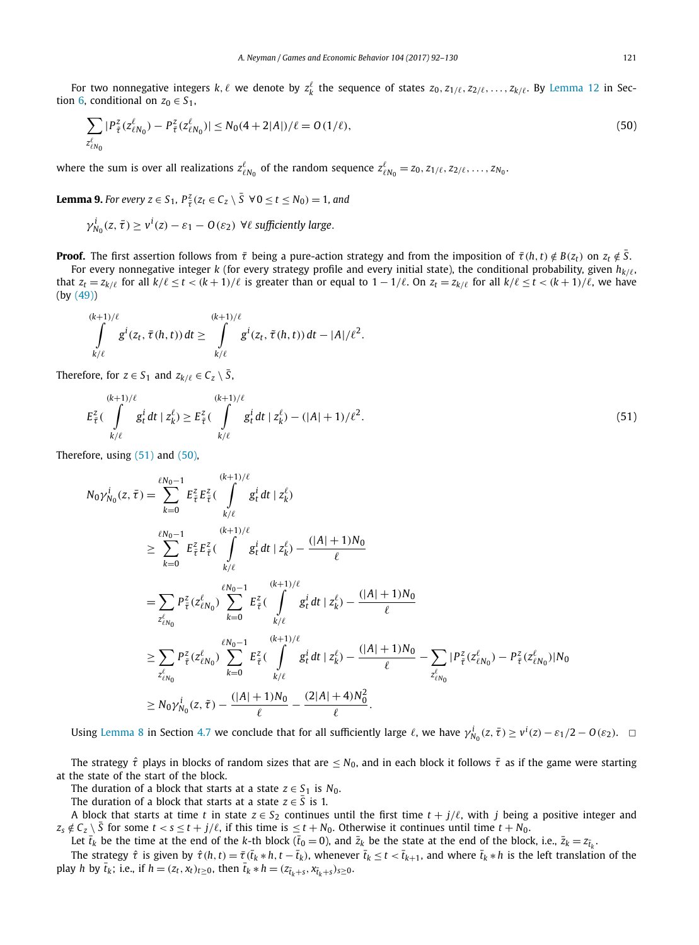For two nonnegative integers  $k, \ell$  we denote by  $z_k^{\ell}$  the sequence of states  $z_0, z_{1/\ell}, z_{2/\ell}, \ldots, z_{k/\ell}$ . By [Lemma 12](#page-36-0) in Sec-tion [6,](#page-35-0) conditional on  $z_0 \in S_1$ ,

$$
\sum_{z_{\ell N_0}^{\ell}} |P_{\tilde{\tau}}^z(z_{\ell N_0}^{\ell}) - P_{\tilde{\tau}}^z(z_{\ell N_0}^{\ell})| \le N_0(4 + 2|A|) / \ell = O(1/\ell),\tag{50}
$$

where the sum is over all realizations  $z_{\ell N_0}^{\ell}$  of the random sequence  $z_{\ell N_0}^{\ell}=z_0,z_{1/\ell},z_{2/\ell},\ldots,z_{N_0}.$ 

**Lemma 9.** For every  $z \in S_1$ ,  $P_{\overline{t}}^z (z_t \in C_z \setminus \overline{S} \ \ \forall 0 \le t \le N_0) = 1$ , and

$$
\gamma_{N_0}^i(z, \bar{\tau}) \ge v^i(z) - \varepsilon_1 - O(\varepsilon_2)
$$
  $\forall \ell$  sufficiently large.

**Proof.** The first assertion follows from  $\bar{\tau}$  being a pure-action strategy and from the imposition of  $\bar{\tau}(h,t) \notin B(z_t)$  on  $z_t \notin \bar{S}$ .

For every nonnegative integer *k* (for every strategy profile and every initial state), the conditional probability, given  $h_{k/\ell}$ , that  $z_t = z_{k/\ell}$  for all  $k/\ell \le t < (k+1)/\ell$  is greater than or equal to  $1 - 1/\ell$ . On  $z_t = z_{k/\ell}$  for all  $k/\ell \le t < (k+1)/\ell$ , we have (by [\(49\)\)](#page-28-0)

$$
\int_{k/\ell}^{(k+1)/\ell} g^{i}(z_t, \bar{\tau}(h,t)) dt \geq \int_{k/\ell}^{(k+1)/\ell} g^{i}(z_t, \tilde{\tau}(h,t)) dt - |A|/\ell^2.
$$

Therefore, for  $z \in S_1$  and  $z_{k/\ell} \in C_z \setminus \overline{S}$ ,

$$
E_{\tilde{\tau}}^2 \left( \int_{k/\ell}^{(k+1)/\ell} g_t^i dt \mid z_k^{\ell} \right) \ge E_{\tilde{\tau}}^2 \left( \int_{k/\ell}^{(k+1)/\ell} g_t^i dt \mid z_k^{\ell} \right) - (|A|+1)/\ell^2.
$$
\n(51)

Therefore, using (51) and (50),

$$
N_0 \gamma_{N_0}^i(z, \bar{\tau}) = \sum_{k=0}^{\ell N_0 - 1} E_{\bar{\tau}}^z E_{\bar{\tau}}^z \left( \int_{k/\ell}^{(k+1)/\ell} g_t^i dt \mid z_k^{\ell} \right)
$$
  
\n
$$
\geq \sum_{k=0}^{\ell N_0 - 1} E_{\bar{\tau}}^z E_{\bar{\tau}}^z \left( \int_{k/\ell}^{(k+1)/\ell} g_t^i dt \mid z_k^{\ell} \right) - \frac{(|A| + 1)N_0}{\ell}
$$
  
\n
$$
= \sum_{z_{\ell N_0}'} P_{\bar{\tau}}^z (z_{\ell N_0}^{\ell}) \sum_{k=0}^{\ell N_0 - 1} E_{\bar{\tau}}^z \left( \int_{k/\ell}^{(k+1)/\ell} g_t^i dt \mid z_k^{\ell} \right) - \frac{(|A| + 1)N_0}{\ell}
$$
  
\n
$$
\geq \sum_{z_{\ell N_0}'} P_{\bar{\tau}}^z (z_{\ell N_0}^{\ell}) \sum_{k=0}^{\ell N_0 - 1} E_{\bar{\tau}}^z \left( \int_{k/\ell}^{(k+1)/\ell} g_t^i dt \mid z_k^{\ell} \right) - \frac{(|A| + 1)N_0}{\ell} - \sum_{z_{\ell N_0}^{\ell}} |P_{\bar{\tau}}^z (z_{\ell N_0}^{\ell}) - P_{\bar{\tau}}^z (z_{\ell N_0}^{\ell})| N_0
$$
  
\n
$$
\geq N_0 \gamma_{N_0}^i(z, \tilde{\tau}) - \frac{(|A| + 1)N_0}{\ell} - \frac{(2|A| + 4)N_0^2}{\ell}.
$$

Using [Lemma 8](#page-27-0) in Section [4.7](#page-27-0) we conclude that for all sufficiently large  $\ell$ , we have  $\gamma_{N_0}^i(z,\bar{t}) \geq v^i(z) - \varepsilon_1/2 - O(\varepsilon_2)$ .  $\Box$ 

The strategy  $\hat{\tau}$  plays in blocks of random sizes that are  $\leq N_0$ , and in each block it follows  $\bar{\tau}$  as if the game were starting at the state of the start of the block.

The duration of a block that starts at a state  $z \in S_1$  is  $N_0$ .

The duration of a block that starts at a state  $z \in S$  is 1.

A block that starts at time *t* in state  $z \in S_2$  continues until the first time  $t + j/\ell$ , with *j* being a positive integer and  $z_s \notin C_z \setminus \overline{S}$  for some  $t < s \le t + j/\ell$ , if this time is  $\le t + N_0$ . Otherwise it continues until time  $t + N_0$ .

Let  $\bar{t}_k$  be the time at the end of the *k*-th block ( $\bar{t}_0 = 0$ ), and  $\bar{z}_k$  be the state at the end of the block, i.e.,  $\bar{z}_k = z_{\bar{t}_k}$ .

The strategy  $\hat{\tau}$  is given by  $\hat{\tau}(h,t)=\bar{\tau}(\bar{t}_k*h,t-\bar{t}_k)$ , whenever  $\bar{t}_k\leq t<\bar{t}_{k+1}$ , and where  $\bar{t}_k*h$  is the left translation of the play *h* by  $\bar{t}_k$ ; i.e., if  $h = (z_t, x_t)_{t \ge 0}$ , then  $\bar{t}_k * h = (z_{\bar{t}_k+s}, x_{\bar{t}_k+s})_{s \ge 0}$ .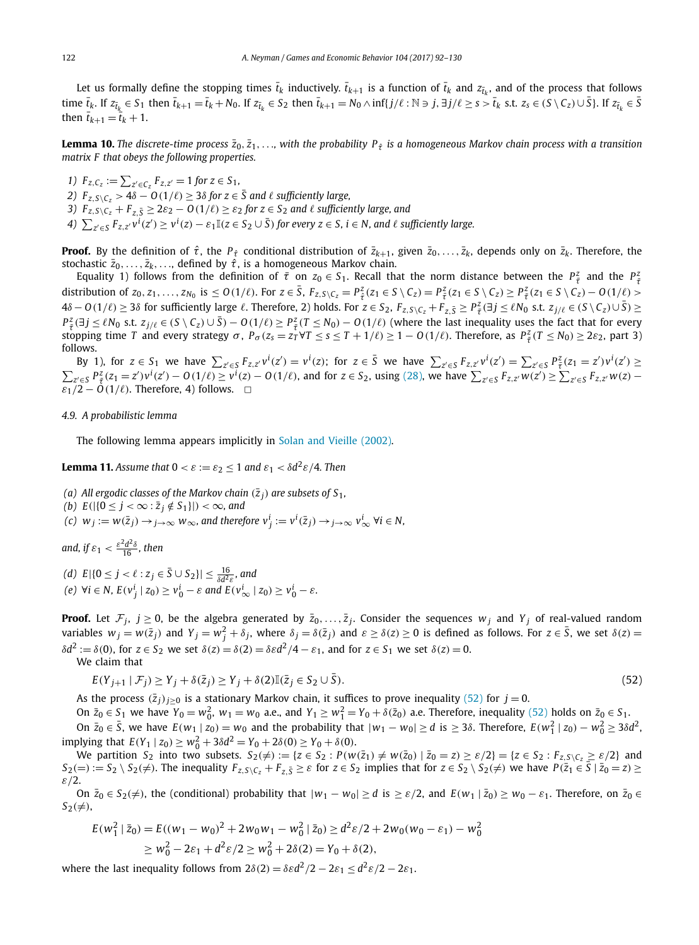<span id="page-30-0"></span>Let us formally define the stopping times  $\bar{t}_k$  inductively.  $\bar{t}_{k+1}$  is a function of  $\bar{t}_k$  and  $z_{\bar{t}_k}$ , and of the process that follows time  $\bar{t}_k$ . If  $z_{\bar{t}_k} \in S_1$  then  $\bar{t}_{k+1} = \bar{t}_k + N_0$ . If  $z_{\bar{t}_k} \in S_2$  then  $\bar{t}_{k+1} = N_0 \wedge \inf\{j/\ell : \mathbb{N} \ni j, \exists j/\ell \ge s > \bar{t}_k \text{ s.t. } z_s \in (S \setminus C_z) \cup \bar{S}\}\)$ . If  $z_{\bar{t}_k} \in \bar{S}$ then  $\bar{t}_{k+1} = \bar{t}_k + 1$ .

**Lemma 10.** The discrete-time process  $\bar{z}_0, \bar{z}_1, \ldots$ , with the probability  $P_{\hat{\tau}}$  is a homogeneous Markov chain process with a transition *matrix F that obeys the following properties.*

*1*)  $F_{z,C_z} := \sum_{z' \in C_z} F_{z,z'} = 1$  for  $z \in S_1$ , *2)*  $F_{z, S \setminus C_z}$  > 4*δ* − *O*(1/ $\ell$ ) ≥ 3*δ for z* ∈ *S and*  $\ell$  *sufficiently large, 3)*  $F_{z, S \setminus C_z} + F_{z, \overline{S}} \geq 2\varepsilon_2 - O(1/\ell) \geq \varepsilon_2$  for  $z \in S_2$  and  $\ell$  sufficiently large, and 4)  $\sum_{z'\in S}F_{z,z'}v^i(z')\geq v^i(z)-\varepsilon_1\mathbb{I}(z\in S_2\cup\bar{S})$  for every  $z\in S$ ,  $i\in N$ , and  $\ell$  sufficiently large.

**Proof.** By the definition of  $\hat{\tau}$ , the  $P_{\hat{\tau}}$  conditional distribution of  $\bar{z}_{k+1}$ , given  $\bar{z}_0, \ldots, \bar{z}_k$ , depends only on  $\bar{z}_k$ . Therefore, the stochastic  $\bar{z}_0, \ldots, \bar{z}_k, \ldots$ , defined by  $\hat{\tau}$ , is a homogeneous Markov chain.

Equality 1) follows from the definition of  $\bar{\tau}$  on  $z_0 \in S_1$ . Recall that the norm distance between the  $P_{\bar{\tau}}^z$  and the  $P_{\bar{\tau}}^z$ distribution of  $z_0, z_1, \ldots, z_{N_0}$  is  $\leq O(1/\ell)$ . For  $z \in \overline{S}$ ,  $F_{z, S \setminus C_z} = P_{\overline{t}}^z (z_1 \in S \setminus C_z) = P_{\overline{t}}^z (z_1 \in S \setminus C_z) \geq P_{\overline{t}}^z (z_1 \in S \setminus C_z) - O(1/\ell) >$  $4\delta - O(1/\ell) \geq 3\delta$  for sufficiently large  $\ell$ . Therefore, 2) holds. For  $z \in S_2$ ,  $F_{z,S\setminus C_z} + F_{z,\bar{S}} \geq P_{\bar{\tau}}^2(\exists j \leq \ell N_0 \text{ s.t. } z_{j/\ell} \in (S \setminus C_z) \cup \bar{S}) \geq$  $P_{\tilde{\tau}}^2(\exists j \leq \ell N_0 \text{ s.t. } z_{j/\ell} \in (S \setminus C_z) \cup \overline{S}) - O(1/\ell) \geq P_{\tilde{\tau}}^2(\overline{I} \leq N_0) - O(1/\ell)$  (where the last inequality uses the fact that for every stopping time T and every strategy  $\sigma$ ,  $P_{\sigma}(z_s = z_I^T \forall T \leq s \leq T + 1/\ell) \geq 1 - O(1/\ell)$ . Therefore, as  $P_{\tilde{\tau}}^2(T \leq N_0) \geq 2\varepsilon_2$ , part 3) follows.

By 1), for  $z \in S_1$  we have  $\sum_{z' \in S} F_{z,z'} v^i(z') = v^i(z)$ ; for  $z \in \overline{S}$  we have  $\sum_{z' \in S} F_{z,z'} v^i(z') = \sum_{z' \in S} P_{\overline{z}}^z(z_1 = z') v^i(z') \ge$  $\sum_{z' \in S} P_{\tilde{z}}^z (z_1 = z') v^i(z') - O(1/\ell) \ge v^i(z) - O(1/\ell)$ , and for  $z \in S_2$ , using [\(28\),](#page-23-0) we have  $\sum_{z' \in S} F_{z,z'} w(z') \ge \sum_{z' \in S} F_{z,z'} w(z) - O(1/\ell)$  $\varepsilon_1/2 - \tilde{O}(1/\ell)$ . Therefore, 4) follows.  $\Box$ 

#### *4.9. A probabilistic lemma*

The following lemma appears implicitly in Solan and [Vieille \(2002\).](#page-38-0)

**Lemma 11.** *Assume that*  $0 < \varepsilon := \varepsilon_2 \leq 1$  *and*  $\varepsilon_1 < \delta d^2 \varepsilon / 4$ *. Then* 

*(a)* All ergodic classes of the Markov chain  $(\bar{z}_i)$  are subsets of  $S_1$ ,

*(b)*  $E(|{0 \leq j < ∞ : \overline{z}_j \notin S_1}|) < ∞$ *, and* 

(c)  $w_j := w(\bar{z}_j) \to_{j \to \infty} w_\infty$ , and therefore  $v^i_j := v^i(\bar{z}_j) \to_{j \to \infty} v^i_\infty$   $\forall i \in \mathbb{N}$ ,

and, if  $\varepsilon_1 < \frac{\varepsilon^2 d^2 \delta}{16}$ , then

*(d)*  $E | {0 ≤ j < ℓ : z_j ∈ \overline{S} ∪ S_2} | ≤ \frac{16}{\delta d^2 ε}$ , and (e)  $\forall i \in N$ ,  $E(v_j^i \mid z_0) \ge v_0^i - \varepsilon$  and  $E(v_\infty^i \mid z_0) \ge v_0^i - \varepsilon$ .

**Proof.** Let  $\mathcal{F}_j$ ,  $j \geq 0$ , be the algebra generated by  $\bar{z}_0, \ldots, \bar{z}_j$ . Consider the sequences  $w_j$  and  $Y_j$  of real-valued random variables  $w_j = w(\bar{z}_j)$  and  $Y_j = w_j^2 + \delta_j$ , where  $\delta_j = \delta(\bar{z}_j)$  and  $\varepsilon \ge \delta(z) \ge 0$  is defined as follows. For  $z \in \bar{S}$ , we set  $\delta(z) =$  $\delta d^2 := \delta(0)$ , for  $z \in S_2$  we set  $\delta(z) = \delta(2) = \delta \epsilon d^2/4 - \epsilon_1$ , and for  $z \in S_1$  we set  $\delta(z) = 0$ .

We claim that

$$
E(Y_{j+1} | \mathcal{F}_j) \ge Y_j + \delta(\bar{z}_j) \ge Y_j + \delta(2) \mathbb{I}(\bar{z}_j \in S_2 \cup \bar{S}).
$$
\n
$$
(52)
$$

As the process  $(\bar{z}_i)_{i>0}$  is a stationary Markov chain, it suffices to prove inequality (52) for  $j=0$ .

On  $\bar{z}_0 \in S_1$  we have  $Y_0 = w_0^2$ ,  $w_1 = w_0$  a.e., and  $Y_1 \ge w_1^2 = Y_0 + \delta(\bar{z}_0)$  a.e. Therefore, inequality (52) holds on  $\bar{z}_0 \in S_1$ .

On  $\bar{z}_0 \in \bar{S}$ , we have  $E(w_1 | z_0) = w_0$  and the probability that  $|w_1 - w_0| \ge d$  is  $\ge 3\delta$ . Therefore,  $E(w_1^2 | z_0) - w_0^2 \ge 3\delta d^2$  $\text{Simplify } \int \ln \left( \frac{F(Y_1 \mid z_0)}{z_0} \right) \geq w_0^2 + 3\delta d^2 = Y_0 + 2\delta(0) \geq Y_0 + \delta(0).$ 

We partition  $S_2$  into two subsets.  $S_2(\neq) := \{z \in S_2 : P(w(\overline{z}_1) \neq w(\overline{z}_0) \mid \overline{z}_0 = z) \geq \varepsilon/2\} = \{z \in S_2 : F_{z,S \setminus C_z} \geq \varepsilon/2\}$  and  $S_2(=):=S_2\setminus S_2(\neq)$ . The inequality  $F_{z,S\setminus C_z}+F_{z,\bar{S}}\geq \varepsilon$  for  $z\in S_2$  implies that for  $z\in S_2\setminus S_2(\neq)$  we have  $P(\bar{z}_1\in \bar{S}\mid \bar{z}_0=z)\geq$ *ε/*2.

On  $\bar{z}_0 \in S_2(\neq)$ , the (conditional) probability that  $|w_1 - w_0| \geq d$  is  $\geq \varepsilon/2$ , and  $E(w_1 | \bar{z}_0) \geq w_0 - \varepsilon_1$ . Therefore, on  $\bar{z}_0 \in C_1$  $S_2(\neq)$ ,

$$
E(w_1^2 | \bar{z}_0) = E((w_1 - w_0)^2 + 2w_0w_1 - w_0^2 | \bar{z}_0) \ge d^2\varepsilon/2 + 2w_0(w_0 - \varepsilon_1) - w_0^2
$$
  
\n
$$
\ge w_0^2 - 2\varepsilon_1 + d^2\varepsilon/2 \ge w_0^2 + 2\delta(2) = Y_0 + \delta(2),
$$

where the last inequality follows from  $2\delta(2) = \delta \epsilon d^2/2 - 2\epsilon_1 \leq d^2 \epsilon/2 - 2\epsilon_1$ .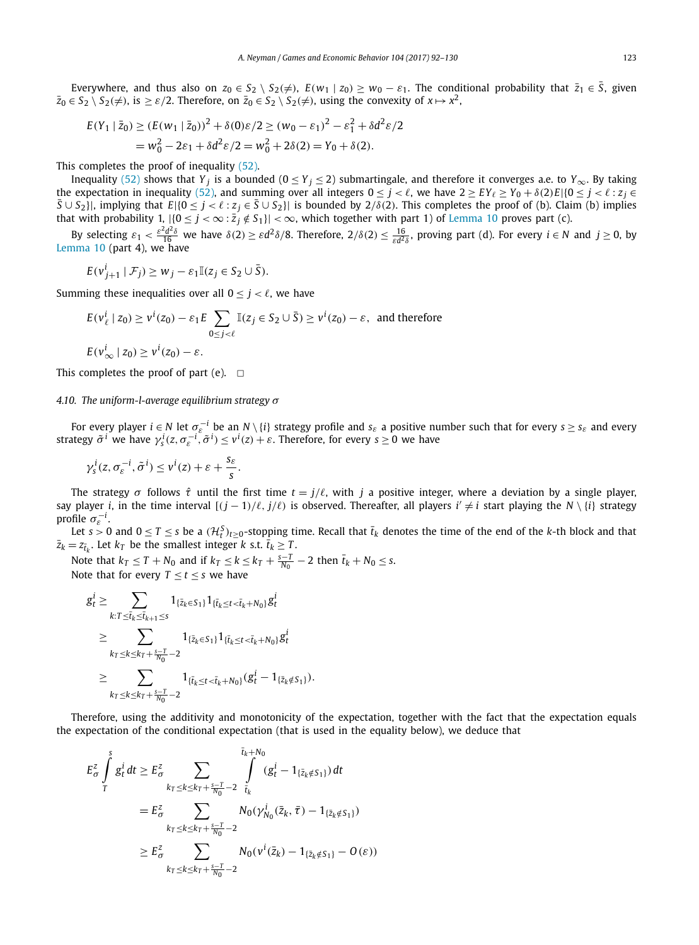<span id="page-31-0"></span>Everywhere, and thus also on  $z_0 \in S_2 \setminus S_2(\neq)$ ,  $E(w_1 \mid z_0) \geq w_0 - \varepsilon_1$ . The conditional probability that  $\bar{z}_1 \in \bar{S}$ , given  $\bar{z}_0 \in S_2 \setminus S_2(\neq)$ , is  $\geq \varepsilon/2$ . Therefore, on  $\bar{z}_0 \in S_2 \setminus S_2(\neq)$ , using the convexity of  $x \mapsto x^2$ ,

$$
E(Y_1 | \bar{z}_0) \ge (E(w_1 | \bar{z}_0))^2 + \delta(0)\varepsilon/2 \ge (w_0 - \varepsilon_1)^2 - \varepsilon_1^2 + \delta d^2 \varepsilon/2
$$
  
=  $w_0^2 - 2\varepsilon_1 + \delta d^2 \varepsilon/2 = w_0^2 + 2\delta(2) = Y_0 + \delta(2).$ 

This completes the proof of inequality [\(52\).](#page-30-0)

Inequality [\(52\)](#page-30-0) shows that *Y<sub>i</sub>* is a bounded ( $0 \le Y_j \le 2$ ) submartingale, and therefore it converges a.e. to *Y*<sub>∞</sub>. By taking the expectation in inequality [\(52\),](#page-30-0) and summing over all integers  $0 \le j < \ell$ , we have  $2 \ge EY_{\ell} \ge Y_0 + \delta(2)E|\{0 \le j < \ell : z_j \in \ell\}$  $\overline{S} \cup S_2$ }, implying that  $E[\{0 \le j < \ell : z_j \in \overline{S} \cup S_2\}]$  is bounded by 2/ $\delta$ (2). This completes the proof of (b). Claim (b) implies that with probability 1,  $|\{0 \le j < \infty : \overline{z_j} \notin S_1\}| < \infty$ , which together with part 1) of [Lemma 10](#page-30-0) proves part (c).

By selecting  $\varepsilon_1 < \frac{\varepsilon^2 d^2 \delta}{16}$  we have  $\delta(2) \ge \varepsilon d^2 \delta/8$ . Therefore,  $2/\delta(2) \le \frac{16}{\varepsilon d^2 \delta}$ , proving part (d). For every  $i \in N$  and  $j \ge 0$ , by [Lemma 10](#page-30-0) (part 4), we have

$$
E(v_{j+1}^i \mid \mathcal{F}_j) \geq w_j - \varepsilon_1 \mathbb{I}(z_j \in S_2 \cup \overline{S}).
$$

Summing these inequalities over all  $0 \le i \le \ell$ , we have

$$
E(v_{\ell}^i \mid z_0) \ge v^i(z_0) - \varepsilon_1 E \sum_{0 \le j < \ell} \mathbb{I}(z_j \in S_2 \cup \overline{S}) \ge v^i(z_0) - \varepsilon, \text{ and therefore}
$$
\n
$$
E(v_{\infty}^i \mid z_0) \ge v^i(z_0) - \varepsilon.
$$

This completes the proof of part (e).  $\Box$ 

*4.10. The uniform-l-average equilibrium strategy σ*

For every player  $i \in N$  let  $\sigma_{\varepsilon}^{-i}$  be an  $N \setminus \{i\}$  strategy profile and  $s_{\varepsilon}$  a positive number such that for every  $s \geq s_{\varepsilon}$  and every strategy  $\tilde{\sigma}^i$  we have  $\gamma_s^i(z,\sigma_e^{-i},\tilde{\sigma}^i)\leq v^i(z)+\varepsilon$ . Therefore, for every  $s\geq 0$  we have

$$
\gamma_s^i(z, \sigma_\varepsilon^{-i}, \tilde{\sigma}^i) \leq v^i(z) + \varepsilon + \frac{s_\varepsilon}{s}.
$$

The strategy  $\sigma$  follows  $\hat{\tau}$  until the first time  $t = j/\ell$ , with *j* a positive integer, where a deviation by a single player, say player *i*, in the time interval  $[(j - 1)/\ell, j/\ell)$  is observed. Thereafter, all players  $i' \neq i$  start playing the  $N \setminus \{i\}$  strategy profile  $\sigma_{\rm e}^{-i}$ .

Let  $s > 0$  and  $0 \le T \le s$  be a  $(\mathcal{H}_t^S)_{t \ge 0}$ -stopping time. Recall that  $\bar{t}_k$  denotes the time of the end of the *k*-th block and that  $\bar{z}_k = z_{\bar{t}_k}$ . Let  $k_T$  be the smallest integer *k* s.t.  $\bar{t}_k \geq T$ .

Note that  $k_T \leq T + N_0$  and if  $k_T \leq k \leq k_T + \frac{s-T}{N_0} - 2$  then  $\bar{t}_k + N_0 \leq s$ . Note that for every  $T < t < s$  we have

$$
g_t^i \ge \sum_{k:T \le \bar{t}_k \le \bar{t}_{k+1} \le s} 1_{\{\bar{z}_k \in S_1\}} 1_{\{\bar{t}_k \le t < \bar{t}_k + N_0\}} g_t^i
$$
  
\n
$$
\ge \sum_{k_T \le k \le k_T + \frac{s-T}{N_0} - 2} 1_{\{\bar{z}_k \in S_1\}} 1_{\{\bar{t}_k \le t < \bar{t}_k + N_0\}} g_t^i
$$
  
\n
$$
\ge \sum_{k_T \le k \le k_T + \frac{s-T}{N_0} - 2} 1_{\{\bar{t}_k \le t < \bar{t}_k + N_0\}} (g_t^i - 1_{\{\bar{z}_k \notin S_1\}}).
$$

Therefore, using the additivity and monotonicity of the expectation, together with the fact that the expectation equals the expectation of the conditional expectation (that is used in the equality below), we deduce that

$$
E_{\sigma}^{z} \int_{T}^{s} g_{t}^{i} dt \geq E_{\sigma}^{z} \sum_{k_{T} \leq k \leq k_{T} + \frac{s-T}{N_{0}} - 2} \int_{\tilde{t}_{k}}^{\tilde{t}_{k} + N_{0}} (g_{t}^{i} - 1_{\{\bar{z}_{k} \notin S_{1}\}}) dt
$$
  

$$
= E_{\sigma}^{z} \sum_{k_{T} \leq k \leq k_{T} + \frac{s-T}{N_{0}} - 2} N_{0}(\gamma_{N_{0}}^{i}(\bar{z}_{k}, \bar{\tau}) - 1_{\{\bar{z}_{k} \notin S_{1}\}})
$$
  

$$
\geq E_{\sigma}^{z} \sum_{k_{T} \leq k \leq k_{T} + \frac{s-T}{N_{0}} - 2} N_{0}(\nu^{i}(\bar{z}_{k}) - 1_{\{\bar{z}_{k} \notin S_{1}\}} - O(\varepsilon))
$$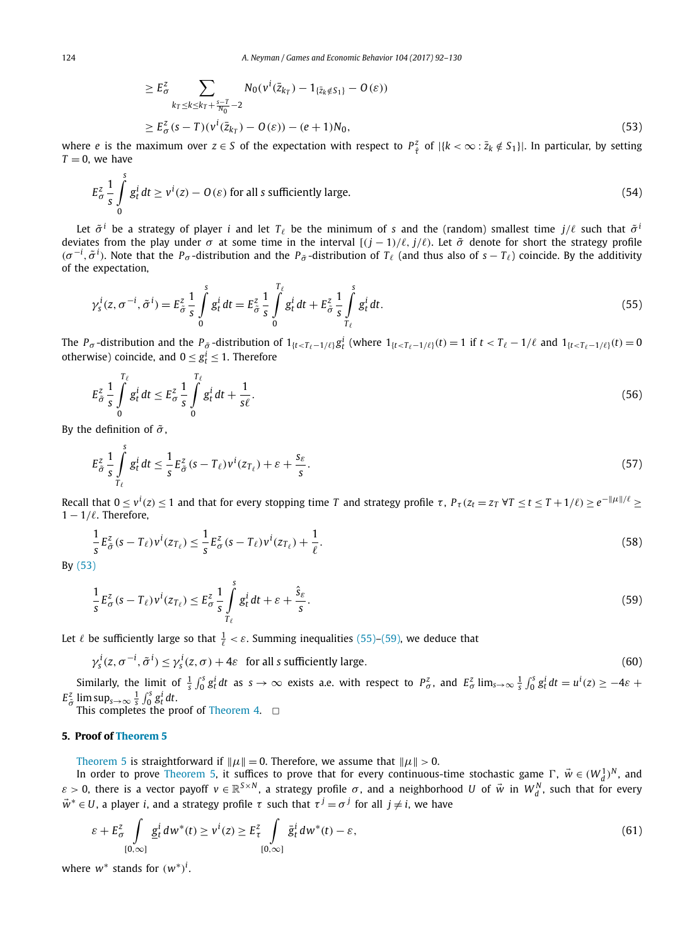$$
\geq E_{\sigma}^{z} \sum_{k_{T} \leq k \leq k_{T} + \frac{s-T}{N_{0}} - 2} N_{0}(v^{i}(\bar{z}_{k_{T}}) - 1_{\{\bar{z}_{k} \notin S_{1}\}} - O(\varepsilon))
$$
\n
$$
\geq E_{\sigma}^{z}(s - T)(v^{i}(\bar{z}_{k_{T}}) - O(\varepsilon)) - (e + 1)N_{0},
$$
\n(53)

<span id="page-32-0"></span>where *e* is the maximum over  $z \in S$  of the expectation with respect to  $P_{\hat{\tau}}^z$  of  $|\{k < \infty : \bar{z}_k \notin S_1\}|$ . In particular, by setting  $T = 0$ , we have

$$
E_{\sigma}^{z} \frac{1}{s} \int_{0}^{s} g_{t}^{i} dt \ge v^{i}(z) - O(\varepsilon)
$$
 for all *s* sufficiently large. (54)

Let  $\tilde{\sigma}^i$  be a strategy of player *i* and let  $T_\ell$  be the minimum of *s* and the (random) smallest time  $j/\ell$  such that  $\tilde{\sigma}^i$ deviates from the play under  $\sigma$  at some time in the interval  $[(j - 1)/\ell, j/\ell)$ . Let  $\tilde{\sigma}$  denote for short the strategy profile  $(\sigma^{-i}, \tilde{\sigma}^i)$ . Note that the *P<sub>σ</sub>* -distribution and the *P<sub>σ</sub>* -distribution of *T*<sub>l</sub> (and thus also of *s* − *T*<sub>l</sub>) coincide. By the additivity of the expectation,

$$
\gamma_s^i(z, \sigma^{-i}, \tilde{\sigma}^i) = E_{\tilde{\sigma}}^z \frac{1}{s} \int_0^s g_t^i dt = E_{\tilde{\sigma}}^z \frac{1}{s} \int_0^{T_\ell} g_t^i dt + E_{\tilde{\sigma}}^z \frac{1}{s} \int_{T_\ell}^s g_t^i dt.
$$
\n(55)

The  $P_{\sigma}$ -distribution and the  $P_{\tilde{\sigma}}$ -distribution of  $1_{\{t < T_{\ell} - 1/\ell\}} g_t^i$  (where  $1_{\{t < T_{\ell} - 1/\ell\}}(t) = 1$  if  $t < T_{\ell} - 1/\ell$  and  $1_{\{t < T_{\ell} - 1/\ell\}}(t) = 0$ otherwise) coincide, and  $0 \le g_t^i \le 1$ . Therefore

$$
E_{\tilde{\sigma}}^z \frac{1}{s} \int\limits_0^{T_\ell} g_t^i dt \le E_{\sigma}^z \frac{1}{s} \int\limits_0^{T_\ell} g_t^i dt + \frac{1}{s\ell}.
$$

By the definition of  $\tilde{\sigma}$ ,

$$
E_{\tilde{\sigma}}^{z} \frac{1}{s} \int_{T_{\ell}}^{s} g_{t}^{i} dt \leq \frac{1}{s} E_{\tilde{\sigma}}^{z} (s - T_{\ell}) v^{i} (z_{T_{\ell}}) + \varepsilon + \frac{s_{\varepsilon}}{s}.
$$
\n
$$
(57)
$$

Recall that  $0\leq v^i(z)\leq 1$  and that for every stopping time T and strategy profile  $\tau$ ,  $P_\tau(z_t=z_T \,\forall T\leq t\leq T+1/\ell)\geq e^{-\|\mu\|/\ell}\geq 1$ 1 − 1*/*. Therefore,

$$
\frac{1}{s}E_{\tilde{\sigma}}^{z}(s-T_{\ell})v^{i}(z_{T_{\ell}}) \leq \frac{1}{s}E_{\sigma}^{z}(s-T_{\ell})v^{i}(z_{T_{\ell}}) + \frac{1}{\ell}.
$$
\n
$$
(58)
$$

By (53)

$$
\frac{1}{s}E_{\sigma}^{z}(s-T_{\ell})v^{i}(z_{T_{\ell}}) \leq E_{\sigma}^{z}\frac{1}{s}\int_{T_{\ell}}^{s}g_{t}^{i}dt + \varepsilon + \frac{\hat{s}_{\varepsilon}}{s}.
$$
\n
$$
(59)
$$

Let  $\ell$  be sufficiently large so that  $\frac{1}{\ell} < \varepsilon$ . Summing inequalities (55)–(59), we deduce that

$$
\gamma_s^i(z, \sigma^{-i}, \tilde{\sigma}^i) \le \gamma_s^i(z, \sigma) + 4\varepsilon \quad \text{for all } s \text{ sufficiently large.} \tag{60}
$$

Similarly, the limit of  $\frac{1}{s}\int_0^s g_t^i dt$  as  $s \to \infty$  exists a.e. with respect to  $P_\sigma^z$ , and  $E_\sigma^z$  lim<sub>s $\to \infty$ </sub>  $\frac{1}{s}\int_0^s g_t^i dt = u^i(z) \ge -4\varepsilon$  +  $E^z_{\tilde{\sigma}}$  lim sup<sub>*s*→∞</sub>  $\frac{1}{s} \int_0^s g^i_t dt$ .

This completes the proof of [Theorem 4.](#page-19-0)  $\Box$ 

#### **5. Proof of [Theorem 5](#page-19-0)**

[Theorem 5](#page-19-0) is straightforward if  $\|\mu\| = 0$ . Therefore, we assume that  $\|\mu\| > 0$ .

In order to prove [Theorem 5,](#page-19-0) it suffices to prove that for every continuous-time stochastic game  $\Gamma$ ,  $\vec{w} \in (W_d^1)^N$ , and *ε* > 0, there is a vector payoff  $v \in \mathbb{R}^{S \times N}$ , a strategy profile  $\sigma$ , and a neighborhood *U* of  $\vec{w}$  in  $W_d^N$ , such that for every  $\vec{w}^* \in U$ , a player *i*, and a strategy profile  $\tau$  such that  $\tau^j = \sigma^j$  for all  $j \neq i$ , we have

$$
\varepsilon + E_{\sigma}^{z} \int\limits_{[0,\infty]} \underline{g}_{t}^{i} dw^{*}(t) \geq v^{i}(z) \geq E_{\tau}^{z} \int\limits_{[0,\infty]} \bar{g}_{t}^{i} dw^{*}(t) - \varepsilon,
$$
\n(61)

where  $w^*$  stands for  $(w^*)^i$ .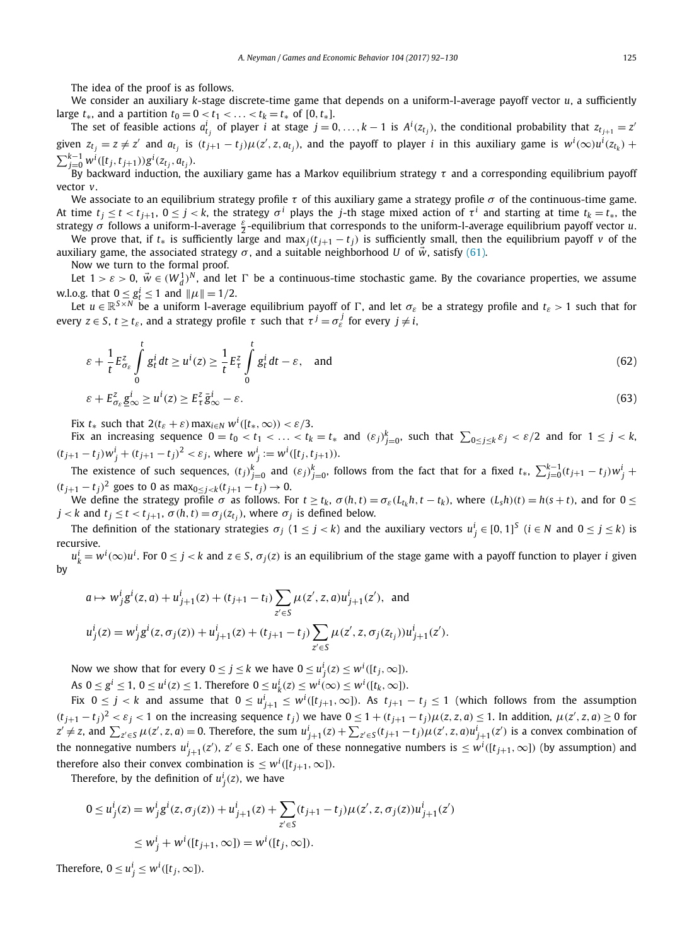<span id="page-33-0"></span>The idea of the proof is as follows.

We consider an auxiliary *k*-stage discrete-time game that depends on a uniform-l-average payoff vector *u*, a sufficiently large  $t_*,$  and a partition  $t_0 = 0 < t_1 < \ldots < t_k = t_*$  of [0,  $t_*$ ].

The set of feasible actions  $a_{t_j}^i$  of player  $i$  at stage  $j=0,\ldots,k-1$  is  $A^i(z_{t_j})$ , the conditional probability that  $z_{t_{j+1}}=z^i$ given  $z_{t_j} = z \neq z'$  and  $a_{t_j}$  is  $(t_{j+1} - t_j)\mu(z', z, a_{t_j})$ , and the payoff to player *i* in this auxiliary game is  $w^i(\infty)u^i(z_{t_k})$  +  $\sum_{j=0}^{k-1} w^i([t_j, t_{j+1})) g^i(z_{t_j}, a_{t_j}).$ 

By backward induction, the auxiliary game has a Markov equilibrium strategy *τ* and a corresponding equilibrium payoff vector *v*.

We associate to an equilibrium strategy profile *τ* of this auxiliary game a strategy profile *σ* of the continuous-time game. At time  $t_i \le t < t_{i+1}$ ,  $0 \le j < k$ , the strategy  $\sigma^i$  plays the *j*-th stage mixed action of  $\tau^i$  and starting at time  $t_k = t_*$ , the strategy *σ* follows <sup>a</sup> uniform-l-average *<sup>ε</sup>* <sup>2</sup> -equilibrium that corresponds to the uniform-l-average equilibrium payoff vector *u*.

We prove that, if  $t_*$  is sufficiently large and max<sub>*j*</sub>( $t_{j+1} - t_j$ ) is sufficiently small, then the equilibrium payoff *v* of the auxiliary game, the associated strategy  $\sigma$ , and a suitable neighborhood *U* of  $\vec{w}$ , satisfy [\(61\).](#page-32-0)

Now we turn to the formal proof.

Let  $1>\varepsilon >0$ ,  $\vec{w} \in (W_d^1)^N$ , and let  $\Gamma$  be a continuous-time stochastic game. By the covariance properties, we assume w.l.o.g. that  $0 \le g_t^i \le 1$  and  $\|\mu\| = 1/2$ .

Let  $u \in \mathbb{R}^{S \times N}$  be a uniform l-average equilibrium payoff of  $\Gamma$ , and let  $\sigma_{\varepsilon}$  be a strategy profile and  $t_{\varepsilon} > 1$  such that for  $e$ very *z* ∈ *S*, *t* ≥ *t<sub>ε</sub>*, and a strategy profile *τ* such that  $τ^j = σ_ε^j$  for every  $j ≠ i$ ,

$$
\varepsilon + \frac{1}{t} E_{\sigma_{\varepsilon}}^2 \int_0^t g_t^i dt \ge u^i(z) \ge \frac{1}{t} E_{\tau}^2 \int_0^t g_t^i dt - \varepsilon, \text{ and} \tag{62}
$$

$$
\varepsilon + E_{\sigma_{\varepsilon}}^z \underline{g}_{\infty}^i \ge u^i(z) \ge E_{\tau}^z \bar{g}_{\infty}^i - \varepsilon. \tag{63}
$$

Fix  $t_*$  such that  $2(t_{\varepsilon} + \varepsilon)$  max<sub>*i*∈*N*</sub>  $w^i([t_*, \infty)) < \varepsilon/3$ .

Fix an increasing sequence  $0=t_0 < t_1 < \ldots < t_k=t_*$  and  $(\varepsilon_j)_{j=0}^k$ , such that  $\sum_{0\leq j\leq k} \varepsilon_j < \varepsilon/2$  and for  $1\leq j < k_*$  $(t_{j+1} - t_j)w_j^i + (t_{j+1} - t_j)^2 < \varepsilon_j$ , where  $w_j^i := w^i([t_j, t_{j+1})).$ 

The existence of such sequences,  $(t_j)_{j=0}^k$  and  $(\varepsilon_j)_{j=0}^k$ , follows from the fact that for a fixed  $t_*,\ \sum_{j=0}^{k-1}(t_{j+1}-t_j)w_j^i +$ *(* $t_{j+1} - t_j$ )<sup>2</sup> goes to 0 as max<sub>0≤ *j*<*k*</sub> $(t_{j+1} - t_j)$  → 0.

We define the strategy profile  $\sigma$  as follows. For  $t \ge t_k$ ,  $\sigma(h, t) = \sigma_{\epsilon}(L_{t_k}h, t - t_k)$ , where  $(L_{s}h)(t) = h(s + t)$ , and for  $0 \le t_k$  $j < k$  and  $t_j \le t < t_{j+1}$ ,  $\sigma(h, t) = \sigma_j(z_{t_j})$ , where  $\sigma_j$  is defined below.

The definition of the stationary strategies  $\sigma_j$  (1 ≤ *j* < *k*) and the auxiliary vectors  $u^i_j \in [0,1]^S$  (*i* ∈ *N* and 0 ≤ *j* ≤ *k*) is recursive.

 $u^i_k=w^i(\infty)u^i.$  For  $0\leq j < k$  and  $z\in S,$   $\sigma_j(z)$  is an equilibrium of the stage game with a payoff function to player  $i$  given by

$$
a \mapsto w_j^i g^i(z, a) + u_{j+1}^i(z) + (t_{j+1} - t_i) \sum_{z' \in S} \mu(z', z, a) u_{j+1}^i(z'), \text{ and}
$$
  

$$
u_j^i(z) = w_j^i g^i(z, \sigma_j(z)) + u_{j+1}^i(z) + (t_{j+1} - t_j) \sum_{z' \in S} \mu(z', z, \sigma_j(z_{t_j})) u_{j+1}^i(z').
$$

Now we show that for every  $0 \leq j \leq k$  we have  $0 \leq u^{i}_{j}(z) \leq w^{i}([t_{j},\infty])$ .

As  $0 \le g^i \le 1$ ,  $0 \le u^i(z) \le 1$ . Therefore  $0 \le u^i_k(z) \le w^i(\infty) \le w^i([t_k, \infty])$ .

Fix  $0 \le j < k$  and assume that  $0 \le u^i_{j+1} \le w^i([t_{j+1},\infty])$ . As  $t_{j+1}-t_j \le 1$  (which follows from the assumption  $(t_{j+1}-t_j)^2 < \varepsilon_j < 1$  on the increasing sequence  $t_j$ ) we have  $0 \le 1 + (t_{j+1}-t_j)\mu(z, z, a) \le 1$ . In addition,  $\mu(z', z, a) \ge 0$  for  $z' \neq z$ , and  $\sum_{z' \in S} \mu(z', z, a) = 0$ . Therefore, the sum  $u^i_{j+1}(z) + \sum_{z' \in S} (t_{j+1} - t_j) \mu(z', z, a) u^i_{j+1}(z')$  is a convex combination of the nonnegative numbers  $u^i_{j+1}(z'), z' \in S$ . Each one of these nonnegative numbers is  $\leq w^i([t_{j+1}, \infty])$  (by assumption) and therefore also their convex combination is  $\leq w^{i}([t_{j+1},\infty])$ .

Therefore, by the definition of  $u^i_j(z)$ , we have

$$
0 \le u_j^i(z) = w_j^i g^i(z, \sigma_j(z)) + u_{j+1}^i(z) + \sum_{z' \in S} (t_{j+1} - t_j) \mu(z', z, \sigma_j(z)) u_{j+1}^i(z')
$$
  

$$
\le w_j^i + w^i([t_{j+1}, \infty]) = w^i([t_j, \infty]).
$$

Therefore,  $0 \le u^i_j \le w^i([t_j, \infty])$ .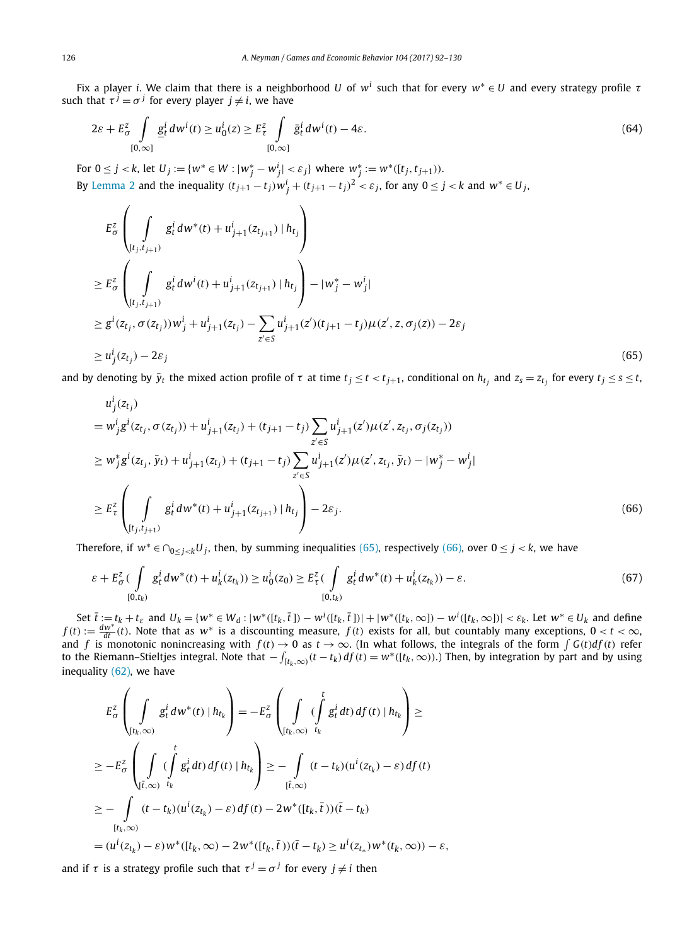<span id="page-34-0"></span>Fix a player *i*. We claim that there is a neighborhood *U* of *w<sup>i</sup>* such that for every *w*<sup>∗</sup> ∈ *U* and every strategy profile *τ* such that  $\tau^{j} = \sigma^{j}$  for every player  $j \neq i$ , we have

$$
2\varepsilon + E_{\sigma}^{z} \int\limits_{[0,\infty]} \underline{g}_{t}^{i} dw^{i}(t) \geq u_{0}^{i}(z) \geq E_{\tau}^{z} \int\limits_{[0,\infty]} \bar{g}_{t}^{i} dw^{i}(t) - 4\varepsilon.
$$
 (64)

For  $0 \le j < k$ , let  $U_j := \{w^* \in W : |w_j^* - w_j^i| < \varepsilon_j\}$  where  $w_j^* := w^*([t_j, t_{j+1})).$ By [Lemma 2](#page-14-0) and the inequality  $(t_{j+1}-t_j)w_j^i + (t_{j+1}-t_j)^2 < \varepsilon_j$ , for any  $0 \le j < k$  and  $w^* \in U_j$ ,

$$
E_{\sigma}^{z}\left(\int\limits_{[t_{j},t_{j+1})}g_{t}^{i} dw^{*}(t) + u_{j+1}^{i}(z_{t_{j+1}}) | h_{t_{j}}\right)
$$
  
\n
$$
\geq E_{\sigma}^{z}\left(\int\limits_{[t_{j},t_{j+1})}g_{t}^{i} dw^{i}(t) + u_{j+1}^{i}(z_{t_{j+1}}) | h_{t_{j}}\right) - |w_{j}^{*} - w_{j}^{i}|
$$
  
\n
$$
\geq g^{i}(z_{t_{j}}, \sigma(z_{t_{j}}))w_{j}^{i} + u_{j+1}^{i}(z_{t_{j}}) - \sum_{z' \in S} u_{j+1}^{i}(z') (t_{j+1} - t_{j}) \mu(z', z, \sigma_{j}(z)) - 2\varepsilon_{j}
$$
  
\n
$$
\geq u_{j}^{i}(z_{t_{j}}) - 2\varepsilon_{j}
$$
\n(65)

and by denoting by  $\bar{y}_t$  the mixed action profile of  $\tau$  at time  $t_j \le t < t_{j+1}$ , conditional on  $h_{t_j}$  and  $z_s = z_{t_j}$  for every  $t_j \le s \le t$ ,

$$
u_j^i(z_{t_j})
$$
  
\n
$$
= w_j^i g^i(z_{t_j}, \sigma(z_{t_j})) + u_{j+1}^i(z_{t_j}) + (t_{j+1} - t_j) \sum_{z' \in S} u_{j+1}^i(z') \mu(z', z_{t_j}, \sigma_j(z_{t_j}))
$$
  
\n
$$
\geq w_j^* g^i(z_{t_j}, \bar{y}_t) + u_{j+1}^i(z_{t_j}) + (t_{j+1} - t_j) \sum_{z' \in S} u_{j+1}^i(z') \mu(z', z_{t_j}, \bar{y}_t) - |w_j^* - w_j^i|
$$
  
\n
$$
\geq E_\tau^2 \left( \int_{[t_j, t_{j+1})} g_t^i dw^*(t) + u_{j+1}^i(z_{t_{j+1}}) |h_{t_j} \right) - 2\varepsilon_j.
$$
\n(66)

Therefore, if  $w^* \in \bigcap_{0 \le i \le k} U_i$ , then, by summing inequalities (65), respectively (66), over  $0 \le j \le k$ , we have

$$
\varepsilon + E_{\sigma}^{z} \left( \int\limits_{[0,t_{k})} g_{t}^{i} dw^{*}(t) + u_{k}^{i}(z_{t_{k}}) \right) \geq u_{0}^{i}(z_{0}) \geq E_{\tau}^{z} \left( \int\limits_{[0,t_{k})} g_{t}^{i} dw^{*}(t) + u_{k}^{i}(z_{t_{k}}) \right) - \varepsilon.
$$
\n
$$
(67)
$$

Set  $\overline{t}:=t_k+t_{\varepsilon}$  and  $U_k=\{w^*\in W_d:|w^*([t_k,\overline{t}])-w^i([t_k,\overline{t}])|+|w^*([t_k,\infty])-w^i([t_k,\infty])|<\varepsilon_k$ . Let  $w^*\in U_k$  and define  $f(t) := \frac{dw^*}{dt}(t)$ . Note that as  $w^*$  is a discounting measure,  $f(t)$  exists for all, but countably many exceptions,  $0 < t < \infty$ , and *f* is monotonic nonincreasing with  $f(t) \to 0$  as  $t \to \infty$ . (In what follows, the integrals of the form  $\int G(t) df(t)$  refer to the Riemann–Stieltjes integral. Note that  $-\int_{[t_k,\infty)}(t-t_k)d f(t)=w^*((t_k,\infty))$ .) Then, by integration by part and by using inequality [\(62\),](#page-33-0) we have

$$
E_{\sigma}^{z}\left(\int\limits_{\{t_{k},\infty\}}g_{t}^{i}dw^{*}(t) \mid h_{t_{k}}\right) = -E_{\sigma}^{z}\left(\int\limits_{\{t_{k},\infty\}}(\int\limits_{t_{k}}^{t}g_{t}^{i}dt) df(t) \mid h_{t_{k}}\right) \ge
$$
  
\n
$$
\geq -E_{\sigma}^{z}\left(\int\limits_{\{t_{k},\infty\}}(\int\limits_{t_{k}}^{t}g_{t}^{i}dt) df(t) \mid h_{t_{k}}\right) \geq -\int\limits_{\{t_{k},\infty\}}(t-t_{k})(u^{i}(z_{t_{k}})-\varepsilon) df(t)
$$
  
\n
$$
\geq -\int\limits_{\{t_{k},\infty\}}(t-t_{k})(u^{i}(z_{t_{k}})-\varepsilon) df(t) - 2w^{*}([t_{k},\bar{t}))(\bar{t}-t_{k})
$$
  
\n
$$
= (u^{i}(z_{t_{k}})-\varepsilon)w^{*}([t_{k},\infty)-2w^{*}([t_{k},\bar{t}))(\bar{t}-t_{k}) \geq u^{i}(z_{t_{*}})w^{*}(t_{k},\infty)) - \varepsilon,
$$

and if  $\tau$  is a strategy profile such that  $\tau^{j} = \sigma^{j}$  for every  $j \neq i$  then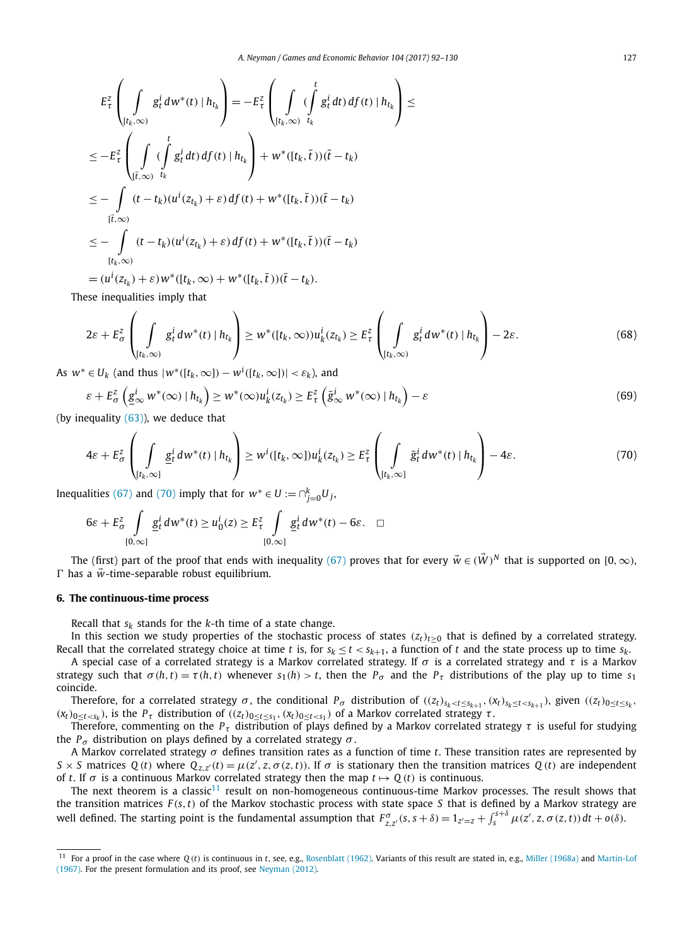<span id="page-35-0"></span>
$$
E_{\tau}^{z}\left(\int_{(t_{k},\infty)}g_{t}^{i} dw^{*}(t) | h_{t_{k}}\right) = -E_{\tau}^{z}\left(\int_{(t_{k},\infty)}(\int_{t_{k}}^{t}g_{t}^{i} dt) df(t) | h_{t_{k}}\right) \leq
$$
  
\n
$$
\leq -E_{\tau}^{z}\left(\int_{(\bar{t},\infty)}(\int_{t_{k}}^{t}g_{t}^{i} dt) df(t) | h_{t_{k}}\right) + w^{*}([t_{k},\bar{t}))( \bar{t} - t_{k})
$$
  
\n
$$
\leq -\int_{(\bar{t},\infty)}(t - t_{k})(u^{i}(z_{t_{k}}) + \varepsilon) df(t) + w^{*}([t_{k},\bar{t}))(\bar{t} - t_{k})
$$
  
\n
$$
\leq -\int_{(t_{k},\infty)}(t - t_{k})(u^{i}(z_{t_{k}}) + \varepsilon) df(t) + w^{*}([t_{k},\bar{t}))(\bar{t} - t_{k})
$$
  
\n
$$
\leq \frac{1}{\int_{(\bar{t},\infty)}(t - t_{k})(u^{i}(z_{t_{k}}) + \varepsilon) df(t) + w^{*}([t_{k},\bar{t}))(\bar{t} - t_{k})}
$$

$$
= (u^i(z_{t_k}) + \varepsilon)w^*([t_k,\infty) + w^*([t_k,\overline{t}))(t - t_k).
$$

These inequalities imply that

$$
2\varepsilon + E_{\sigma}^{z} \left( \int\limits_{[t_{k},\infty)} g_{t}^{i} dw^{*}(t) \mid h_{t_{k}} \right) \geq w^{*}([t_{k},\infty))u_{k}^{i}(z_{t_{k}}) \geq E_{\tau}^{z} \left( \int\limits_{[t_{k},\infty)} g_{t}^{i} dw^{*}(t) \mid h_{t_{k}} \right) - 2\varepsilon.
$$
 (68)

As  $w^* \in U_k$  (and thus  $|w^*([t_k,\infty]) - w^i([t_k,\infty])| < \varepsilon_k$ ), and

$$
\varepsilon + E_{\sigma}^{z} \left( \underline{g}_{\infty}^{i} w^{*}(\infty) \mid h_{t_{k}} \right) \geq w^{*}(\infty) u_{k}^{i} (z_{t_{k}}) \geq E_{\tau}^{z} \left( \bar{g}_{\infty}^{i} w^{*}(\infty) \mid h_{t_{k}} \right) - \varepsilon
$$
\n(69)

(by inequality  $(63)$ ), we deduce that

$$
4\varepsilon + E_{\sigma}^{z} \left( \int\limits_{[t_{k},\infty]} \underline{g}_{t}^{i} dw^{*}(t) \mid h_{t_{k}} \right) \geq w^{i}([t_{k},\infty]) u_{k}^{i}(z_{t_{k}}) \geq E_{\tau}^{z} \left( \int\limits_{[t_{k},\infty]} \bar{g}_{t}^{i} dw^{*}(t) \mid h_{t_{k}} \right) - 4\varepsilon.
$$
 (70)

Inequalities [\(67\)](#page-34-0) and (70) imply that for  $w^* \in U := \bigcap_{j=0}^k U_j$ ,

$$
6\varepsilon + E_{\sigma}^2 \int\limits_{[0,\infty]} \underline{g}_t^i dw^*(t) \ge u_0^i(z) \ge E_{\tau}^2 \int\limits_{[0,\infty]} \underline{g}_t^i dw^*(t) - 6\varepsilon. \quad \Box
$$

The (first) part of the proof that ends with inequality [\(67\)](#page-34-0) proves that for every  $\vec{w} \in (\vec{W})^N$  that is supported on [0,  $\infty$ ),  $\Gamma$  has a  $\vec{w}$ -time-separable robust equilibrium.

#### **6. The continuous-time process**

Recall that  $s_k$  stands for the  $k$ -th time of a state change.

In this section we study properties of the stochastic process of states  $(z_t)_{t\geq0}$  that is defined by a correlated strategy. Recall that the correlated strategy choice at time *t* is, for  $s_k \le t < s_{k+1}$ , a function of *t* and the state process up to time  $s_k$ .

A special case of a correlated strategy is a Markov correlated strategy. If *σ* is a correlated strategy and *τ* is a Markov strategy such that  $\sigma(h, t) = \tau(h, t)$  whenever  $s_1(h) > t$ , then the  $P_\sigma$  and the  $P_\tau$  distributions of the play up to time  $s_1$ coincide.

Therefore, for a correlated strategy  $\sigma$ , the conditional  $P_{\sigma}$  distribution of  $((z_t)_{s_k < t \le s_{k+1}}, (x_t)_{s_k \le t < s_{k+1}})$ , given  $((z_t)_{0 \le t \le s_k},$  $(x_t)_{0 \le t \le s_k}$ ), is the  $P_{\tau}$  distribution of  $((z_t)_{0 \le t \le s_1}, (x_t)_{0 \le t \le s_1})$  of a Markov correlated strategy  $\tau$ .

Therefore, commenting on the *Pτ* distribution of plays defined by a Markov correlated strategy *τ* is useful for studying the  $P<sub>σ</sub>$  distribution on plays defined by a correlated strategy  $σ$ .

A Markov correlated strategy *σ* defines transition rates as a function of time *t*. These transition rates are represented by S  $\times$  S matrices Q(t) where  $Q_{z,z'}(t) = \mu(z', z, \sigma(z, t))$ . If  $\sigma$  is stationary then the transition matrices Q(t) are independent of *t*. If  $\sigma$  is a continuous Markov correlated strategy then the map  $t \mapsto Q(t)$  is continuous.

The next theorem is a classic<sup>11</sup> result on non-homogeneous continuous-time Markov processes. The result shows that the transition matrices *F (s,t)* of the Markov stochastic process with state space *S* that is defined by a Markov strategy are well defined. The starting point is the fundamental assumption that  $F_{z,z'}^{\sigma}(s,s+\delta)=1_{z'=z}+\int_s^{s+\delta}\mu(z',z,\sigma(z,t))\,dt+o(\delta)$ .

<sup>11</sup> For a proof in the case where *Q (t)* is continuous in *t*, see, e.g., [Rosenblatt \(1962\).](#page-38-0) Variants of this result are stated in, e.g., [Miller \(1968a\)](#page-38-0) and [Martin-Lof](#page-38-0) [\(1967\).](#page-38-0) For the present formulation and its proof, see [Neyman \(2012\).](#page-38-0)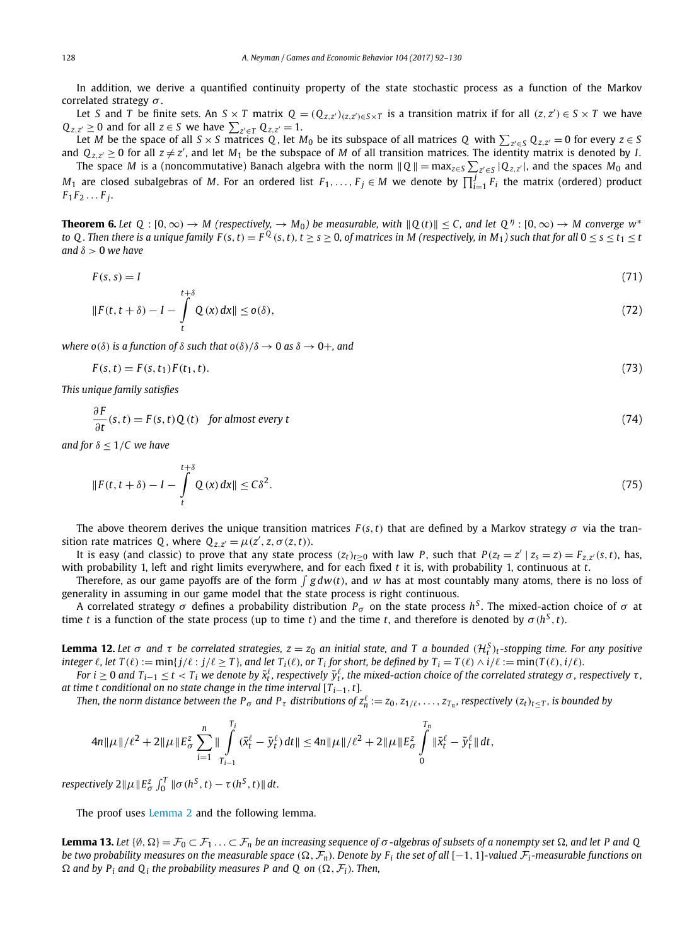<span id="page-36-0"></span>In addition, we derive a quantified continuity property of the state stochastic process as a function of the Markov correlated strategy *σ* .

Let S and T be finite sets. An  $S \times T$  matrix  $Q = (Q_{z,z'})_{(z,z') \in S \times T}$  is a transition matrix if for all  $(z, z') \in S \times T$  we have  $Q_{z,z'} \geq 0$  and for all  $z \in S$  we have  $\sum_{z' \in T} Q_{z,z'} = 1$ .

Let  $M$  be the space of all  $S \times S$  matrices  $Q$ , let  $M_0$  be its subspace of all matrices  $Q$  with  $\sum_{z' \in S} Q_{z,z'} = 0$  for every  $z \in S$ and  $Q_{z,z'}\geq 0$  for all  $z\neq z'$ , and let  $M_1$  be the subspace of M of all transition matrices. The identity matrix is denoted by *I*.

The space *M* is a (noncommutative) Banach algebra with the norm  $\|Q\|$  = max<sub>z∈S</sub>  $\sum_{z'\in S} |Q_{z,z'}|$ , and the spaces  $M_0$  and *M*<sub>1</sub> are closed subalgebras of *M*. For an ordered list *F*<sub>1</sub>,..., *F*<sub>*j*</sub> ∈ *M* we denote by  $\prod_{i=1}^{j}$  *F*<sub>i</sub> the matrix (ordered) product  $F_1 F_2 \ldots F_i$ .

**Theorem 6.** Let  $Q : [0, \infty) \to M$  (respectively,  $\to M_0$ ) be measurable, with  $||Q(t)|| \le C$ , and let  $Q^{\eta} : [0, \infty) \to M$  converge  $w^*$ to Q. Then there is a unique family  $F(s, t) = F^Q(s, t)$ ,  $t \ge s \ge 0$ , of matrices in M (respectively, in M<sub>1</sub>) such that for all  $0 \le s \le t_1 \le t$ *and δ >* 0 *we have*

$$
F(s,s) = I \tag{71}
$$

$$
\|F(t,t+\delta)-I-\int_{t}^{t+\delta}Q(x)\,dx\|\leq o(\delta),\tag{72}
$$

*where*  $o(\delta)$  *is a function of*  $\delta$  *such that*  $o(\delta)/\delta \rightarrow 0$  *as*  $\delta \rightarrow 0+$ *, and* 

$$
F(s,t) = F(s,t_1)F(t_1,t).
$$
\n(73)

*This unique family satisfies*

$$
\frac{\partial F}{\partial t}(s,t) = F(s,t)Q(t) \quad \text{for almost every } t \tag{74}
$$

*and for δ* ≤ 1*/C we have*

*∂ F*

$$
||F(t, t + \delta) - I - \int_{t}^{t + \delta} Q(x) dx|| \le C\delta^2.
$$
\n(75)

The above theorem derives the unique transition matrices  $F(s,t)$  that are defined by a Markov strategy  $\sigma$  via the transition rate matrices Q, where  $Q_{z,z'} = \mu(z', z, \sigma(z, t)).$ 

It is easy (and classic) to prove that any state process  $(z_t)_{t>0}$  with law P, such that  $P(z_t = z' | z_s = z) = F_{zz}(s, t)$ , has, with probability 1, left and right limits everywhere, and for each fixed *t* it is, with probability 1, continuous at *t*.

Therefore, as our game payoffs are of the form  $\int g dw(t)$ , and w has at most countably many atoms, there is no loss of generality in assuming in our game model that the state process is right continuous.

A correlated strategy *σ* defines a probability distribution *P<sup>σ</sup>* on the state process *h<sup>S</sup>* . The mixed-action choice of *σ* at time *t* is a function of the state process (up to time *t*) and the time *t*, and therefore is denoted by  $\sigma(h^S, t)$ .

**Lemma 12.** Let  $\sigma$  and  $\tau$  be correlated strategies,  $z = z_0$  an initial state, and T a bounded  $(\mathcal{H}_t^S)_t$ -stopping time. For any positive integer  $\ell$ , let  $T(\ell) := \min\{j/\ell : j/\ell \geq T\}$ , and let  $T_i(\ell)$ , or  $T_i$  for short, be defined by  $T_i = T(\ell) \wedge i/\ell := \min(T(\ell), i/\ell)$ .

For  $i\geq 0$  and  $T_{i-1}\leq t< T_i$  we denote by  $\bar{x}^\ell_t$ , respectively  $\bar{y}^\ell_t$ , the mixed-action choice of the correlated strategy  $\sigma$  , respectively  $\tau$  , *at time t conditional on no state change in the time interval* [*Ti*−1*,t*]*.*

Then, the norm distance between the  $P_\sigma$  and  $P_\tau$  distributions of  $z_n^\ell:=z_0,z_{1/\ell},\ldots,z_{T_n}$ , respectively  $(z_t)_{t\leq T}$ , is bounded by

$$
4n\|\mu\|/\ell^2+2\|\mu\|E_{\sigma}^z\sum_{i=1}^n\|\int\limits_{T_{i-1}}^{T_i}(\bar{x}_{t}^{\ell}-\bar{y}_{t}^{\ell})dt\|\leq 4n\|\mu\|/\ell^2+2\|\mu\|E_{\sigma}^z\int\limits_{0}^{T_n}\|\bar{x}_{t}^{\ell}-\bar{y}_{t}^{\ell}\|dt,
$$

*respectively*  $2\|\mu\|E_{\sigma}^z \int_0^T \|\sigma(h^S,t) - \tau(h^S,t)\| dt$ .

The proof uses [Lemma 2](#page-14-0) and the following lemma.

**Lemma 13.** Let  $\{\emptyset, \Omega\} = \mathcal{F}_0 \subset \mathcal{F}_1 \ldots \subset \mathcal{F}_n$  be an increasing sequence of  $\sigma$ -algebras of subsets of a nonempty set  $\Omega$ , and let P and Q be two probability measures on the measurable space  $(\Omega, \mathcal{F}_n)$ . Denote by  $F_i$  the set of all  $[-1, 1]$ -valued  $\mathcal{F}_i$ -measurable functions on  $\Omega$  *and by*  $P_i$  *and*  $Q_i$  *the probability measures P and*  $Q$  *on*  $(\Omega, \mathcal{F}_i)$ *. Then,*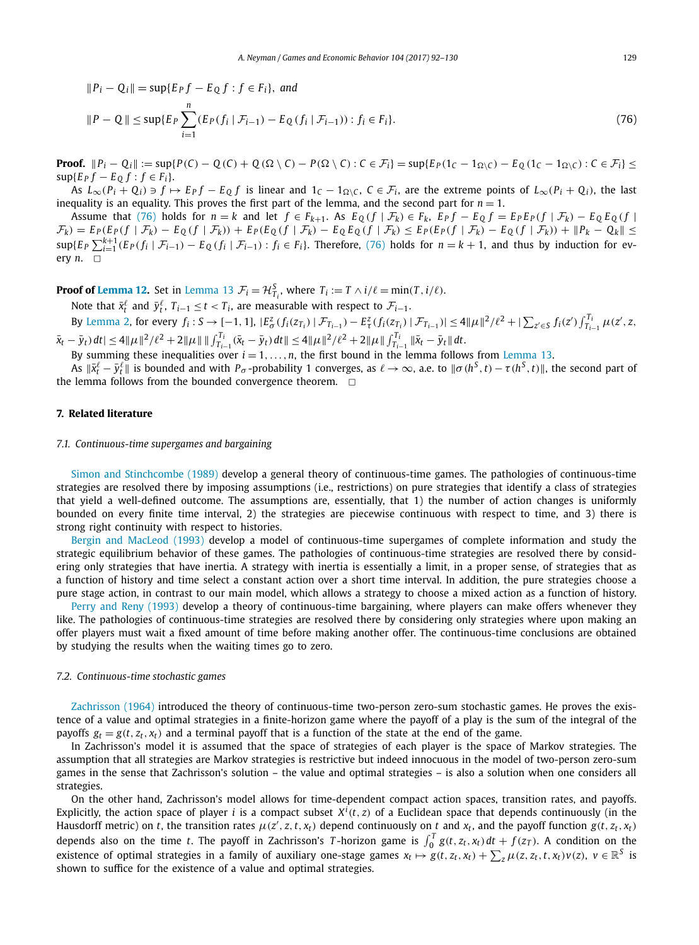<span id="page-37-0"></span>
$$
||P_i - Q_i|| = \sup\{E_P f - E_Q f : f \in F_i\}, \text{ and}
$$
  
\n
$$
||P - Q|| \le \sup\{E_P \sum_{i=1}^n (E_P(f_i \mid \mathcal{F}_{i-1}) - E_Q(f_i \mid \mathcal{F}_{i-1})) : f_i \in F_i\}.
$$
\n(76)

**Proof.**  $||P_i - Q_i|| := \sup\{P(C) - Q(C) + Q(\Omega \setminus C) - P(\Omega \setminus C) : C \in \mathcal{F}_i\} = \sup\{E_P(1_C - 1_{\Omega \setminus C}) - E_Q(1_C - 1_{\Omega \setminus C}) : C \in \mathcal{F}_i\}$  $\sup{E_P f - E_O f : f \in F_i}.$ 

As  $L_{\infty}(P_i + Q_i) \ni f \mapsto E_P f - E_Q f$  is linear and  $1_C - 1_{\Omega \setminus C}$ ,  $C \in \mathcal{F}_i$ , are the extreme points of  $L_{\infty}(P_i + Q_i)$ , the last inequality is an equality. This proves the first part of the lemma, and the second part for  $n = 1$ .

Assume that (76) holds for  $n = k$  and let  $f \in F_{k+1}$ . As  $E_Q(f | \mathcal{F}_k) \in F_k$ ,  $E_P f - E_Q f = E_P E_P(f | \mathcal{F}_k) - E_Q E_Q(f | \mathcal{F}_k)$  $\mathcal{F}_k$ ) =  $E_P(E_P(f | \mathcal{F}_k) - E_Q(f | \mathcal{F}_k)) + E_P(E_Q(f | \mathcal{F}_k) - E_Q E_Q(f | \mathcal{F}_k) \le E_P(E_P(f | \mathcal{F}_k) - E_Q(f | \mathcal{F}_k)) + ||P_k - Q_k|| \le E_P(E_P(f | \mathcal{F}_k) - E_Q(f | \mathcal{F}_k))$  $\sup\{E_P\sum_{i=1}^{k+1}(E_P(f_i\mid \mathcal{F}_{i-1})-E_Q(f_i\mid \mathcal{F}_{i-1}): f_i\in F_i\}$ . Therefore, (76) holds for  $n=k+1$ , and thus by induction for every  $n. \square$ 

**Proof of [Lemma 12.](#page-36-0)** Set in [Lemma 13](#page-36-0)  $\mathcal{F}_i = \mathcal{H}_{T_i}^S$ , where  $T_i := T \wedge i / \ell = \min(T, i / \ell)$ .

Note that  $\bar{x}_t^{\ell}$  and  $\bar{y}_t^{\ell}$ ,  $T_{i-1} \le t < T_i$ , are measurable with respect to  $\mathcal{F}_{i-1}$ .

By [Lemma 2,](#page-14-0) for every  $f_i: S \to [-1,1]$ ,  $|E^z_{\sigma}(f_i(z_{T_i})| \mathcal{F}_{T_{i-1}}) - E^z_{\tau}(f_i(z_{T_i})| \mathcal{F}_{T_{i-1}})| \leq 4 ||\mu||^2/\ell^2 + |\sum_{z' \in S} f_i(z')| \int_{T_{i-1}}^{T_i} \mu(z',z, \mathcal{F}_{T_{i-1}})$  $|\bar{x}_t - \bar{y}_t|) dt | \leq 4 ||\mu||^2 / \ell^2 + 2 ||\mu|| ||\int_{T_{i-1}}^{T_i} (\bar{x}_t - \bar{y}_t) dt || \leq 4 ||\mu||^2 / \ell^2 + 2 ||\mu|| \int_{T_{i-1}}^{T_i} ||\bar{x}_t - \bar{y}_t|| dt.$ 

By summing these inequalities over *i* = 1*,...,n*, the first bound in the lemma follows from [Lemma 13.](#page-36-0)

As  $\|\bar{x}_t^\ell-\bar{y}_t^\ell\|$  is bounded and with  $P_\sigma$ -probability 1 converges, as  $\ell\to\infty$ , a.e. to  $\|\sigma(h^S,t)-\tau(h^S,t)\|$ , the second part of the lemma follows from the bounded convergence theorem.  $\Box$ 

#### **7. Related literature**

#### *7.1. Continuous-time supergames and bargaining*

Simon and [Stinchcombe \(1989\)](#page-38-0) develop a general theory of continuous-time games. The pathologies of continuous-time strategies are resolved there by imposing assumptions (i.e., restrictions) on pure strategies that identify a class of strategies that yield a well-defined outcome. The assumptions are, essentially, that 1) the number of action changes is uniformly bounded on every finite time interval, 2) the strategies are piecewise continuous with respect to time, and 3) there is strong right continuity with respect to histories.

Bergin and [MacLeod \(1993\)](#page-38-0) develop a model of continuous-time supergames of complete information and study the strategic equilibrium behavior of these games. The pathologies of continuous-time strategies are resolved there by considering only strategies that have inertia. A strategy with inertia is essentially a limit, in a proper sense, of strategies that as a function of history and time select a constant action over a short time interval. In addition, the pure strategies choose a pure stage action, in contrast to our main model, which allows a strategy to choose a mixed action as a function of history.

Perry and [Reny \(1993\)](#page-38-0) develop a theory of continuous-time bargaining, where players can make offers whenever they like. The pathologies of continuous-time strategies are resolved there by considering only strategies where upon making an offer players must wait a fixed amount of time before making another offer. The continuous-time conclusions are obtained by studying the results when the waiting times go to zero.

#### *7.2. Continuous-time stochastic games*

[Zachrisson \(1964\)](#page-38-0) introduced the theory of continuous-time two-person zero-sum stochastic games. He proves the existence of a value and optimal strategies in a finite-horizon game where the payoff of a play is the sum of the integral of the payoffs  $g_t = g(t, z_t, x_t)$  and a terminal payoff that is a function of the state at the end of the game.

In Zachrisson's model it is assumed that the space of strategies of each player is the space of Markov strategies. The assumption that all strategies are Markov strategies is restrictive but indeed innocuous in the model of two-person zero-sum games in the sense that Zachrisson's solution – the value and optimal strategies – is also a solution when one considers all strategies.

On the other hand, Zachrisson's model allows for time-dependent compact action spaces, transition rates, and payoffs. Explicitly, the action space of player *i* is a compact subset  $X^i(t, z)$  of a Euclidean space that depends continuously (in the Hausdorff metric) on t, the transition rates  $\mu(z',z,t,x_t)$  depend continuously on t and  $x_t$ , and the payoff function  $g(t,z_t,x_t)$ depends also on the time t. The payoff in Zachrisson's T-horizon game is  $\int_0^T g(t, z_t, x_t) dt + f(z_T)$ . A condition on the existence of optimal strategies in a family of auxiliary one-stage games  $x_t\mapsto g(t,z_t,x_t)+\sum_z\mu(z,z_t,t,x_t)\nu(z),\ \nu\in\mathbb{R}^S$  is shown to suffice for the existence of a value and optimal strategies.